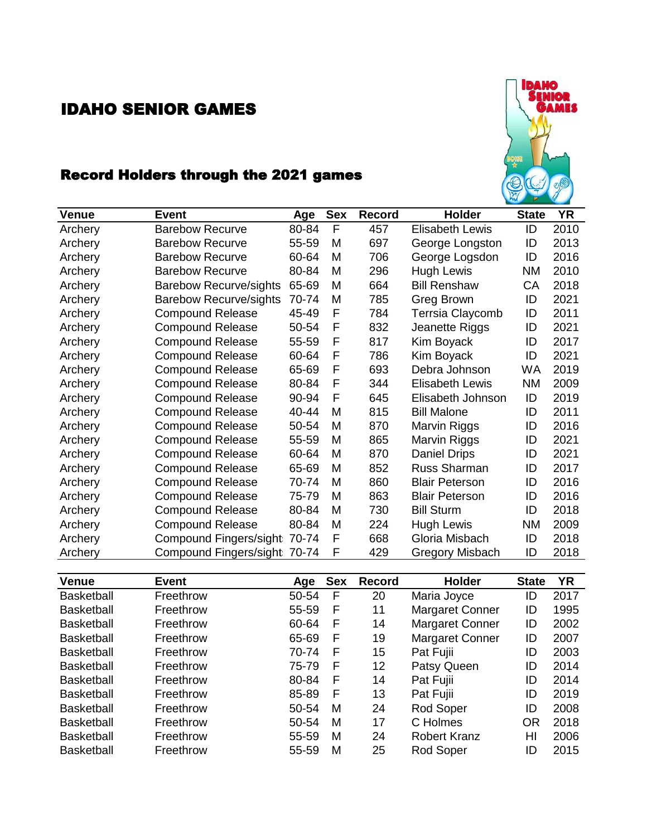## IDAHO SENIOR GAMES



## Record Holders through the 2021 games

| <b>Venue</b> | <b>Event</b>                  | Age   | <b>Sex</b> | Record | <b>Holder</b>          | <b>State</b> | <b>YR</b> |
|--------------|-------------------------------|-------|------------|--------|------------------------|--------------|-----------|
| Archery      | <b>Barebow Recurve</b>        | 80-84 | F          | 457    | <b>Elisabeth Lewis</b> | ID           | 2010      |
| Archery      | <b>Barebow Recurve</b>        | 55-59 | M          | 697    | George Longston        | ID           | 2013      |
| Archery      | <b>Barebow Recurve</b>        | 60-64 | M          | 706    | George Logsdon         | ID           | 2016      |
| Archery      | <b>Barebow Recurve</b>        | 80-84 | M          | 296    | <b>Hugh Lewis</b>      | <b>NM</b>    | 2010      |
| Archery      | <b>Barebow Recurve/sights</b> | 65-69 | M          | 664    | <b>Bill Renshaw</b>    | CА           | 2018      |
| Archery      | <b>Barebow Recurve/sights</b> | 70-74 | M          | 785    | Greg Brown             | ID           | 2021      |
| Archery      | <b>Compound Release</b>       | 45-49 | F          | 784    | Terrsia Claycomb       | ID           | 2011      |
| Archery      | <b>Compound Release</b>       | 50-54 | F          | 832    | Jeanette Riggs         | ID           | 2021      |
| Archery      | <b>Compound Release</b>       | 55-59 | F          | 817    | Kim Boyack             | ID           | 2017      |
| Archery      | <b>Compound Release</b>       | 60-64 | F          | 786    | Kim Boyack             | ID           | 2021      |
| Archery      | <b>Compound Release</b>       | 65-69 | F          | 693    | Debra Johnson          | <b>WA</b>    | 2019      |
| Archery      | <b>Compound Release</b>       | 80-84 | F          | 344    | <b>Elisabeth Lewis</b> | <b>NM</b>    | 2009      |
| Archery      | <b>Compound Release</b>       | 90-94 | F          | 645    | Elisabeth Johnson      | ID           | 2019      |
| Archery      | <b>Compound Release</b>       | 40-44 | M          | 815    | <b>Bill Malone</b>     | ID           | 2011      |
| Archery      | <b>Compound Release</b>       | 50-54 | M          | 870    | Marvin Riggs           | ID           | 2016      |
| Archery      | <b>Compound Release</b>       | 55-59 | M          | 865    | Marvin Riggs           | ID           | 2021      |
| Archery      | <b>Compound Release</b>       | 60-64 | M          | 870    | Daniel Drips           | ID           | 2021      |
| Archery      | <b>Compound Release</b>       | 65-69 | M          | 852    | Russ Sharman           | ID           | 2017      |
| Archery      | <b>Compound Release</b>       | 70-74 | M          | 860    | <b>Blair Peterson</b>  | ID           | 2016      |
| Archery      | <b>Compound Release</b>       | 75-79 | M          | 863    | <b>Blair Peterson</b>  | ID           | 2016      |
| Archery      | <b>Compound Release</b>       | 80-84 | M          | 730    | <b>Bill Sturm</b>      | ID           | 2018      |
| Archery      | <b>Compound Release</b>       | 80-84 | M          | 224    | Hugh Lewis             | ΝM           | 2009      |
| Archery      | Compound Fingers/sight        | 70-74 | F          | 668    | Gloria Misbach         | ID           | 2018      |
| Archery      | Compound Fingers/sight 70-74  |       | F          | 429    | <b>Gregory Misbach</b> | ID           | 2018      |

| <b>Venue</b>      | Event     | Age   | <b>Sex</b> | <b>Record</b> | <b>Holder</b>          | <b>State</b> | <b>YR</b> |
|-------------------|-----------|-------|------------|---------------|------------------------|--------------|-----------|
| <b>Basketball</b> | Freethrow | 50-54 | F          | 20            | Maria Joyce            | ID           | 2017      |
| <b>Basketball</b> | Freethrow | 55-59 | F          | 11            | <b>Margaret Conner</b> | ID           | 1995      |
| <b>Basketball</b> | Freethrow | 60-64 | F          | 14            | <b>Margaret Conner</b> | ID           | 2002      |
| <b>Basketball</b> | Freethrow | 65-69 | F          | 19            | <b>Margaret Conner</b> | ID           | 2007      |
| <b>Basketball</b> | Freethrow | 70-74 | F          | 15            | Pat Fujii              | ID           | 2003      |
| <b>Basketball</b> | Freethrow | 75-79 | F          | 12            | Patsy Queen            | ID           | 2014      |
| <b>Basketball</b> | Freethrow | 80-84 | F          | 14            | Pat Fujii              | ID           | 2014      |
| <b>Basketball</b> | Freethrow | 85-89 | F          | 13            | Pat Fujii              | ID           | 2019      |
| <b>Basketball</b> | Freethrow | 50-54 | M          | 24            | Rod Soper              | ID           | 2008      |
| <b>Basketball</b> | Freethrow | 50-54 | M          | 17            | C Holmes               | OR           | 2018      |
| <b>Basketball</b> | Freethrow | 55-59 | M          | 24            | <b>Robert Kranz</b>    | HI           | 2006      |
| <b>Basketball</b> | Freethrow | 55-59 | М          | 25            | Rod Soper              | ID           | 2015      |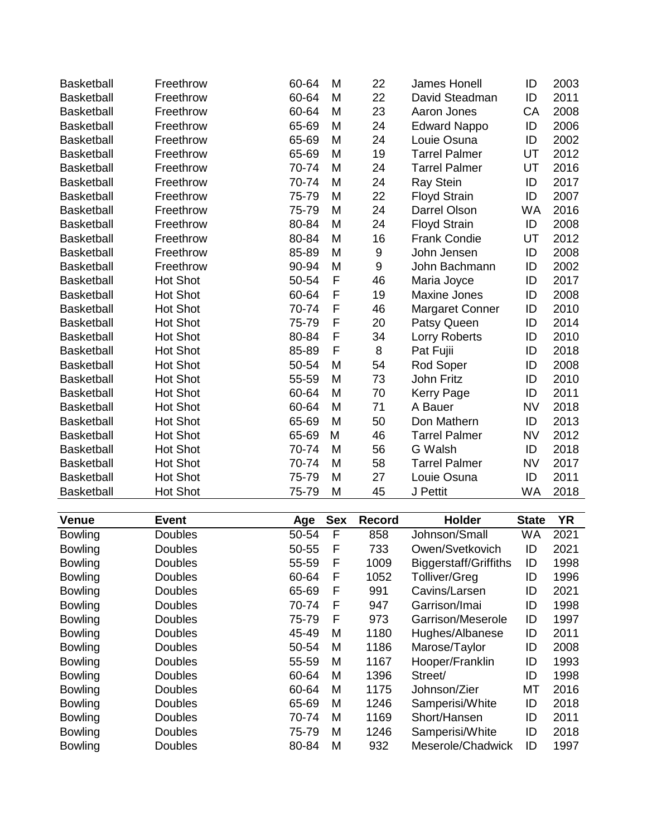| <b>Basketball</b> | Freethrow       | 60-64 | M | 22               | James Honell           | ID        | 2003 |
|-------------------|-----------------|-------|---|------------------|------------------------|-----------|------|
| <b>Basketball</b> | Freethrow       | 60-64 | M | 22               | David Steadman         | ID        | 2011 |
| <b>Basketball</b> | Freethrow       | 60-64 | M | 23               | Aaron Jones            | CA        | 2008 |
| <b>Basketball</b> | Freethrow       | 65-69 | M | 24               | <b>Edward Nappo</b>    | ID        | 2006 |
| <b>Basketball</b> | Freethrow       | 65-69 | Μ | 24               | Louie Osuna            | ID        | 2002 |
| <b>Basketball</b> | Freethrow       | 65-69 | M | 19               | <b>Tarrel Palmer</b>   | UT        | 2012 |
| <b>Basketball</b> | Freethrow       | 70-74 | M | 24               | <b>Tarrel Palmer</b>   | UT        | 2016 |
| <b>Basketball</b> | Freethrow       | 70-74 | M | 24               | <b>Ray Stein</b>       | ID        | 2017 |
| <b>Basketball</b> | Freethrow       | 75-79 | M | 22               | <b>Floyd Strain</b>    | ID        | 2007 |
| <b>Basketball</b> | Freethrow       | 75-79 | M | 24               | Darrel Olson           | <b>WA</b> | 2016 |
| <b>Basketball</b> | Freethrow       | 80-84 | M | 24               | <b>Floyd Strain</b>    | ID        | 2008 |
| <b>Basketball</b> | Freethrow       | 80-84 | M | 16               | <b>Frank Condie</b>    | UT        | 2012 |
| <b>Basketball</b> | Freethrow       | 85-89 | Μ | 9                | John Jensen            | ID        | 2008 |
| <b>Basketball</b> | Freethrow       | 90-94 | M | $\boldsymbol{9}$ | John Bachmann          | ID        | 2002 |
| <b>Basketball</b> | <b>Hot Shot</b> | 50-54 | F | 46               | Maria Joyce            | ID        | 2017 |
| <b>Basketball</b> | <b>Hot Shot</b> | 60-64 | F | 19               | <b>Maxine Jones</b>    | ID        | 2008 |
| <b>Basketball</b> | <b>Hot Shot</b> | 70-74 | F | 46               | <b>Margaret Conner</b> | ID        | 2010 |
| <b>Basketball</b> | <b>Hot Shot</b> | 75-79 | F | 20               | Patsy Queen            | ID        | 2014 |
| <b>Basketball</b> | <b>Hot Shot</b> | 80-84 | F | 34               | Lorry Roberts          | ID        | 2010 |
| <b>Basketball</b> | <b>Hot Shot</b> | 85-89 | F | 8                | Pat Fujii              | ID        | 2018 |
| <b>Basketball</b> | <b>Hot Shot</b> | 50-54 | M | 54               | Rod Soper              | ID        | 2008 |
| <b>Basketball</b> | <b>Hot Shot</b> | 55-59 | M | 73               | John Fritz             | ID        | 2010 |
| <b>Basketball</b> | <b>Hot Shot</b> | 60-64 | M | 70               | <b>Kerry Page</b>      | ID        | 2011 |
| <b>Basketball</b> | <b>Hot Shot</b> | 60-64 | M | 71               | A Bauer                | <b>NV</b> | 2018 |
| <b>Basketball</b> | <b>Hot Shot</b> | 65-69 | M | 50               | Don Mathern            | ID        | 2013 |
| <b>Basketball</b> | <b>Hot Shot</b> | 65-69 | M | 46               | <b>Tarrel Palmer</b>   | <b>NV</b> | 2012 |
| <b>Basketball</b> | <b>Hot Shot</b> | 70-74 | M | 56               | G Walsh                | ID        | 2018 |
| <b>Basketball</b> | <b>Hot Shot</b> | 70-74 | M | 58               | <b>Tarrel Palmer</b>   | <b>NV</b> | 2017 |
| <b>Basketball</b> | <b>Hot Shot</b> | 75-79 | M | 27               | Louie Osuna            | ID        | 2011 |
| <b>Basketball</b> | <b>Hot Shot</b> | 75-79 | M | 45               | J Pettit               | <b>WA</b> | 2018 |

| <b>Venue</b>   | <b>Event</b>   | Age   | <b>Sex</b> | Record | Holder                | <b>State</b> | <b>YR</b> |
|----------------|----------------|-------|------------|--------|-----------------------|--------------|-----------|
| <b>Bowling</b> | <b>Doubles</b> | 50-54 | F          | 858    | Johnson/Small         | WA           | 2021      |
| <b>Bowling</b> | <b>Doubles</b> | 50-55 | F          | 733    | Owen/Svetkovich       | ID           | 2021      |
| <b>Bowling</b> | <b>Doubles</b> | 55-59 | F          | 1009   | Biggerstaff/Griffiths | ID           | 1998      |
| <b>Bowling</b> | <b>Doubles</b> | 60-64 | F          | 1052   | <b>Tolliver/Greg</b>  | ID           | 1996      |
| <b>Bowling</b> | <b>Doubles</b> | 65-69 | F          | 991    | Cavins/Larsen         | ID           | 2021      |
| <b>Bowling</b> | <b>Doubles</b> | 70-74 | F          | 947    | Garrison/Imai         | ID           | 1998      |
| <b>Bowling</b> | <b>Doubles</b> | 75-79 | F          | 973    | Garrison/Meserole     | ID           | 1997      |
| <b>Bowling</b> | <b>Doubles</b> | 45-49 | M          | 1180   | Hughes/Albanese       | ID           | 2011      |
| <b>Bowling</b> | <b>Doubles</b> | 50-54 | M          | 1186   | Marose/Taylor         | ID           | 2008      |
| <b>Bowling</b> | <b>Doubles</b> | 55-59 | M          | 1167   | Hooper/Franklin       | ID           | 1993      |
| <b>Bowling</b> | <b>Doubles</b> | 60-64 | M          | 1396   | Street/               | ID           | 1998      |
| <b>Bowling</b> | <b>Doubles</b> | 60-64 | M          | 1175   | Johnson/Zier          | МT           | 2016      |
| <b>Bowling</b> | <b>Doubles</b> | 65-69 | M          | 1246   | Samperisi/White       | ID           | 2018      |
| <b>Bowling</b> | <b>Doubles</b> | 70-74 | M          | 1169   | Short/Hansen          | ID           | 2011      |
| <b>Bowling</b> | <b>Doubles</b> | 75-79 | M          | 1246   | Samperisi/White       | ID           | 2018      |
| <b>Bowling</b> | <b>Doubles</b> | 80-84 | M          | 932    | Meserole/Chadwick     | ID           | 1997      |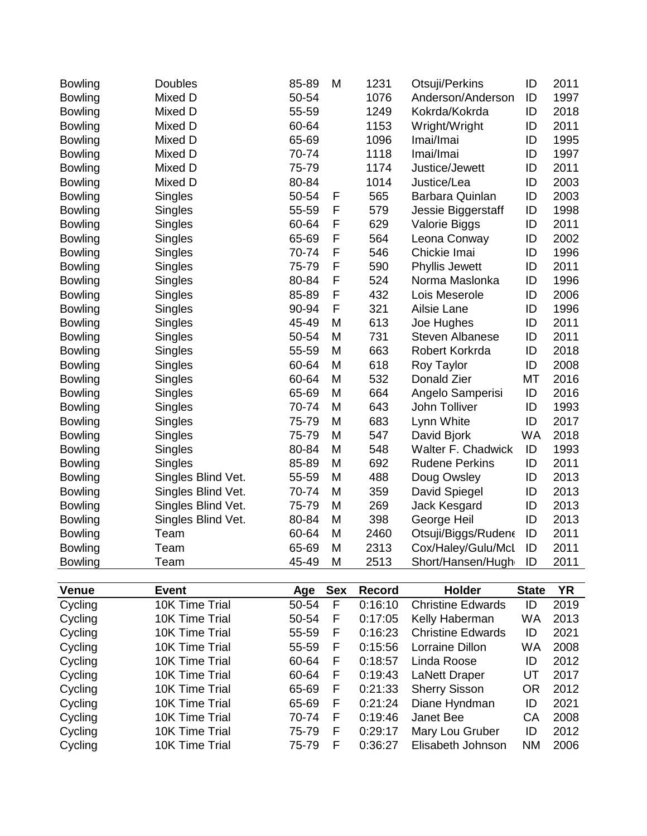| <b>Bowling</b> | <b>Doubles</b>     | 85-89 | M | 1231 | Otsuji/Perkins         | ID        | 2011 |
|----------------|--------------------|-------|---|------|------------------------|-----------|------|
| <b>Bowling</b> | Mixed D            | 50-54 |   | 1076 | Anderson/Anderson      | ID        | 1997 |
| <b>Bowling</b> | Mixed D            | 55-59 |   | 1249 | Kokrda/Kokrda          | ID        | 2018 |
| <b>Bowling</b> | Mixed D            | 60-64 |   | 1153 | Wright/Wright          | ID        | 2011 |
| <b>Bowling</b> | Mixed D            | 65-69 |   | 1096 | Imai/Imai              | ID        | 1995 |
| <b>Bowling</b> | Mixed D            | 70-74 |   | 1118 | Imai/Imai              | ID        | 1997 |
| <b>Bowling</b> | Mixed D            | 75-79 |   | 1174 | Justice/Jewett         | ID        | 2011 |
| <b>Bowling</b> | Mixed D            | 80-84 |   | 1014 | Justice/Lea            | ID        | 2003 |
| <b>Bowling</b> | Singles            | 50-54 | F | 565  | Barbara Quinlan        | ID        | 2003 |
| <b>Bowling</b> | Singles            | 55-59 | F | 579  | Jessie Biggerstaff     | ID        | 1998 |
| <b>Bowling</b> | Singles            | 60-64 | F | 629  | Valorie Biggs          | ID        | 2011 |
| <b>Bowling</b> | Singles            | 65-69 | F | 564  | Leona Conway           | ID        | 2002 |
| <b>Bowling</b> | Singles            | 70-74 | F | 546  | Chickie Imai           | ID        | 1996 |
| <b>Bowling</b> | Singles            | 75-79 | F | 590  | <b>Phyllis Jewett</b>  | ID        | 2011 |
| <b>Bowling</b> | Singles            | 80-84 | F | 524  | Norma Maslonka         | ID        | 1996 |
| <b>Bowling</b> | Singles            | 85-89 | F | 432  | Lois Meserole          | ID        | 2006 |
| <b>Bowling</b> | Singles            | 90-94 | F | 321  | Ailsie Lane            | ID        | 1996 |
| <b>Bowling</b> | Singles            | 45-49 | M | 613  | Joe Hughes             | ID        | 2011 |
| <b>Bowling</b> | Singles            | 50-54 | M | 731  | <b>Steven Albanese</b> | ID        | 2011 |
| <b>Bowling</b> | Singles            | 55-59 | M | 663  | Robert Korkrda         | ID        | 2018 |
| <b>Bowling</b> | Singles            | 60-64 | M | 618  | Roy Taylor             | ID        | 2008 |
| <b>Bowling</b> | Singles            | 60-64 | M | 532  | Donald Zier            | <b>MT</b> | 2016 |
| <b>Bowling</b> | Singles            | 65-69 | M | 664  | Angelo Samperisi       | ID        | 2016 |
| <b>Bowling</b> | Singles            | 70-74 | M | 643  | John Tolliver          | ID        | 1993 |
| <b>Bowling</b> | Singles            | 75-79 | M | 683  | Lynn White             | ID        | 2017 |
| <b>Bowling</b> | Singles            | 75-79 | M | 547  | David Bjork            | <b>WA</b> | 2018 |
| <b>Bowling</b> | Singles            | 80-84 | M | 548  | Walter F. Chadwick     | ID        | 1993 |
| <b>Bowling</b> | Singles            | 85-89 | M | 692  | <b>Rudene Perkins</b>  | ID        | 2011 |
| <b>Bowling</b> | Singles Blind Vet. | 55-59 | M | 488  | Doug Owsley            | ID        | 2013 |
| <b>Bowling</b> | Singles Blind Vet. | 70-74 | M | 359  | David Spiegel          | ID        | 2013 |
| <b>Bowling</b> | Singles Blind Vet. | 75-79 | M | 269  | Jack Kesgard           | ID        | 2013 |
| <b>Bowling</b> | Singles Blind Vet. | 80-84 | M | 398  | George Heil            | ID        | 2013 |
| <b>Bowling</b> | Team               | 60-64 | M | 2460 | Otsuji/Biggs/Rudene    | ID        | 2011 |
| <b>Bowling</b> | Team               | 65-69 | M | 2313 | Cox/Haley/Gulu/McL     | ID        | 2011 |
| <b>Bowling</b> | Team               | 45-49 | M | 2513 | Short/Hansen/Hugh      | ID        | 2011 |

| <b>Venue</b> | Event          | Age   | <b>Sex</b> | Record  | <b>Holder</b>            | <b>State</b> | ΥR   |
|--------------|----------------|-------|------------|---------|--------------------------|--------------|------|
| Cycling      | 10K Time Trial | 50-54 | F          | 0:16:10 | <b>Christine Edwards</b> | ID           | 2019 |
| Cycling      | 10K Time Trial | 50-54 | F          | 0:17:05 | Kelly Haberman           | WA           | 2013 |
| Cycling      | 10K Time Trial | 55-59 | F          | 0:16:23 | <b>Christine Edwards</b> | ID           | 2021 |
| Cycling      | 10K Time Trial | 55-59 | F          | 0:15:56 | Lorraine Dillon          | WA           | 2008 |
| Cycling      | 10K Time Trial | 60-64 | F          | 0:18:57 | Linda Roose              | ID           | 2012 |
| Cycling      | 10K Time Trial | 60-64 | F          | 0:19:43 | <b>LaNett Draper</b>     | UT           | 2017 |
| Cycling      | 10K Time Trial | 65-69 | F          | 0:21:33 | <b>Sherry Sisson</b>     | OR           | 2012 |
| Cycling      | 10K Time Trial | 65-69 | F          | 0:21:24 | Diane Hyndman            | ID           | 2021 |
| Cycling      | 10K Time Trial | 70-74 | F          | 0:19:46 | Janet Bee                | CА           | 2008 |
| Cycling      | 10K Time Trial | 75-79 | F          | 0:29:17 | Mary Lou Gruber          | ID           | 2012 |
| Cycling      | 10K Time Trial | 75-79 | F          | 0:36:27 | Elisabeth Johnson        | <b>NM</b>    | 2006 |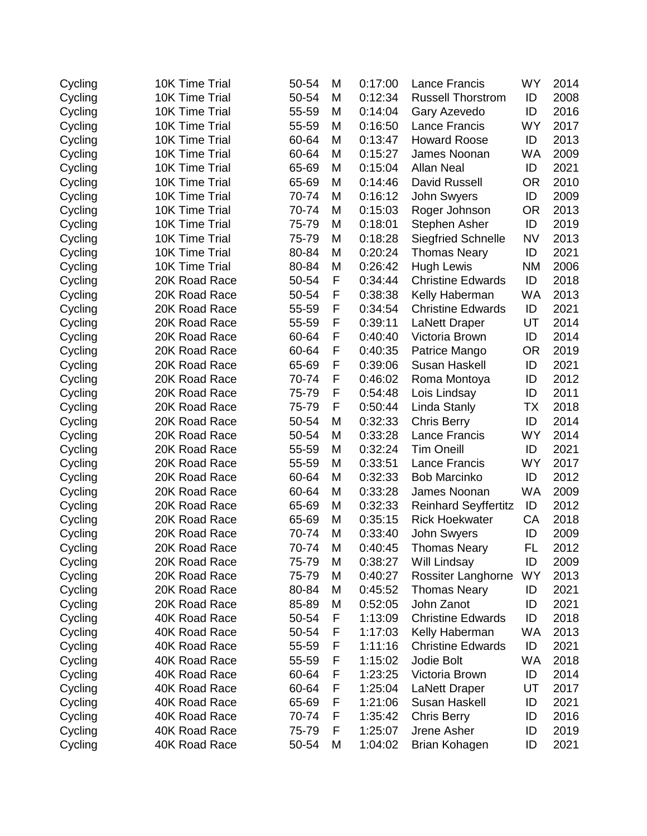| 10K Time Trial | 50-54 | M | 0:17:00 | <b>Lance Francis</b>        | <b>WY</b> | 2014 |
|----------------|-------|---|---------|-----------------------------|-----------|------|
| 10K Time Trial | 50-54 | Μ | 0:12:34 | <b>Russell Thorstrom</b>    | ID        | 2008 |
| 10K Time Trial | 55-59 | M | 0:14:04 | Gary Azevedo                | ID        | 2016 |
| 10K Time Trial | 55-59 | M | 0:16:50 | Lance Francis               | <b>WY</b> | 2017 |
| 10K Time Trial | 60-64 | Μ | 0:13:47 | <b>Howard Roose</b>         | ID        | 2013 |
| 10K Time Trial | 60-64 | M | 0:15:27 | James Noonan                | <b>WA</b> | 2009 |
| 10K Time Trial | 65-69 | Μ | 0:15:04 | <b>Allan Neal</b>           | ID        | 2021 |
| 10K Time Trial | 65-69 | M | 0:14:46 | David Russell               | <b>OR</b> | 2010 |
| 10K Time Trial | 70-74 | M | 0:16:12 | John Swyers                 | ID        | 2009 |
| 10K Time Trial | 70-74 | M | 0:15:03 | Roger Johnson               | <b>OR</b> | 2013 |
| 10K Time Trial | 75-79 | Μ | 0:18:01 | Stephen Asher               | ID        | 2019 |
| 10K Time Trial | 75-79 | M | 0:18:28 | <b>Siegfried Schnelle</b>   | <b>NV</b> | 2013 |
| 10K Time Trial | 80-84 | M | 0:20:24 | <b>Thomas Neary</b>         | ID        | 2021 |
| 10K Time Trial | 80-84 | M | 0:26:42 | <b>Hugh Lewis</b>           | <b>NM</b> | 2006 |
| 20K Road Race  | 50-54 | F | 0:34:44 | <b>Christine Edwards</b>    | ID        | 2018 |
| 20K Road Race  | 50-54 | F | 0:38:38 | Kelly Haberman              | <b>WA</b> | 2013 |
| 20K Road Race  | 55-59 | F | 0:34:54 | <b>Christine Edwards</b>    | ID        | 2021 |
| 20K Road Race  | 55-59 | F | 0:39:11 | <b>LaNett Draper</b>        | UT        | 2014 |
| 20K Road Race  | 60-64 | F | 0:40:40 | Victoria Brown              | ID        | 2014 |
| 20K Road Race  | 60-64 | F | 0:40:35 | Patrice Mango               | <b>OR</b> | 2019 |
| 20K Road Race  | 65-69 | F | 0:39:06 | Susan Haskell               | ID        | 2021 |
| 20K Road Race  | 70-74 | F | 0:46:02 | Roma Montoya                | ID        | 2012 |
| 20K Road Race  | 75-79 | F | 0:54:48 | Lois Lindsay                | ID        | 2011 |
| 20K Road Race  | 75-79 | F | 0:50:44 | Linda Stanly                | ТX        | 2018 |
| 20K Road Race  | 50-54 | М | 0:32:33 | <b>Chris Berry</b>          | ID        | 2014 |
| 20K Road Race  | 50-54 | M | 0:33:28 | <b>Lance Francis</b>        | <b>WY</b> | 2014 |
| 20K Road Race  | 55-59 | M | 0:32:24 | <b>Tim Oneill</b>           | ID        | 2021 |
| 20K Road Race  | 55-59 | M | 0:33:51 | <b>Lance Francis</b>        | <b>WY</b> | 2017 |
| 20K Road Race  | 60-64 | M | 0:32:33 | <b>Bob Marcinko</b>         | ID        | 2012 |
| 20K Road Race  | 60-64 | M | 0:33:28 | James Noonan                | <b>WA</b> | 2009 |
| 20K Road Race  | 65-69 | M | 0:32:33 | <b>Reinhard Seyffertitz</b> | ID        | 2012 |
| 20K Road Race  | 65-69 | M | 0:35:15 | <b>Rick Hoekwater</b>       | CA        | 2018 |
| 20K Road Race  | 70-74 | M | 0:33:40 | John Swyers                 | ID        | 2009 |
| 20K Road Race  | 70-74 | М | 0:40:45 | Thomas Neary                | FL        | 2012 |
| 20K Road Race  | 75-79 | M | 0:38:27 | Will Lindsay                | ID        | 2009 |
| 20K Road Race  | 75-79 | M | 0:40:27 | Rossiter Langhorne          | <b>WY</b> | 2013 |
| 20K Road Race  | 80-84 | M | 0:45:52 | <b>Thomas Neary</b>         | ID        | 2021 |
| 20K Road Race  | 85-89 | Μ | 0:52:05 | John Zanot                  | ID        | 2021 |
| 40K Road Race  | 50-54 | F | 1:13:09 | <b>Christine Edwards</b>    | ID        | 2018 |
| 40K Road Race  | 50-54 | F | 1:17:03 | Kelly Haberman              | WA        | 2013 |
| 40K Road Race  | 55-59 | F | 1:11:16 | <b>Christine Edwards</b>    | ID        | 2021 |
| 40K Road Race  | 55-59 | F | 1:15:02 | Jodie Bolt                  | <b>WA</b> | 2018 |
| 40K Road Race  | 60-64 | F | 1:23:25 | Victoria Brown              | ID        | 2014 |
| 40K Road Race  | 60-64 | F | 1:25:04 | <b>LaNett Draper</b>        | UT        | 2017 |
| 40K Road Race  | 65-69 | F | 1:21:06 | Susan Haskell               | ID        | 2021 |
| 40K Road Race  | 70-74 | F | 1:35:42 | <b>Chris Berry</b>          | ID        | 2016 |
| 40K Road Race  | 75-79 | F | 1:25:07 | Jrene Asher                 | ID        | 2019 |
| 40K Road Race  | 50-54 | M | 1:04:02 | <b>Brian Kohagen</b>        | ID        | 2021 |
|                |       |   |         |                             |           |      |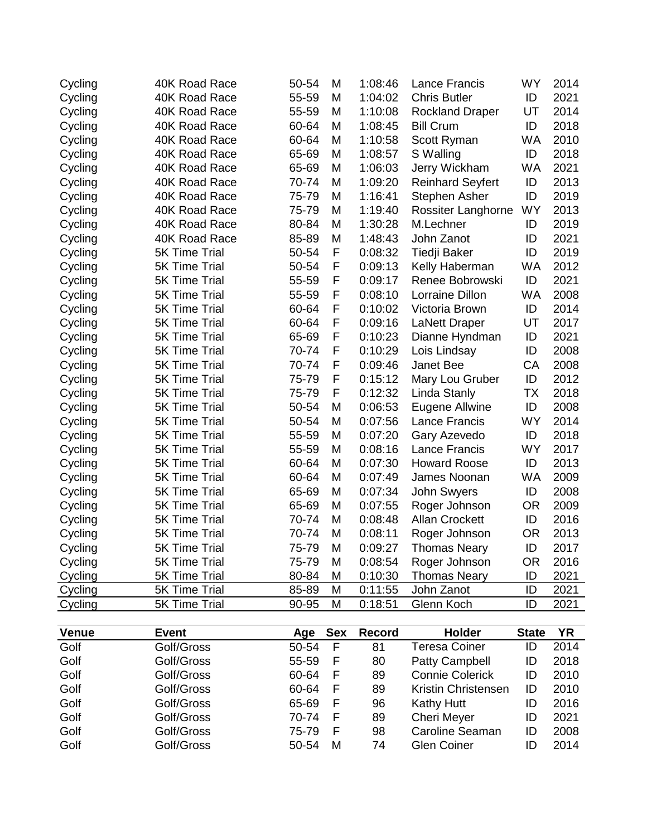| Cycling | 40K Road Race        | 50-54 | M | 1:08:46 | <b>Lance Francis</b>    | <b>WY</b> | 2014 |
|---------|----------------------|-------|---|---------|-------------------------|-----------|------|
| Cycling | 40K Road Race        | 55-59 | Μ | 1:04:02 | <b>Chris Butler</b>     | ID        | 2021 |
| Cycling | 40K Road Race        | 55-59 | M | 1:10:08 | <b>Rockland Draper</b>  | UT        | 2014 |
| Cycling | 40K Road Race        | 60-64 | M | 1:08:45 | <b>Bill Crum</b>        | ID        | 2018 |
| Cycling | 40K Road Race        | 60-64 | M | 1:10:58 | Scott Ryman             | <b>WA</b> | 2010 |
| Cycling | 40K Road Race        | 65-69 | M | 1:08:57 | S Walling               | ID        | 2018 |
| Cycling | 40K Road Race        | 65-69 | Μ | 1:06:03 | Jerry Wickham           | <b>WA</b> | 2021 |
| Cycling | 40K Road Race        | 70-74 | M | 1:09:20 | <b>Reinhard Seyfert</b> | ID        | 2013 |
| Cycling | 40K Road Race        | 75-79 | M | 1:16:41 | <b>Stephen Asher</b>    | ID        | 2019 |
| Cycling | 40K Road Race        | 75-79 | M | 1:19:40 | Rossiter Langhorne      | <b>WY</b> | 2013 |
| Cycling | 40K Road Race        | 80-84 | M | 1:30:28 | M.Lechner               | ID        | 2019 |
| Cycling | 40K Road Race        | 85-89 | M | 1:48:43 | John Zanot              | ID        | 2021 |
| Cycling | <b>5K Time Trial</b> | 50-54 | F | 0:08:32 | <b>Tiedji Baker</b>     | ID        | 2019 |
| Cycling | <b>5K Time Trial</b> | 50-54 | F | 0:09:13 | Kelly Haberman          | <b>WA</b> | 2012 |
| Cycling | <b>5K Time Trial</b> | 55-59 | F | 0:09:17 | Renee Bobrowski         | ID        | 2021 |
| Cycling | <b>5K Time Trial</b> | 55-59 | F | 0:08:10 | <b>Lorraine Dillon</b>  | <b>WA</b> | 2008 |
| Cycling | <b>5K Time Trial</b> | 60-64 | F | 0:10:02 | Victoria Brown          | ID        | 2014 |
| Cycling | <b>5K Time Trial</b> | 60-64 | F | 0:09:16 | <b>LaNett Draper</b>    | UT        | 2017 |
| Cycling | <b>5K Time Trial</b> | 65-69 | F | 0:10:23 | Dianne Hyndman          | ID        | 2021 |
| Cycling | <b>5K Time Trial</b> | 70-74 | F | 0:10:29 | Lois Lindsay            | ID        | 2008 |
| Cycling | <b>5K Time Trial</b> | 70-74 | F | 0:09:46 | Janet Bee               | CA        | 2008 |
| Cycling | 5K Time Trial        | 75-79 | F | 0:15:12 | Mary Lou Gruber         | ID        | 2012 |
| Cycling | 5K Time Trial        | 75-79 | F | 0:12:32 | Linda Stanly            | <b>TX</b> | 2018 |
| Cycling | 5K Time Trial        | 50-54 | M | 0:06:53 | Eugene Allwine          | ID        | 2008 |
| Cycling | 5K Time Trial        | 50-54 | M | 0:07:56 | Lance Francis           | <b>WY</b> | 2014 |
| Cycling | <b>5K Time Trial</b> | 55-59 | M | 0:07:20 | Gary Azevedo            | ID        | 2018 |
| Cycling | <b>5K Time Trial</b> | 55-59 | M | 0:08:16 | <b>Lance Francis</b>    | <b>WY</b> | 2017 |
| Cycling | <b>5K Time Trial</b> | 60-64 | M | 0:07:30 | <b>Howard Roose</b>     | ID        | 2013 |
| Cycling | <b>5K Time Trial</b> | 60-64 | M | 0:07:49 | James Noonan            | <b>WA</b> | 2009 |
| Cycling | <b>5K Time Trial</b> | 65-69 | M | 0:07:34 | John Swyers             | ID        | 2008 |
| Cycling | <b>5K Time Trial</b> | 65-69 | M | 0:07:55 | Roger Johnson           | <b>OR</b> | 2009 |
| Cycling | 5K Time Trial        | 70-74 | M | 0:08:48 | <b>Allan Crockett</b>   | ID        | 2016 |
| Cycling | <b>5K Time Trial</b> | 70-74 | M | 0:08:11 | Roger Johnson           | <b>OR</b> | 2013 |
| Cycling | <b>5K Time Trial</b> | 75-79 | M | 0:09:27 | <b>Thomas Neary</b>     | ID        | 2017 |
| Cycling | <b>5K Time Trial</b> | 75-79 | M | 0:08:54 | Roger Johnson           | <b>OR</b> | 2016 |
| Cycling | 5K Time Trial        | 80-84 | M | 0:10:30 | <b>Thomas Neary</b>     | ID        | 2021 |
| Cycling | 5K Time Trial        | 85-89 | M | 0:11:55 | John Zanot              | ID        | 2021 |
| Cycling | 5K Time Trial        | 90-95 | M | 0:18:51 | Glenn Koch              | ID        | 2021 |

| <b>Venue</b> | <b>Event</b> | Aqe   | <b>Sex</b> | Record | <b>Holder</b>          | <b>State</b> | <b>YR</b> |
|--------------|--------------|-------|------------|--------|------------------------|--------------|-----------|
| Golf         | Golf/Gross   | 50-54 | F          | 81     | Teresa Coiner          | ID           | 2014      |
| Golf         | Golf/Gross   | 55-59 | F          | 80     | <b>Patty Campbell</b>  | ID           | 2018      |
| Golf         | Golf/Gross   | 60-64 | F          | 89     | <b>Connie Colerick</b> | ID           | 2010      |
| Golf         | Golf/Gross   | 60-64 | F          | 89     | Kristin Christensen    | ID           | 2010      |
| Golf         | Golf/Gross   | 65-69 | F          | 96     | <b>Kathy Hutt</b>      | ID           | 2016      |
| Golf         | Golf/Gross   | 70-74 | F          | 89     | <b>Cheri Meyer</b>     | ID           | 2021      |
| Golf         | Golf/Gross   | 75-79 | F          | 98     | Caroline Seaman        |              | 2008      |
| Golf         | Golf/Gross   | 50-54 | М          | 74     | Glen Coiner            |              | 2014      |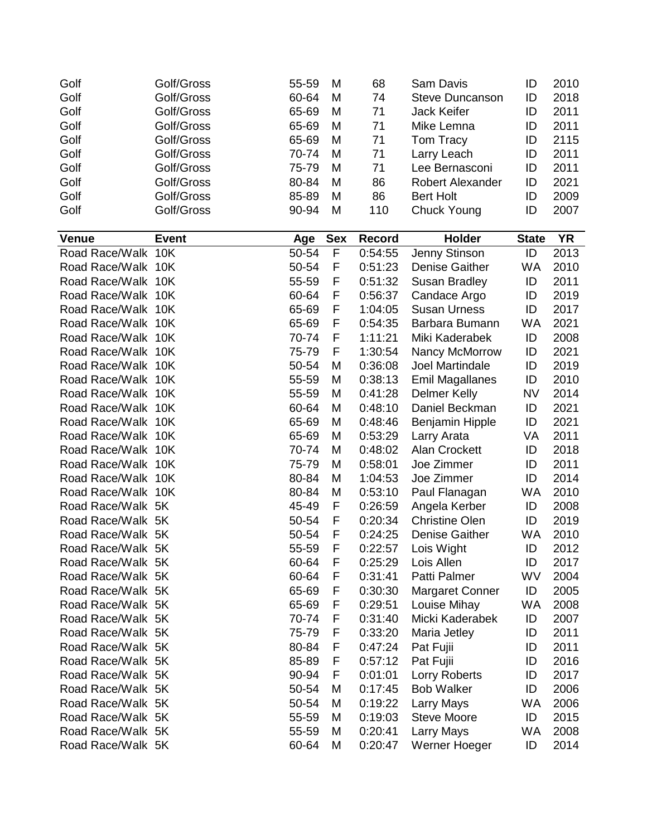| Golf               | Golf/Gross   | 55-59 | M          | 68            | Sam Davis               | ID           | 2010      |
|--------------------|--------------|-------|------------|---------------|-------------------------|--------------|-----------|
| Golf               | Golf/Gross   | 60-64 | M          | 74            | <b>Steve Duncanson</b>  | ID           | 2018      |
| Golf               | Golf/Gross   | 65-69 | M          | 71            | Jack Keifer             | ID           | 2011      |
| Golf               | Golf/Gross   | 65-69 | M          | 71            | Mike Lemna              | ID           | 2011      |
| Golf               | Golf/Gross   | 65-69 | M          | 71            | Tom Tracy               | ID           | 2115      |
| Golf               | Golf/Gross   | 70-74 | M          | 71            | Larry Leach             | ID           | 2011      |
| Golf               | Golf/Gross   | 75-79 | M          | 71            | Lee Bernasconi          | ID           | 2011      |
| Golf               | Golf/Gross   | 80-84 | M          | 86            | <b>Robert Alexander</b> | ID           | 2021      |
| Golf               | Golf/Gross   | 85-89 | M          | 86            | <b>Bert Holt</b>        | ID           | 2009      |
| Golf               | Golf/Gross   | 90-94 | M          | 110           | <b>Chuck Young</b>      | ID           | 2007      |
|                    |              |       |            |               |                         |              |           |
| <b>Venue</b>       | <b>Event</b> | Age   | <b>Sex</b> | <b>Record</b> | Holder                  | <b>State</b> | <b>YR</b> |
| Road Race/Walk 10K |              | 50-54 | F          | 0:54:55       | Jenny Stinson           | ID           | 2013      |
| Road Race/Walk 10K |              | 50-54 | F          | 0:51:23       | <b>Denise Gaither</b>   | <b>WA</b>    | 2010      |
| Road Race/Walk 10K |              | 55-59 | F          | 0:51:32       | Susan Bradley           | ID           | 2011      |
| Road Race/Walk 10K |              | 60-64 | F          | 0:56:37       | Candace Argo            | ID           | 2019      |
| Road Race/Walk 10K |              | 65-69 | F          | 1:04:05       | <b>Susan Urness</b>     | ID           | 2017      |
| Road Race/Walk 10K |              | 65-69 | F          | 0:54:35       | Barbara Bumann          | <b>WA</b>    | 2021      |
| Road Race/Walk 10K |              | 70-74 | F          | 1:11:21       | Miki Kaderabek          | ID           | 2008      |
| Road Race/Walk 10K |              | 75-79 | F          | 1:30:54       | Nancy McMorrow          | ID           | 2021      |
| Road Race/Walk 10K |              | 50-54 | M          | 0:36:08       | Joel Martindale         | ID           | 2019      |
| Road Race/Walk 10K |              | 55-59 | M          | 0:38:13       | <b>Emil Magallanes</b>  | ID           | 2010      |
| Road Race/Walk 10K |              | 55-59 | M          | 0:41:28       | <b>Delmer Kelly</b>     | <b>NV</b>    | 2014      |
| Road Race/Walk 10K |              | 60-64 | M          | 0:48:10       | Daniel Beckman          | ID           | 2021      |
| Road Race/Walk 10K |              | 65-69 | M          | 0:48:46       | <b>Benjamin Hipple</b>  | ID           | 2021      |
| Road Race/Walk 10K |              | 65-69 | M          | 0:53:29       | Larry Arata             | VA           | 2011      |
| Road Race/Walk 10K |              | 70-74 | M          | 0:48:02       | <b>Alan Crockett</b>    | ID           | 2018      |
| Road Race/Walk 10K |              | 75-79 | M          | 0:58:01       | Joe Zimmer              | ID           | 2011      |
| Road Race/Walk 10K |              | 80-84 | M          | 1:04:53       | Joe Zimmer              | ID           | 2014      |
| Road Race/Walk 10K |              | 80-84 | M          | 0:53:10       | Paul Flanagan           | <b>WA</b>    | 2010      |
| Road Race/Walk 5K  |              | 45-49 | F          | 0:26:59       | Angela Kerber           | ID           | 2008      |
| Road Race/Walk 5K  |              | 50-54 | F          | 0:20:34       | <b>Christine Olen</b>   | ID           | 2019      |
| Road Race/Walk 5K  |              | 50-54 | F          | 0:24:25       | <b>Denise Gaither</b>   | <b>WA</b>    | 2010      |
| Road Race/Walk 5K  |              | 55-59 | F          | 0:22:57       | Lois Wight              | ID           | 2012      |
| Road Race/Walk 5K  |              | 60-64 | F          | 0:25:29       | Lois Allen              | ID           | 2017      |
| Road Race/Walk 5K  |              | 60-64 | F          | 0:31:41       | Patti Palmer            | WV           | 2004      |
| Road Race/Walk 5K  |              | 65-69 | F          | 0:30:30       | <b>Margaret Conner</b>  | ID           | 2005      |
| Road Race/Walk 5K  |              | 65-69 | F          | 0:29:51       | Louise Mihay            | <b>WA</b>    | 2008      |
| Road Race/Walk 5K  |              | 70-74 | F          | 0:31:40       | Micki Kaderabek         | ID           | 2007      |
| Road Race/Walk 5K  |              | 75-79 | F          | 0:33:20       | Maria Jetley            | ID           | 2011      |
| Road Race/Walk 5K  |              | 80-84 | F          | 0:47:24       | Pat Fujii               | ID           | 2011      |
| Road Race/Walk 5K  |              | 85-89 | F          | 0:57:12       | Pat Fujii               | ID           | 2016      |
| Road Race/Walk 5K  |              | 90-94 | F          | 0:01:01       | Lorry Roberts           | ID           | 2017      |
| Road Race/Walk 5K  |              | 50-54 | M          | 0:17:45       | <b>Bob Walker</b>       | ID           | 2006      |
| Road Race/Walk 5K  |              | 50-54 | M          | 0:19:22       | Larry Mays              | <b>WA</b>    | 2006      |
| Road Race/Walk 5K  |              | 55-59 | M          | 0:19:03       | <b>Steve Moore</b>      | ID           | 2015      |
| Road Race/Walk 5K  |              | 55-59 | M          | 0:20:41       | Larry Mays              | WA           | 2008      |
| Road Race/Walk 5K  |              | 60-64 | M          | 0:20:47       | Werner Hoeger           | ID           | 2014      |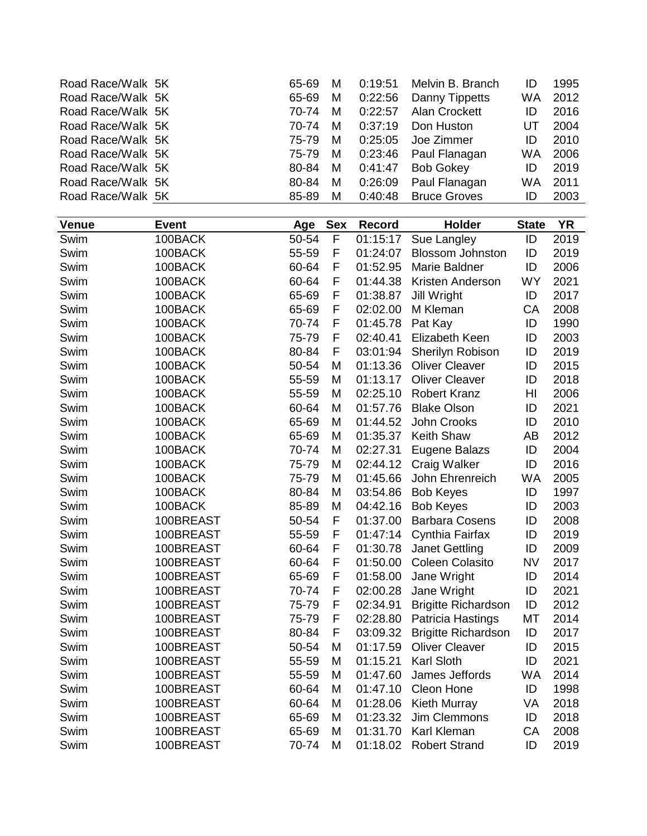| Road Race/Walk 5K |              | 65-69 | M          | 0:19:51       | Melvin B. Branch           | ID           | 1995      |
|-------------------|--------------|-------|------------|---------------|----------------------------|--------------|-----------|
| Road Race/Walk 5K |              | 65-69 | M          | 0:22:56       | Danny Tippetts             | <b>WA</b>    | 2012      |
| Road Race/Walk 5K |              | 70-74 | M          | 0:22:57       | <b>Alan Crockett</b>       | ID           | 2016      |
| Road Race/Walk 5K |              | 70-74 | M          | 0:37:19       | Don Huston                 | UT           | 2004      |
| Road Race/Walk 5K |              | 75-79 | M          | 0:25:05       | Joe Zimmer                 | ID           | 2010      |
| Road Race/Walk 5K |              | 75-79 | M          | 0:23:46       | Paul Flanagan              | <b>WA</b>    | 2006      |
| Road Race/Walk 5K |              | 80-84 | M          | 0:41:47       | <b>Bob Gokey</b>           | ID           | 2019      |
| Road Race/Walk 5K |              | 80-84 | M          | 0:26:09       | Paul Flanagan              | <b>WA</b>    | 2011      |
| Road Race/Walk 5K |              | 85-89 | M          | 0:40:48       | <b>Bruce Groves</b>        | ID           | 2003      |
|                   |              |       |            |               |                            |              |           |
| <b>Venue</b>      | <b>Event</b> | Age   | <b>Sex</b> | <b>Record</b> | Holder                     | <b>State</b> | <b>YR</b> |
| Swim              | 100BACK      | 50-54 | F          | 01:15:17      | Sue Langley                | ID           | 2019      |
| Swim              | 100BACK      | 55-59 | F          | 01:24:07      | <b>Blossom Johnston</b>    | ID           | 2019      |
| Swim              | 100BACK      | 60-64 | F          | 01:52.95      | Marie Baldner              | ID           | 2006      |
| Swim              | 100BACK      | 60-64 | F          | 01:44.38      | Kristen Anderson           | <b>WY</b>    | 2021      |
| Swim              | 100BACK      | 65-69 | F          | 01:38.87      | Jill Wright                | ID           | 2017      |
| Swim              | 100BACK      | 65-69 | F          | 02:02.00      | M Kleman                   | CA           | 2008      |
| Swim              | 100BACK      | 70-74 | F          | 01:45.78      | Pat Kay                    | ID           | 1990      |
| Swim              | 100BACK      | 75-79 | F          | 02:40.41      | Elizabeth Keen             | ID           | 2003      |
| Swim              | 100BACK      | 80-84 | F          | 03:01:94      | Sherilyn Robison           | ID           | 2019      |
| Swim              | 100BACK      | 50-54 | M          | 01:13.36      | <b>Oliver Cleaver</b>      | ID           | 2015      |
| Swim              | 100BACK      | 55-59 | M          | 01:13.17      | <b>Oliver Cleaver</b>      | ID           | 2018      |
| Swim              | 100BACK      | 55-59 | M          | 02:25.10      | <b>Robert Kranz</b>        | HI           | 2006      |
| Swim              | 100BACK      | 60-64 | M          | 01:57.76      | <b>Blake Olson</b>         | ID           | 2021      |
|                   | 100BACK      | 65-69 | M          | 01:44.52      | John Crooks                | ID           | 2010      |
| Swim              |              |       |            |               |                            |              |           |
| Swim              | 100BACK      | 65-69 | M          | 01:35.37      | <b>Keith Shaw</b>          | AB<br>ID     | 2012      |
| Swim              | 100BACK      | 70-74 | M          | 02:27.31      | Eugene Balazs              |              | 2004      |
| Swim              | 100BACK      | 75-79 | M          | 02:44.12      | Craig Walker               | ID           | 2016      |
| Swim              | 100BACK      | 75-79 | M          | 01:45.66      | John Ehrenreich            | <b>WA</b>    | 2005      |
| Swim              | 100BACK      | 80-84 | M          | 03:54.86      | <b>Bob Keyes</b>           | ID           | 1997      |
| Swim              | 100BACK      | 85-89 | M          | 04:42.16      | <b>Bob Keyes</b>           | ID           | 2003      |
| Swim              | 100BREAST    | 50-54 | F          | 01:37.00      | <b>Barbara Cosens</b>      | ID           | 2008      |
| Swim              | 100BREAST    | 55-59 | F          | 01:47:14      | Cynthia Fairfax            | ID           | 2019      |
| Swim              | 100BREAST    | 60-64 | F          |               | 01:30.78 Janet Gettling    | ID           | 2009      |
| Swim              | 100BREAST    | 60-64 | F          | 01:50.00      | <b>Coleen Colasito</b>     | <b>NV</b>    | 2017      |
| Swim              | 100BREAST    | 65-69 | F          | 01:58.00      | Jane Wright                | ID           | 2014      |
| Swim              | 100BREAST    | 70-74 | F          | 02:00.28      | Jane Wright                | ID           | 2021      |
| Swim              | 100BREAST    | 75-79 | F          | 02:34.91      | <b>Brigitte Richardson</b> | ID           | 2012      |
| Swim              | 100BREAST    | 75-79 | F          | 02:28.80      | Patricia Hastings          | МT           | 2014      |
| Swim              | 100BREAST    | 80-84 | F          | 03:09.32      | <b>Brigitte Richardson</b> | ID           | 2017      |
| Swim              | 100BREAST    | 50-54 | M          | 01:17.59      | <b>Oliver Cleaver</b>      | ID           | 2015      |
| Swim              | 100BREAST    | 55-59 | M          | 01:15.21      | <b>Karl Sloth</b>          | ID           | 2021      |
| Swim              | 100BREAST    | 55-59 | M          | 01:47.60      | James Jeffords             | WA           | 2014      |
| Swim              | 100BREAST    | 60-64 | M          | 01:47.10      | Cleon Hone                 | ID           | 1998      |
| Swim              | 100BREAST    | 60-64 | M          | 01:28.06      | <b>Kieth Murray</b>        | VA           | 2018      |
| Swim              | 100BREAST    | 65-69 | M          | 01:23.32      | Jim Clemmons               | ID           | 2018      |
| Swim              | 100BREAST    | 65-69 | M          | 01:31.70      | <b>Karl Kleman</b>         | CA           | 2008      |
| Swim              | 100BREAST    | 70-74 | M          | 01:18.02      | <b>Robert Strand</b>       | ID           | 2019      |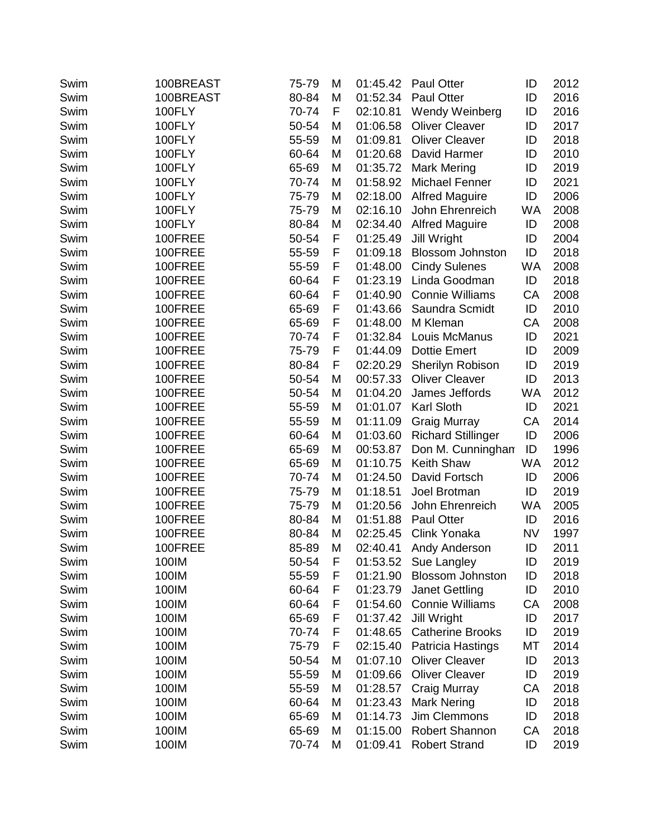| Swim | 100BREAST | 75-79 | M | 01:45.42 | <b>Paul Otter</b>         | ID        | 2012 |
|------|-----------|-------|---|----------|---------------------------|-----------|------|
| Swim | 100BREAST | 80-84 | M | 01:52.34 | <b>Paul Otter</b>         | ID        | 2016 |
| Swim | 100FLY    | 70-74 | F | 02:10.81 | Wendy Weinberg            | ID        | 2016 |
| Swim | 100FLY    | 50-54 | M | 01:06.58 | <b>Oliver Cleaver</b>     | ID        | 2017 |
| Swim | 100FLY    | 55-59 | M | 01:09.81 | <b>Oliver Cleaver</b>     | ID        | 2018 |
| Swim | 100FLY    | 60-64 | M | 01:20.68 | David Harmer              | ID        | 2010 |
| Swim | 100FLY    | 65-69 | M | 01:35.72 | Mark Mering               | ID        | 2019 |
| Swim | 100FLY    | 70-74 | M | 01:58.92 | Michael Fenner            | ID        | 2021 |
| Swim | 100FLY    | 75-79 | M | 02:18.00 | <b>Alfred Maguire</b>     | ID        | 2006 |
| Swim | 100FLY    | 75-79 | M | 02:16.10 | John Ehrenreich           | <b>WA</b> | 2008 |
| Swim | 100FLY    | 80-84 | M | 02:34.40 | <b>Alfred Maguire</b>     | ID        | 2008 |
| Swim | 100FREE   | 50-54 | F | 01:25.49 | <b>Jill Wright</b>        | ID        | 2004 |
| Swim | 100FREE   | 55-59 | F | 01:09.18 | <b>Blossom Johnston</b>   | ID        | 2018 |
| Swim | 100FREE   | 55-59 | F | 01:48.00 | <b>Cindy Sulenes</b>      | <b>WA</b> | 2008 |
| Swim | 100FREE   | 60-64 | F | 01:23.19 | Linda Goodman             | ID        | 2018 |
| Swim | 100FREE   | 60-64 | F | 01:40.90 | <b>Connie Williams</b>    | CA        | 2008 |
| Swim | 100FREE   | 65-69 | F | 01:43.66 | Saundra Scmidt            | ID        | 2010 |
| Swim | 100FREE   | 65-69 | F | 01:48.00 | M Kleman                  | CA        | 2008 |
| Swim | 100FREE   | 70-74 | F | 01:32.84 | Louis McManus             | ID        | 2021 |
| Swim | 100FREE   | 75-79 | F | 01:44.09 | <b>Dottie Emert</b>       | ID        | 2009 |
| Swim | 100FREE   | 80-84 | F | 02:20.29 | Sherilyn Robison          | ID        | 2019 |
| Swim | 100FREE   | 50-54 | M | 00:57.33 | <b>Oliver Cleaver</b>     | ID        | 2013 |
| Swim | 100FREE   | 50-54 | M | 01:04.20 | James Jeffords            | <b>WA</b> | 2012 |
| Swim | 100FREE   | 55-59 | M | 01:01.07 | Karl Sloth                | ID        | 2021 |
| Swim | 100FREE   | 55-59 | Μ | 01:11.09 | <b>Graig Murray</b>       | CA        | 2014 |
| Swim | 100FREE   | 60-64 | M | 01:03.60 | <b>Richard Stillinger</b> | ID        | 2006 |
| Swim | 100FREE   | 65-69 | M | 00:53.87 | Don M. Cunningham         | ID        | 1996 |
| Swim | 100FREE   | 65-69 | M | 01:10.75 | <b>Keith Shaw</b>         | <b>WA</b> | 2012 |
| Swim | 100FREE   | 70-74 | M | 01:24.50 | David Fortsch             | ID        | 2006 |
| Swim | 100FREE   | 75-79 | M | 01:18.51 | Joel Brotman              | ID        | 2019 |
| Swim | 100FREE   | 75-79 | M | 01:20.56 | John Ehrenreich           | <b>WA</b> | 2005 |
| Swim | 100FREE   | 80-84 | M | 01:51.88 | <b>Paul Otter</b>         | ID        | 2016 |
| Swim | 100FREE   | 80-84 | M | 02:25.45 | Clink Yonaka              | <b>NV</b> | 1997 |
| Swim | 100FREE   | 85-89 | М | 02:40.41 | Andy Anderson             | ID        | 2011 |
| Swim | 100IM     | 50-54 | F |          | 01:53.52 Sue Langley      | ID        | 2019 |
| Swim | 100IM     | 55-59 | F | 01:21.90 | <b>Blossom Johnston</b>   | ID        | 2018 |
| Swim | 100IM     | 60-64 | F | 01:23.79 | <b>Janet Gettling</b>     | ID        | 2010 |
| Swim | 100IM     | 60-64 | F | 01:54.60 | <b>Connie Williams</b>    | CA        | 2008 |
| Swim | 100IM     | 65-69 | F | 01:37.42 | Jill Wright               | ID        | 2017 |
| Swim | 100IM     | 70-74 | F | 01:48.65 | <b>Catherine Brooks</b>   | ID        | 2019 |
| Swim | 100IM     | 75-79 | F | 02:15.40 | Patricia Hastings         | MT        | 2014 |
| Swim | 100IM     | 50-54 | M | 01:07.10 | <b>Oliver Cleaver</b>     | ID        | 2013 |
| Swim | 100IM     | 55-59 | M | 01:09.66 | <b>Oliver Cleaver</b>     | ID        | 2019 |
| Swim | 100IM     | 55-59 | M | 01:28.57 | Craig Murray              | CA        | 2018 |
| Swim | 100IM     | 60-64 | M | 01:23.43 | <b>Mark Nering</b>        | ID        | 2018 |
| Swim | 100IM     | 65-69 | M | 01:14.73 | Jim Clemmons              | ID        | 2018 |
| Swim | 100IM     | 65-69 | M | 01:15.00 | Robert Shannon            | CA        | 2018 |
| Swim | 100IM     | 70-74 | M | 01:09.41 | <b>Robert Strand</b>      | ID        | 2019 |
|      |           |       |   |          |                           |           |      |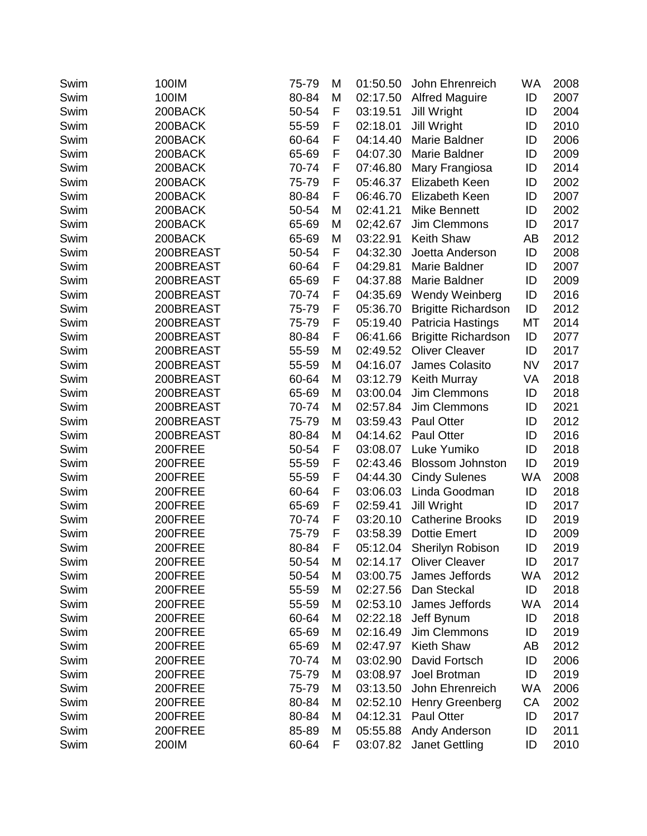| Swim | 100IM     | 75-79 | M | 01:50.50 | John Ehrenreich            | WA        | 2008 |
|------|-----------|-------|---|----------|----------------------------|-----------|------|
| Swim | 100IM     | 80-84 | M | 02:17.50 | <b>Alfred Maguire</b>      | ID        | 2007 |
| Swim | 200BACK   | 50-54 | F | 03:19.51 | <b>Jill Wright</b>         | ID        | 2004 |
| Swim | 200BACK   | 55-59 | F | 02:18.01 | Jill Wright                | ID        | 2010 |
| Swim | 200BACK   | 60-64 | F | 04:14.40 | Marie Baldner              | ID        | 2006 |
| Swim | 200BACK   | 65-69 | F | 04:07.30 | Marie Baldner              | ID        | 2009 |
| Swim | 200BACK   | 70-74 | F | 07:46.80 | Mary Frangiosa             | ID        | 2014 |
| Swim | 200BACK   | 75-79 | F | 05:46.37 | Elizabeth Keen             | ID        | 2002 |
| Swim | 200BACK   | 80-84 | F | 06:46.70 | Elizabeth Keen             | ID        | 2007 |
| Swim | 200BACK   | 50-54 | M | 02:41.21 | <b>Mike Bennett</b>        | ID        | 2002 |
| Swim | 200BACK   | 65-69 | M | 02;42.67 | Jim Clemmons               | ID        | 2017 |
| Swim | 200BACK   | 65-69 | M | 03:22.91 | <b>Keith Shaw</b>          | AB        | 2012 |
| Swim | 200BREAST | 50-54 | F | 04:32.30 | Joetta Anderson            | ID        | 2008 |
| Swim | 200BREAST | 60-64 | F | 04:29.81 | Marie Baldner              | ID        | 2007 |
| Swim | 200BREAST | 65-69 | F | 04:37.88 | Marie Baldner              | ID        | 2009 |
| Swim | 200BREAST | 70-74 | F | 04:35.69 | Wendy Weinberg             | ID        | 2016 |
| Swim | 200BREAST | 75-79 | F | 05:36.70 | <b>Brigitte Richardson</b> | ID        | 2012 |
| Swim | 200BREAST | 75-79 | F | 05:19.40 | Patricia Hastings          | MT        | 2014 |
| Swim | 200BREAST | 80-84 | F | 06:41.66 | <b>Brigitte Richardson</b> | ID        | 2077 |
| Swim | 200BREAST | 55-59 | M | 02:49.52 | <b>Oliver Cleaver</b>      | ID        | 2017 |
| Swim | 200BREAST | 55-59 | M | 04:16.07 | James Colasito             | <b>NV</b> | 2017 |
| Swim | 200BREAST | 60-64 | M | 03:12.79 | <b>Keith Murray</b>        | VA        | 2018 |
| Swim | 200BREAST | 65-69 | M | 03:00.04 | Jim Clemmons               | ID        | 2018 |
| Swim | 200BREAST | 70-74 | M | 02:57.84 | Jim Clemmons               | ID        | 2021 |
| Swim | 200BREAST | 75-79 | M | 03:59.43 | <b>Paul Otter</b>          | ID        | 2012 |
| Swim | 200BREAST | 80-84 | M | 04:14.62 | <b>Paul Otter</b>          | ID        | 2016 |
| Swim | 200FREE   | 50-54 | F | 03:08.07 | Luke Yumiko                | ID        | 2018 |
| Swim | 200FREE   | 55-59 | F | 02:43.46 | <b>Blossom Johnston</b>    | ID        | 2019 |
| Swim | 200FREE   | 55-59 | F | 04:44.30 | <b>Cindy Sulenes</b>       | <b>WA</b> | 2008 |
| Swim | 200FREE   | 60-64 | F | 03:06.03 | Linda Goodman              | ID        | 2018 |
| Swim | 200FREE   | 65-69 | F | 02:59.41 | Jill Wright                | ID        | 2017 |
| Swim | 200FREE   | 70-74 | F | 03:20.10 | <b>Catherine Brooks</b>    | ID        | 2019 |
| Swim | 200FREE   | 75-79 | F | 03:58.39 | <b>Dottie Emert</b>        | ID        | 2009 |
| Swim | 200FREE   | 80-84 | F |          | 05:12.04 Sherilyn Robison  | ID        | 2019 |
| Swim | 200FREE   | 50-54 | M |          | 02:14.17 Oliver Cleaver    | ID        | 2017 |
| Swim | 200FREE   | 50-54 | M | 03:00.75 | James Jeffords             | WA        | 2012 |
| Swim | 200FREE   | 55-59 | M | 02:27.56 | Dan Steckal                | ID        | 2018 |
| Swim | 200FREE   | 55-59 | M | 02:53.10 | James Jeffords             | WA        | 2014 |
| Swim | 200FREE   | 60-64 | M | 02:22.18 | Jeff Bynum                 | ID        | 2018 |
| Swim | 200FREE   | 65-69 | M | 02:16.49 | Jim Clemmons               | ID        | 2019 |
| Swim | 200FREE   | 65-69 | M | 02:47.97 | Kieth Shaw                 | AB        | 2012 |
| Swim | 200FREE   | 70-74 | M | 03:02.90 | David Fortsch              | ID        | 2006 |
| Swim | 200FREE   | 75-79 | M | 03:08.97 | Joel Brotman               | ID        | 2019 |
| Swim | 200FREE   | 75-79 | M | 03:13.50 | John Ehrenreich            | WA        | 2006 |
| Swim | 200FREE   | 80-84 | M | 02:52.10 | <b>Henry Greenberg</b>     | CA        | 2002 |
| Swim | 200FREE   | 80-84 | M | 04:12.31 | Paul Otter                 | ID        | 2017 |
| Swim | 200FREE   | 85-89 | M | 05:55.88 | Andy Anderson              | ID        | 2011 |
| Swim | 200IM     | 60-64 | F | 03:07.82 | <b>Janet Gettling</b>      | ID        | 2010 |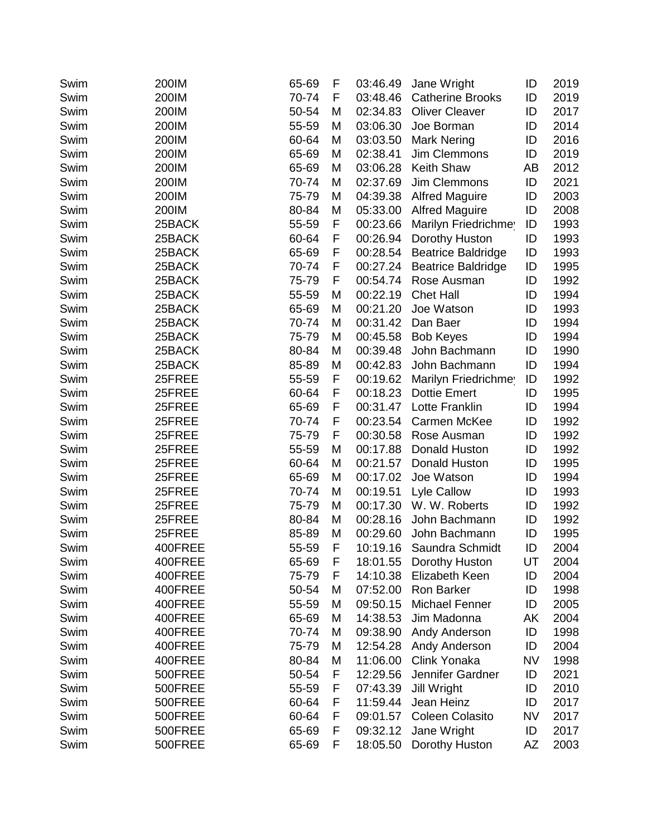| Swim | 200IM   | 65-69 | F | 03:46.49 | Jane Wright               | ID        | 2019 |
|------|---------|-------|---|----------|---------------------------|-----------|------|
| Swim | 200IM   | 70-74 | F | 03:48.46 | <b>Catherine Brooks</b>   | ID        | 2019 |
| Swim | 200IM   | 50-54 | M | 02:34.83 | <b>Oliver Cleaver</b>     | ID        | 2017 |
| Swim | 200IM   | 55-59 | M | 03:06.30 | Joe Borman                | ID        | 2014 |
| Swim | 200IM   | 60-64 | M | 03:03.50 | <b>Mark Nering</b>        | ID        | 2016 |
| Swim | 200IM   | 65-69 | M | 02:38.41 | <b>Jim Clemmons</b>       | ID        | 2019 |
| Swim | 200IM   | 65-69 | M | 03:06.28 | Keith Shaw                | AB        | 2012 |
| Swim | 200IM   | 70-74 | M | 02:37.69 | Jim Clemmons              | ID        | 2021 |
| Swim | 200IM   | 75-79 | M | 04:39.38 | <b>Alfred Maguire</b>     | ID        | 2003 |
| Swim | 200IM   | 80-84 | M | 05:33.00 | <b>Alfred Maguire</b>     | ID        | 2008 |
| Swim | 25BACK  | 55-59 | F | 00:23.66 | Marilyn Friedrichmey      | ID        | 1993 |
| Swim | 25BACK  | 60-64 | F | 00:26.94 | Dorothy Huston            | ID        | 1993 |
| Swim | 25BACK  | 65-69 | F | 00:28.54 | <b>Beatrice Baldridge</b> | ID        | 1993 |
| Swim | 25BACK  | 70-74 | F | 00:27.24 | <b>Beatrice Baldridge</b> | ID        | 1995 |
| Swim | 25BACK  | 75-79 | F | 00:54.74 | Rose Ausman               | ID        | 1992 |
| Swim | 25BACK  | 55-59 | M | 00:22.19 | <b>Chet Hall</b>          | ID        | 1994 |
| Swim | 25BACK  | 65-69 | M | 00:21.20 | Joe Watson                | ID        | 1993 |
| Swim | 25BACK  | 70-74 | M | 00:31.42 | Dan Baer                  | ID        | 1994 |
| Swim | 25BACK  | 75-79 | M | 00:45.58 | <b>Bob Keyes</b>          | ID        | 1994 |
| Swim | 25BACK  | 80-84 | M | 00:39.48 | John Bachmann             | ID        | 1990 |
| Swim | 25BACK  | 85-89 | M | 00:42.83 | John Bachmann             | ID        | 1994 |
| Swim | 25FREE  | 55-59 | F | 00:19.62 | Marilyn Friedrichmey      | ID        | 1992 |
| Swim | 25FREE  | 60-64 | F | 00:18.23 | <b>Dottie Emert</b>       | ID        | 1995 |
| Swim | 25FREE  | 65-69 | F | 00:31.47 | Lotte Franklin            | ID        | 1994 |
| Swim | 25FREE  | 70-74 | F | 00:23.54 | Carmen McKee              | ID        | 1992 |
| Swim | 25FREE  | 75-79 | F | 00:30.58 | Rose Ausman               | ID        | 1992 |
| Swim | 25FREE  | 55-59 | M | 00:17.88 | Donald Huston             | ID        | 1992 |
| Swim | 25FREE  | 60-64 | M | 00:21.57 | Donald Huston             | ID        | 1995 |
| Swim | 25FREE  | 65-69 | M | 00:17.02 | Joe Watson                | ID        | 1994 |
| Swim | 25FREE  | 70-74 | M | 00:19.51 | Lyle Callow               | ID        | 1993 |
| Swim | 25FREE  | 75-79 | M | 00:17.30 | W. W. Roberts             | ID        | 1992 |
| Swim | 25FREE  | 80-84 | M | 00:28.16 | John Bachmann             | ID        | 1992 |
| Swim | 25FREE  | 85-89 | M | 00:29.60 | John Bachmann             | ID        | 1995 |
| Swim | 400FREE | 55-59 | F |          | 10:19.16 Saundra Schmidt  | ID        | 2004 |
| Swim | 400FREE | 65-69 | F | 18:01.55 | Dorothy Huston            | UT        | 2004 |
| Swim | 400FREE | 75-79 | F | 14:10.38 | Elizabeth Keen            | ID        | 2004 |
| Swim | 400FREE | 50-54 | M | 07:52.00 | Ron Barker                | ID        | 1998 |
| Swim | 400FREE | 55-59 | М | 09:50.15 | <b>Michael Fenner</b>     | ID        | 2005 |
| Swim | 400FREE | 65-69 | M | 14:38.53 | Jim Madonna               | AΚ        | 2004 |
| Swim | 400FREE | 70-74 | M | 09:38.90 | Andy Anderson             | ID        | 1998 |
| Swim | 400FREE | 75-79 | M | 12:54.28 | Andy Anderson             | ID        | 2004 |
| Swim | 400FREE | 80-84 | M | 11:06.00 | Clink Yonaka              | <b>NV</b> | 1998 |
| Swim | 500FREE | 50-54 | F | 12:29.56 | Jennifer Gardner          | ID        | 2021 |
| Swim | 500FREE | 55-59 | F | 07:43.39 | Jill Wright               | ID        | 2010 |
| Swim | 500FREE | 60-64 | F | 11:59.44 | Jean Heinz                | ID        | 2017 |
| Swim | 500FREE | 60-64 | F | 09:01.57 | Coleen Colasito           | <b>NV</b> | 2017 |
| Swim | 500FREE | 65-69 | F | 09:32.12 | Jane Wright               | ID        | 2017 |
| Swim | 500FREE | 65-69 | F | 18:05.50 | Dorothy Huston            | AZ        | 2003 |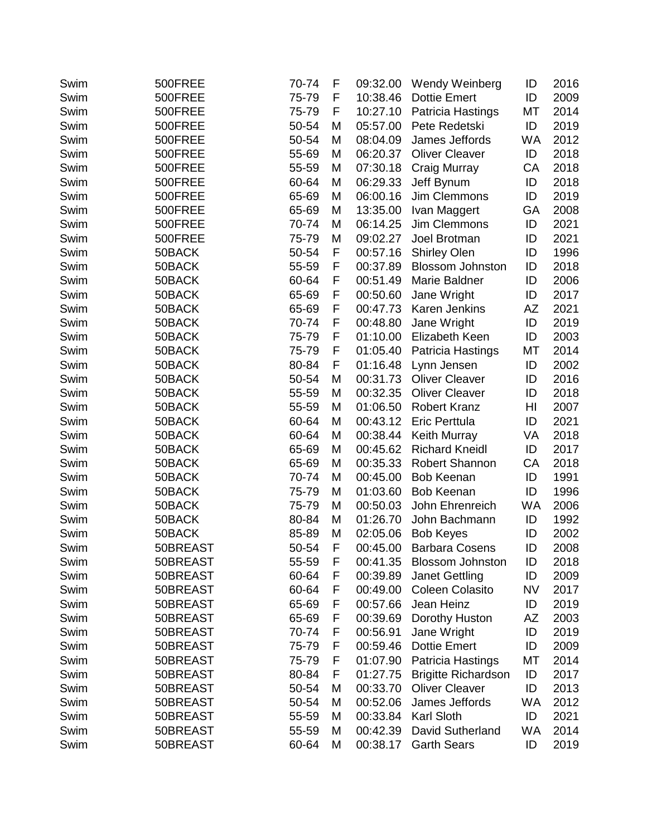| Swim | 500FREE  | 70-74 | F | 09:32.00 | Wendy Weinberg             | ID        | 2016 |
|------|----------|-------|---|----------|----------------------------|-----------|------|
| Swim | 500FREE  | 75-79 | F | 10:38.46 | <b>Dottie Emert</b>        | ID        | 2009 |
| Swim | 500FREE  | 75-79 | F | 10:27.10 | Patricia Hastings          | МT        | 2014 |
| Swim | 500FREE  | 50-54 | M | 05:57.00 | Pete Redetski              | ID        | 2019 |
| Swim | 500FREE  | 50-54 | M | 08:04.09 | James Jeffords             | <b>WA</b> | 2012 |
| Swim | 500FREE  | 55-69 | M | 06:20.37 | <b>Oliver Cleaver</b>      | ID        | 2018 |
| Swim | 500FREE  | 55-59 | M | 07:30.18 | Craig Murray               | CA        | 2018 |
| Swim | 500FREE  | 60-64 | M | 06:29.33 | Jeff Bynum                 | ID        | 2018 |
| Swim | 500FREE  | 65-69 | M | 06:00.16 | Jim Clemmons               | ID        | 2019 |
| Swim | 500FREE  | 65-69 | M | 13:35.00 | Ivan Maggert               | GA        | 2008 |
| Swim | 500FREE  | 70-74 | M | 06:14.25 | Jim Clemmons               | ID        | 2021 |
| Swim | 500FREE  | 75-79 | M | 09:02.27 | Joel Brotman               | ID        | 2021 |
| Swim | 50BACK   | 50-54 | F | 00:57.16 | <b>Shirley Olen</b>        | ID        | 1996 |
| Swim | 50BACK   | 55-59 | F | 00:37.89 | <b>Blossom Johnston</b>    | ID        | 2018 |
| Swim | 50BACK   | 60-64 | F | 00:51.49 | Marie Baldner              | ID        | 2006 |
| Swim | 50BACK   | 65-69 | F | 00:50.60 | Jane Wright                | ID        | 2017 |
| Swim | 50BACK   | 65-69 | F | 00:47.73 | Karen Jenkins              | AZ        | 2021 |
| Swim | 50BACK   | 70-74 | F | 00:48.80 | Jane Wright                | ID        | 2019 |
| Swim | 50BACK   | 75-79 | F | 01:10.00 | Elizabeth Keen             | ID        | 2003 |
| Swim | 50BACK   | 75-79 | F | 01:05.40 | Patricia Hastings          | МT        | 2014 |
| Swim | 50BACK   | 80-84 | F | 01:16.48 | Lynn Jensen                | ID        | 2002 |
| Swim | 50BACK   | 50-54 | M | 00:31.73 | <b>Oliver Cleaver</b>      | ID        | 2016 |
| Swim | 50BACK   | 55-59 | M | 00:32.35 | <b>Oliver Cleaver</b>      | ID        | 2018 |
| Swim | 50BACK   | 55-59 | M | 01:06.50 | <b>Robert Kranz</b>        | HI        | 2007 |
| Swim | 50BACK   | 60-64 | M | 00:43.12 | <b>Eric Perttula</b>       | ID        | 2021 |
| Swim | 50BACK   | 60-64 | M | 00:38.44 | <b>Keith Murray</b>        | VA        | 2018 |
| Swim | 50BACK   | 65-69 | M | 00:45.62 | <b>Richard Kneidl</b>      | ID        | 2017 |
| Swim | 50BACK   | 65-69 | M | 00:35.33 | Robert Shannon             | CA        | 2018 |
| Swim | 50BACK   | 70-74 | M | 00:45.00 | <b>Bob Keenan</b>          | ID        | 1991 |
| Swim | 50BACK   | 75-79 | M | 01:03.60 | <b>Bob Keenan</b>          | ID        | 1996 |
| Swim | 50BACK   | 75-79 | M | 00:50.03 | John Ehrenreich            | <b>WA</b> | 2006 |
| Swim | 50BACK   | 80-84 | M | 01:26.70 | John Bachmann              | ID        | 1992 |
| Swim | 50BACK   | 85-89 | M | 02:05.06 | <b>Bob Keyes</b>           | ID        | 2002 |
| Swim | 50BREAST | 50-54 | F | 00:45.00 | <b>Barbara Cosens</b>      | ID        | 2008 |
| Swim | 50BREAST | 55-59 | F | 00:41.35 | <b>Blossom Johnston</b>    | ID        | 2018 |
| Swim | 50BREAST | 60-64 | F | 00:39.89 | <b>Janet Gettling</b>      | ID        | 2009 |
| Swim | 50BREAST | 60-64 | F | 00:49.00 | <b>Coleen Colasito</b>     | <b>NV</b> | 2017 |
| Swim | 50BREAST | 65-69 | F | 00:57.66 | Jean Heinz                 | ID        | 2019 |
| Swim | 50BREAST | 65-69 | F | 00:39.69 | Dorothy Huston             | AZ        | 2003 |
| Swim | 50BREAST | 70-74 | F | 00:56.91 | Jane Wright                | ID        | 2019 |
| Swim | 50BREAST | 75-79 | F | 00:59.46 | <b>Dottie Emert</b>        | ID        | 2009 |
| Swim | 50BREAST | 75-79 | F | 01:07.90 | Patricia Hastings          | МT        | 2014 |
| Swim | 50BREAST | 80-84 | F | 01:27.75 | <b>Brigitte Richardson</b> | ID        | 2017 |
| Swim | 50BREAST | 50-54 | M | 00:33.70 | <b>Oliver Cleaver</b>      | ID        | 2013 |
| Swim | 50BREAST | 50-54 | M | 00:52.06 | James Jeffords             | <b>WA</b> | 2012 |
| Swim | 50BREAST | 55-59 | M | 00:33.84 | Karl Sloth                 | ID        | 2021 |
| Swim | 50BREAST | 55-59 | M | 00:42.39 | David Sutherland           | <b>WA</b> | 2014 |
| Swim | 50BREAST | 60-64 | M | 00:38.17 | <b>Garth Sears</b>         | ID        | 2019 |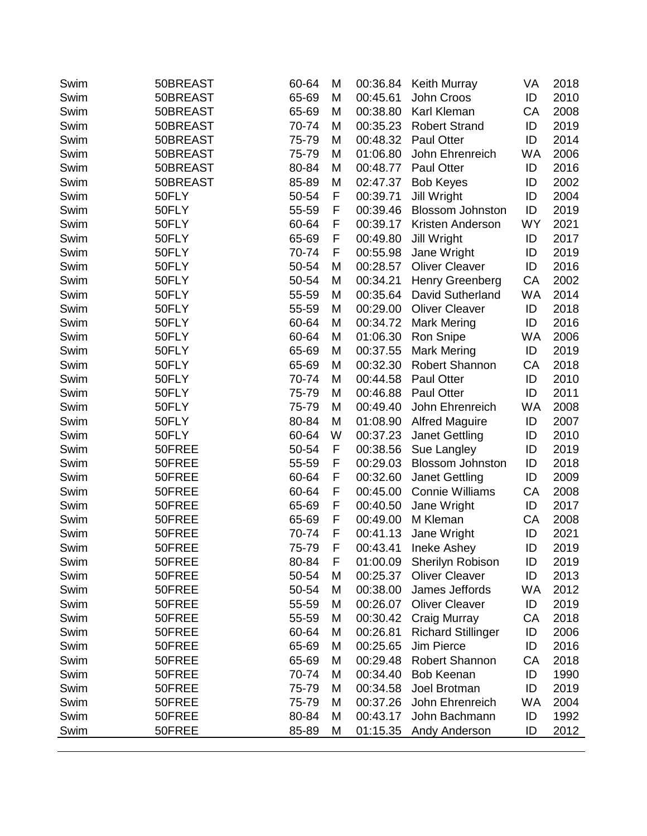| ID<br>50BREAST<br>65-69<br>M<br>00:45.61<br>John Croos<br>2010<br>Swim<br>2008<br>50BREAST<br>65-69<br>00:38.80<br>Karl Kleman<br>CA<br>Swim<br>M<br>ID<br>2019<br>Swim<br>50BREAST<br>70-74<br>M<br>00:35.23<br><b>Robert Strand</b><br>00:48.32<br>2014<br>50BREAST<br>75-79<br><b>Paul Otter</b><br>ID<br>Swim<br>M<br>Swim<br>50BREAST<br>75-79<br>M<br>01:06.80<br>John Ehrenreich<br><b>WA</b><br>2006<br>80-84<br>2016<br>50BREAST<br>00:48.77<br><b>Paul Otter</b><br>ID<br>Swim<br>M<br>2002<br>Swim<br>50BREAST<br>85-89<br>M<br>02:47.37<br><b>Bob Keyes</b><br>ID<br>F<br>2004<br>Swim<br>50FLY<br>50-54<br>00:39.71<br><b>Jill Wright</b><br>ID<br>50FLY<br>55-59<br>F<br>ID<br>00:39.46<br><b>Blossom Johnston</b><br>2019<br>Swim<br>WY<br>50FLY<br>60-64<br>F<br>00:39.17<br>Kristen Anderson<br>2021<br>Swim<br>ID<br>2017<br>Swim<br>50FLY<br>65-69<br>F<br>00:49.80<br><b>Jill Wright</b><br>70-74<br>F<br>2019<br>Swim<br>50FLY<br>00:55.98<br>Jane Wright<br>ID<br>50FLY<br>50-54<br><b>Oliver Cleaver</b><br>ID<br>2016<br>M<br>00:28.57<br>Swim<br>50-54<br>Swim<br>50FLY<br>M<br>00:34.21<br>Henry Greenberg<br><b>CA</b><br>2002<br><b>WA</b><br>2014<br>50FLY<br>55-59<br>00:35.64<br>David Sutherland<br>Swim<br>M<br><b>Oliver Cleaver</b><br>2018<br>Swim<br>50FLY<br>55-59<br>00:29.00<br>ID<br>M<br>50FLY<br>60-64<br>ID<br>2016<br>Swim<br>00:34.72<br><b>Mark Mering</b><br>M<br>50FLY<br>01:06.30<br><b>WA</b><br>60-64<br>Ron Snipe<br>2006<br>Swim<br>M<br>ID<br>50FLY<br>65-69<br>M<br>00:37.55<br>Mark Mering<br>2019<br>Swim<br>2018<br>50FLY<br>65-69<br>00:32.30<br>Robert Shannon<br><b>CA</b><br>Swim<br>M<br>70-74<br>ID<br>2010<br>Swim<br>50FLY<br>M<br>00:44.58<br><b>Paul Otter</b><br>75-79<br>2011<br>Swim<br>50FLY<br>00:46.88<br><b>Paul Otter</b><br>ID<br>M<br>50FLY<br>75-79<br>John Ehrenreich<br>2008<br>Swim<br>M<br>00:49.40<br><b>WA</b><br>50FLY<br>80-84<br>01:08.90<br><b>Alfred Maguire</b><br>ID<br>2007<br>Swim<br>M<br>2010<br>Swim<br>50FLY<br>60-64<br>W<br>00:37.23<br><b>Janet Gettling</b><br>ID<br>50-54<br>F<br>00:38.56<br>2019<br>50FREE<br>ID<br>Swim<br>Sue Langley<br>55-59<br>F<br>00:29.03<br>50FREE<br>ID<br>2018<br>Swim<br><b>Blossom Johnston</b><br>F<br>50FREE<br>60-64<br>00:32.60<br><b>Janet Gettling</b><br>ID<br>2009<br>Swim<br>50FREE<br>60-64<br>F<br>00:45.00<br><b>Connie Williams</b><br><b>CA</b><br>2008<br>Swim<br>F<br>ID<br>2017<br>Swim<br>50FREE<br>65-69<br>00:40.50<br>Jane Wright<br>F<br>Swim<br>50FREE<br>65-69<br>00:49.00<br>M Kleman<br><b>CA</b><br>2008<br>F<br>70-74<br>00:41.13<br>ID<br>2021<br>Swim<br>50FREE<br>Jane Wright<br>75-79<br>F<br>ID<br>2019<br>Swim<br>50FREE<br>00:43.41<br>Ineke Ashey<br>01:00.09 Sherilyn Robison<br>2019<br>Swim<br>50FREE<br>80-84<br>F<br>ID<br>50-54<br>ID<br>2013<br>Swim<br>50FREE<br>M<br>00:25.37<br><b>Oliver Cleaver</b><br>50FREE<br>50-54<br>00:38.00<br>James Jeffords<br><b>WA</b><br>2012<br>Swim<br>M<br><b>Oliver Cleaver</b><br>ID<br>2019<br>Swim<br>50FREE<br>55-59<br>M<br>00:26.07<br>50FREE<br>55-59<br>00:30.42<br>Craig Murray<br>CA<br>2018<br>Swim<br>M<br>60-64<br>00:26.81<br><b>Richard Stillinger</b><br>ID<br>2006<br>Swim<br>50FREE<br>M<br>65-69<br>00:25.65<br>Jim Pierce<br>ID<br>2016<br>Swim<br>50FREE<br>M<br><b>Robert Shannon</b><br>Swim<br>50FREE<br>65-69<br>M<br>00:29.48<br>CA<br>2018<br>Swim<br>70-74<br>00:34.40<br><b>Bob Keenan</b><br>ID<br>1990<br>50FREE<br>M<br>75-79<br>Joel Brotman<br>ID<br>2019<br>Swim<br>50FREE<br>M<br>00:34.58<br>75-79<br>John Ehrenreich<br><b>WA</b><br>2004<br>Swim<br>50FREE<br>M<br>00:37.26<br>80-84<br>00:43.17<br>John Bachmann<br>ID<br>1992<br>Swim<br>50FREE<br>M<br>85-89<br>01:15.35<br>ID<br>2012<br>Swim<br>50FREE<br>M<br>Andy Anderson | Swim | 50BREAST | 60-64 | M | 00:36.84 | <b>Keith Murray</b> | VA | 2018 |
|-------------------------------------------------------------------------------------------------------------------------------------------------------------------------------------------------------------------------------------------------------------------------------------------------------------------------------------------------------------------------------------------------------------------------------------------------------------------------------------------------------------------------------------------------------------------------------------------------------------------------------------------------------------------------------------------------------------------------------------------------------------------------------------------------------------------------------------------------------------------------------------------------------------------------------------------------------------------------------------------------------------------------------------------------------------------------------------------------------------------------------------------------------------------------------------------------------------------------------------------------------------------------------------------------------------------------------------------------------------------------------------------------------------------------------------------------------------------------------------------------------------------------------------------------------------------------------------------------------------------------------------------------------------------------------------------------------------------------------------------------------------------------------------------------------------------------------------------------------------------------------------------------------------------------------------------------------------------------------------------------------------------------------------------------------------------------------------------------------------------------------------------------------------------------------------------------------------------------------------------------------------------------------------------------------------------------------------------------------------------------------------------------------------------------------------------------------------------------------------------------------------------------------------------------------------------------------------------------------------------------------------------------------------------------------------------------------------------------------------------------------------------------------------------------------------------------------------------------------------------------------------------------------------------------------------------------------------------------------------------------------------------------------------------------------------------------------------------------------------------------------------------------------------------------------------------------------------------------------------------------------------------------------------------------------------------------------------------------------------------------------------------------------------------------------------------------------------------------------------------------------------------------------------------------------------------------------------------------------------------------------------------------------------------------------------------------------------------------------------------------------------------------------------------------|------|----------|-------|---|----------|---------------------|----|------|
|                                                                                                                                                                                                                                                                                                                                                                                                                                                                                                                                                                                                                                                                                                                                                                                                                                                                                                                                                                                                                                                                                                                                                                                                                                                                                                                                                                                                                                                                                                                                                                                                                                                                                                                                                                                                                                                                                                                                                                                                                                                                                                                                                                                                                                                                                                                                                                                                                                                                                                                                                                                                                                                                                                                                                                                                                                                                                                                                                                                                                                                                                                                                                                                                                                                                                                                                                                                                                                                                                                                                                                                                                                                                                                                                                                                                 |      |          |       |   |          |                     |    |      |
|                                                                                                                                                                                                                                                                                                                                                                                                                                                                                                                                                                                                                                                                                                                                                                                                                                                                                                                                                                                                                                                                                                                                                                                                                                                                                                                                                                                                                                                                                                                                                                                                                                                                                                                                                                                                                                                                                                                                                                                                                                                                                                                                                                                                                                                                                                                                                                                                                                                                                                                                                                                                                                                                                                                                                                                                                                                                                                                                                                                                                                                                                                                                                                                                                                                                                                                                                                                                                                                                                                                                                                                                                                                                                                                                                                                                 |      |          |       |   |          |                     |    |      |
|                                                                                                                                                                                                                                                                                                                                                                                                                                                                                                                                                                                                                                                                                                                                                                                                                                                                                                                                                                                                                                                                                                                                                                                                                                                                                                                                                                                                                                                                                                                                                                                                                                                                                                                                                                                                                                                                                                                                                                                                                                                                                                                                                                                                                                                                                                                                                                                                                                                                                                                                                                                                                                                                                                                                                                                                                                                                                                                                                                                                                                                                                                                                                                                                                                                                                                                                                                                                                                                                                                                                                                                                                                                                                                                                                                                                 |      |          |       |   |          |                     |    |      |
|                                                                                                                                                                                                                                                                                                                                                                                                                                                                                                                                                                                                                                                                                                                                                                                                                                                                                                                                                                                                                                                                                                                                                                                                                                                                                                                                                                                                                                                                                                                                                                                                                                                                                                                                                                                                                                                                                                                                                                                                                                                                                                                                                                                                                                                                                                                                                                                                                                                                                                                                                                                                                                                                                                                                                                                                                                                                                                                                                                                                                                                                                                                                                                                                                                                                                                                                                                                                                                                                                                                                                                                                                                                                                                                                                                                                 |      |          |       |   |          |                     |    |      |
|                                                                                                                                                                                                                                                                                                                                                                                                                                                                                                                                                                                                                                                                                                                                                                                                                                                                                                                                                                                                                                                                                                                                                                                                                                                                                                                                                                                                                                                                                                                                                                                                                                                                                                                                                                                                                                                                                                                                                                                                                                                                                                                                                                                                                                                                                                                                                                                                                                                                                                                                                                                                                                                                                                                                                                                                                                                                                                                                                                                                                                                                                                                                                                                                                                                                                                                                                                                                                                                                                                                                                                                                                                                                                                                                                                                                 |      |          |       |   |          |                     |    |      |
|                                                                                                                                                                                                                                                                                                                                                                                                                                                                                                                                                                                                                                                                                                                                                                                                                                                                                                                                                                                                                                                                                                                                                                                                                                                                                                                                                                                                                                                                                                                                                                                                                                                                                                                                                                                                                                                                                                                                                                                                                                                                                                                                                                                                                                                                                                                                                                                                                                                                                                                                                                                                                                                                                                                                                                                                                                                                                                                                                                                                                                                                                                                                                                                                                                                                                                                                                                                                                                                                                                                                                                                                                                                                                                                                                                                                 |      |          |       |   |          |                     |    |      |
|                                                                                                                                                                                                                                                                                                                                                                                                                                                                                                                                                                                                                                                                                                                                                                                                                                                                                                                                                                                                                                                                                                                                                                                                                                                                                                                                                                                                                                                                                                                                                                                                                                                                                                                                                                                                                                                                                                                                                                                                                                                                                                                                                                                                                                                                                                                                                                                                                                                                                                                                                                                                                                                                                                                                                                                                                                                                                                                                                                                                                                                                                                                                                                                                                                                                                                                                                                                                                                                                                                                                                                                                                                                                                                                                                                                                 |      |          |       |   |          |                     |    |      |
|                                                                                                                                                                                                                                                                                                                                                                                                                                                                                                                                                                                                                                                                                                                                                                                                                                                                                                                                                                                                                                                                                                                                                                                                                                                                                                                                                                                                                                                                                                                                                                                                                                                                                                                                                                                                                                                                                                                                                                                                                                                                                                                                                                                                                                                                                                                                                                                                                                                                                                                                                                                                                                                                                                                                                                                                                                                                                                                                                                                                                                                                                                                                                                                                                                                                                                                                                                                                                                                                                                                                                                                                                                                                                                                                                                                                 |      |          |       |   |          |                     |    |      |
|                                                                                                                                                                                                                                                                                                                                                                                                                                                                                                                                                                                                                                                                                                                                                                                                                                                                                                                                                                                                                                                                                                                                                                                                                                                                                                                                                                                                                                                                                                                                                                                                                                                                                                                                                                                                                                                                                                                                                                                                                                                                                                                                                                                                                                                                                                                                                                                                                                                                                                                                                                                                                                                                                                                                                                                                                                                                                                                                                                                                                                                                                                                                                                                                                                                                                                                                                                                                                                                                                                                                                                                                                                                                                                                                                                                                 |      |          |       |   |          |                     |    |      |
|                                                                                                                                                                                                                                                                                                                                                                                                                                                                                                                                                                                                                                                                                                                                                                                                                                                                                                                                                                                                                                                                                                                                                                                                                                                                                                                                                                                                                                                                                                                                                                                                                                                                                                                                                                                                                                                                                                                                                                                                                                                                                                                                                                                                                                                                                                                                                                                                                                                                                                                                                                                                                                                                                                                                                                                                                                                                                                                                                                                                                                                                                                                                                                                                                                                                                                                                                                                                                                                                                                                                                                                                                                                                                                                                                                                                 |      |          |       |   |          |                     |    |      |
|                                                                                                                                                                                                                                                                                                                                                                                                                                                                                                                                                                                                                                                                                                                                                                                                                                                                                                                                                                                                                                                                                                                                                                                                                                                                                                                                                                                                                                                                                                                                                                                                                                                                                                                                                                                                                                                                                                                                                                                                                                                                                                                                                                                                                                                                                                                                                                                                                                                                                                                                                                                                                                                                                                                                                                                                                                                                                                                                                                                                                                                                                                                                                                                                                                                                                                                                                                                                                                                                                                                                                                                                                                                                                                                                                                                                 |      |          |       |   |          |                     |    |      |
|                                                                                                                                                                                                                                                                                                                                                                                                                                                                                                                                                                                                                                                                                                                                                                                                                                                                                                                                                                                                                                                                                                                                                                                                                                                                                                                                                                                                                                                                                                                                                                                                                                                                                                                                                                                                                                                                                                                                                                                                                                                                                                                                                                                                                                                                                                                                                                                                                                                                                                                                                                                                                                                                                                                                                                                                                                                                                                                                                                                                                                                                                                                                                                                                                                                                                                                                                                                                                                                                                                                                                                                                                                                                                                                                                                                                 |      |          |       |   |          |                     |    |      |
|                                                                                                                                                                                                                                                                                                                                                                                                                                                                                                                                                                                                                                                                                                                                                                                                                                                                                                                                                                                                                                                                                                                                                                                                                                                                                                                                                                                                                                                                                                                                                                                                                                                                                                                                                                                                                                                                                                                                                                                                                                                                                                                                                                                                                                                                                                                                                                                                                                                                                                                                                                                                                                                                                                                                                                                                                                                                                                                                                                                                                                                                                                                                                                                                                                                                                                                                                                                                                                                                                                                                                                                                                                                                                                                                                                                                 |      |          |       |   |          |                     |    |      |
|                                                                                                                                                                                                                                                                                                                                                                                                                                                                                                                                                                                                                                                                                                                                                                                                                                                                                                                                                                                                                                                                                                                                                                                                                                                                                                                                                                                                                                                                                                                                                                                                                                                                                                                                                                                                                                                                                                                                                                                                                                                                                                                                                                                                                                                                                                                                                                                                                                                                                                                                                                                                                                                                                                                                                                                                                                                                                                                                                                                                                                                                                                                                                                                                                                                                                                                                                                                                                                                                                                                                                                                                                                                                                                                                                                                                 |      |          |       |   |          |                     |    |      |
|                                                                                                                                                                                                                                                                                                                                                                                                                                                                                                                                                                                                                                                                                                                                                                                                                                                                                                                                                                                                                                                                                                                                                                                                                                                                                                                                                                                                                                                                                                                                                                                                                                                                                                                                                                                                                                                                                                                                                                                                                                                                                                                                                                                                                                                                                                                                                                                                                                                                                                                                                                                                                                                                                                                                                                                                                                                                                                                                                                                                                                                                                                                                                                                                                                                                                                                                                                                                                                                                                                                                                                                                                                                                                                                                                                                                 |      |          |       |   |          |                     |    |      |
|                                                                                                                                                                                                                                                                                                                                                                                                                                                                                                                                                                                                                                                                                                                                                                                                                                                                                                                                                                                                                                                                                                                                                                                                                                                                                                                                                                                                                                                                                                                                                                                                                                                                                                                                                                                                                                                                                                                                                                                                                                                                                                                                                                                                                                                                                                                                                                                                                                                                                                                                                                                                                                                                                                                                                                                                                                                                                                                                                                                                                                                                                                                                                                                                                                                                                                                                                                                                                                                                                                                                                                                                                                                                                                                                                                                                 |      |          |       |   |          |                     |    |      |
|                                                                                                                                                                                                                                                                                                                                                                                                                                                                                                                                                                                                                                                                                                                                                                                                                                                                                                                                                                                                                                                                                                                                                                                                                                                                                                                                                                                                                                                                                                                                                                                                                                                                                                                                                                                                                                                                                                                                                                                                                                                                                                                                                                                                                                                                                                                                                                                                                                                                                                                                                                                                                                                                                                                                                                                                                                                                                                                                                                                                                                                                                                                                                                                                                                                                                                                                                                                                                                                                                                                                                                                                                                                                                                                                                                                                 |      |          |       |   |          |                     |    |      |
|                                                                                                                                                                                                                                                                                                                                                                                                                                                                                                                                                                                                                                                                                                                                                                                                                                                                                                                                                                                                                                                                                                                                                                                                                                                                                                                                                                                                                                                                                                                                                                                                                                                                                                                                                                                                                                                                                                                                                                                                                                                                                                                                                                                                                                                                                                                                                                                                                                                                                                                                                                                                                                                                                                                                                                                                                                                                                                                                                                                                                                                                                                                                                                                                                                                                                                                                                                                                                                                                                                                                                                                                                                                                                                                                                                                                 |      |          |       |   |          |                     |    |      |
|                                                                                                                                                                                                                                                                                                                                                                                                                                                                                                                                                                                                                                                                                                                                                                                                                                                                                                                                                                                                                                                                                                                                                                                                                                                                                                                                                                                                                                                                                                                                                                                                                                                                                                                                                                                                                                                                                                                                                                                                                                                                                                                                                                                                                                                                                                                                                                                                                                                                                                                                                                                                                                                                                                                                                                                                                                                                                                                                                                                                                                                                                                                                                                                                                                                                                                                                                                                                                                                                                                                                                                                                                                                                                                                                                                                                 |      |          |       |   |          |                     |    |      |
|                                                                                                                                                                                                                                                                                                                                                                                                                                                                                                                                                                                                                                                                                                                                                                                                                                                                                                                                                                                                                                                                                                                                                                                                                                                                                                                                                                                                                                                                                                                                                                                                                                                                                                                                                                                                                                                                                                                                                                                                                                                                                                                                                                                                                                                                                                                                                                                                                                                                                                                                                                                                                                                                                                                                                                                                                                                                                                                                                                                                                                                                                                                                                                                                                                                                                                                                                                                                                                                                                                                                                                                                                                                                                                                                                                                                 |      |          |       |   |          |                     |    |      |
|                                                                                                                                                                                                                                                                                                                                                                                                                                                                                                                                                                                                                                                                                                                                                                                                                                                                                                                                                                                                                                                                                                                                                                                                                                                                                                                                                                                                                                                                                                                                                                                                                                                                                                                                                                                                                                                                                                                                                                                                                                                                                                                                                                                                                                                                                                                                                                                                                                                                                                                                                                                                                                                                                                                                                                                                                                                                                                                                                                                                                                                                                                                                                                                                                                                                                                                                                                                                                                                                                                                                                                                                                                                                                                                                                                                                 |      |          |       |   |          |                     |    |      |
|                                                                                                                                                                                                                                                                                                                                                                                                                                                                                                                                                                                                                                                                                                                                                                                                                                                                                                                                                                                                                                                                                                                                                                                                                                                                                                                                                                                                                                                                                                                                                                                                                                                                                                                                                                                                                                                                                                                                                                                                                                                                                                                                                                                                                                                                                                                                                                                                                                                                                                                                                                                                                                                                                                                                                                                                                                                                                                                                                                                                                                                                                                                                                                                                                                                                                                                                                                                                                                                                                                                                                                                                                                                                                                                                                                                                 |      |          |       |   |          |                     |    |      |
|                                                                                                                                                                                                                                                                                                                                                                                                                                                                                                                                                                                                                                                                                                                                                                                                                                                                                                                                                                                                                                                                                                                                                                                                                                                                                                                                                                                                                                                                                                                                                                                                                                                                                                                                                                                                                                                                                                                                                                                                                                                                                                                                                                                                                                                                                                                                                                                                                                                                                                                                                                                                                                                                                                                                                                                                                                                                                                                                                                                                                                                                                                                                                                                                                                                                                                                                                                                                                                                                                                                                                                                                                                                                                                                                                                                                 |      |          |       |   |          |                     |    |      |
|                                                                                                                                                                                                                                                                                                                                                                                                                                                                                                                                                                                                                                                                                                                                                                                                                                                                                                                                                                                                                                                                                                                                                                                                                                                                                                                                                                                                                                                                                                                                                                                                                                                                                                                                                                                                                                                                                                                                                                                                                                                                                                                                                                                                                                                                                                                                                                                                                                                                                                                                                                                                                                                                                                                                                                                                                                                                                                                                                                                                                                                                                                                                                                                                                                                                                                                                                                                                                                                                                                                                                                                                                                                                                                                                                                                                 |      |          |       |   |          |                     |    |      |
|                                                                                                                                                                                                                                                                                                                                                                                                                                                                                                                                                                                                                                                                                                                                                                                                                                                                                                                                                                                                                                                                                                                                                                                                                                                                                                                                                                                                                                                                                                                                                                                                                                                                                                                                                                                                                                                                                                                                                                                                                                                                                                                                                                                                                                                                                                                                                                                                                                                                                                                                                                                                                                                                                                                                                                                                                                                                                                                                                                                                                                                                                                                                                                                                                                                                                                                                                                                                                                                                                                                                                                                                                                                                                                                                                                                                 |      |          |       |   |          |                     |    |      |
|                                                                                                                                                                                                                                                                                                                                                                                                                                                                                                                                                                                                                                                                                                                                                                                                                                                                                                                                                                                                                                                                                                                                                                                                                                                                                                                                                                                                                                                                                                                                                                                                                                                                                                                                                                                                                                                                                                                                                                                                                                                                                                                                                                                                                                                                                                                                                                                                                                                                                                                                                                                                                                                                                                                                                                                                                                                                                                                                                                                                                                                                                                                                                                                                                                                                                                                                                                                                                                                                                                                                                                                                                                                                                                                                                                                                 |      |          |       |   |          |                     |    |      |
|                                                                                                                                                                                                                                                                                                                                                                                                                                                                                                                                                                                                                                                                                                                                                                                                                                                                                                                                                                                                                                                                                                                                                                                                                                                                                                                                                                                                                                                                                                                                                                                                                                                                                                                                                                                                                                                                                                                                                                                                                                                                                                                                                                                                                                                                                                                                                                                                                                                                                                                                                                                                                                                                                                                                                                                                                                                                                                                                                                                                                                                                                                                                                                                                                                                                                                                                                                                                                                                                                                                                                                                                                                                                                                                                                                                                 |      |          |       |   |          |                     |    |      |
|                                                                                                                                                                                                                                                                                                                                                                                                                                                                                                                                                                                                                                                                                                                                                                                                                                                                                                                                                                                                                                                                                                                                                                                                                                                                                                                                                                                                                                                                                                                                                                                                                                                                                                                                                                                                                                                                                                                                                                                                                                                                                                                                                                                                                                                                                                                                                                                                                                                                                                                                                                                                                                                                                                                                                                                                                                                                                                                                                                                                                                                                                                                                                                                                                                                                                                                                                                                                                                                                                                                                                                                                                                                                                                                                                                                                 |      |          |       |   |          |                     |    |      |
|                                                                                                                                                                                                                                                                                                                                                                                                                                                                                                                                                                                                                                                                                                                                                                                                                                                                                                                                                                                                                                                                                                                                                                                                                                                                                                                                                                                                                                                                                                                                                                                                                                                                                                                                                                                                                                                                                                                                                                                                                                                                                                                                                                                                                                                                                                                                                                                                                                                                                                                                                                                                                                                                                                                                                                                                                                                                                                                                                                                                                                                                                                                                                                                                                                                                                                                                                                                                                                                                                                                                                                                                                                                                                                                                                                                                 |      |          |       |   |          |                     |    |      |
|                                                                                                                                                                                                                                                                                                                                                                                                                                                                                                                                                                                                                                                                                                                                                                                                                                                                                                                                                                                                                                                                                                                                                                                                                                                                                                                                                                                                                                                                                                                                                                                                                                                                                                                                                                                                                                                                                                                                                                                                                                                                                                                                                                                                                                                                                                                                                                                                                                                                                                                                                                                                                                                                                                                                                                                                                                                                                                                                                                                                                                                                                                                                                                                                                                                                                                                                                                                                                                                                                                                                                                                                                                                                                                                                                                                                 |      |          |       |   |          |                     |    |      |
|                                                                                                                                                                                                                                                                                                                                                                                                                                                                                                                                                                                                                                                                                                                                                                                                                                                                                                                                                                                                                                                                                                                                                                                                                                                                                                                                                                                                                                                                                                                                                                                                                                                                                                                                                                                                                                                                                                                                                                                                                                                                                                                                                                                                                                                                                                                                                                                                                                                                                                                                                                                                                                                                                                                                                                                                                                                                                                                                                                                                                                                                                                                                                                                                                                                                                                                                                                                                                                                                                                                                                                                                                                                                                                                                                                                                 |      |          |       |   |          |                     |    |      |
|                                                                                                                                                                                                                                                                                                                                                                                                                                                                                                                                                                                                                                                                                                                                                                                                                                                                                                                                                                                                                                                                                                                                                                                                                                                                                                                                                                                                                                                                                                                                                                                                                                                                                                                                                                                                                                                                                                                                                                                                                                                                                                                                                                                                                                                                                                                                                                                                                                                                                                                                                                                                                                                                                                                                                                                                                                                                                                                                                                                                                                                                                                                                                                                                                                                                                                                                                                                                                                                                                                                                                                                                                                                                                                                                                                                                 |      |          |       |   |          |                     |    |      |
|                                                                                                                                                                                                                                                                                                                                                                                                                                                                                                                                                                                                                                                                                                                                                                                                                                                                                                                                                                                                                                                                                                                                                                                                                                                                                                                                                                                                                                                                                                                                                                                                                                                                                                                                                                                                                                                                                                                                                                                                                                                                                                                                                                                                                                                                                                                                                                                                                                                                                                                                                                                                                                                                                                                                                                                                                                                                                                                                                                                                                                                                                                                                                                                                                                                                                                                                                                                                                                                                                                                                                                                                                                                                                                                                                                                                 |      |          |       |   |          |                     |    |      |
|                                                                                                                                                                                                                                                                                                                                                                                                                                                                                                                                                                                                                                                                                                                                                                                                                                                                                                                                                                                                                                                                                                                                                                                                                                                                                                                                                                                                                                                                                                                                                                                                                                                                                                                                                                                                                                                                                                                                                                                                                                                                                                                                                                                                                                                                                                                                                                                                                                                                                                                                                                                                                                                                                                                                                                                                                                                                                                                                                                                                                                                                                                                                                                                                                                                                                                                                                                                                                                                                                                                                                                                                                                                                                                                                                                                                 |      |          |       |   |          |                     |    |      |
|                                                                                                                                                                                                                                                                                                                                                                                                                                                                                                                                                                                                                                                                                                                                                                                                                                                                                                                                                                                                                                                                                                                                                                                                                                                                                                                                                                                                                                                                                                                                                                                                                                                                                                                                                                                                                                                                                                                                                                                                                                                                                                                                                                                                                                                                                                                                                                                                                                                                                                                                                                                                                                                                                                                                                                                                                                                                                                                                                                                                                                                                                                                                                                                                                                                                                                                                                                                                                                                                                                                                                                                                                                                                                                                                                                                                 |      |          |       |   |          |                     |    |      |
|                                                                                                                                                                                                                                                                                                                                                                                                                                                                                                                                                                                                                                                                                                                                                                                                                                                                                                                                                                                                                                                                                                                                                                                                                                                                                                                                                                                                                                                                                                                                                                                                                                                                                                                                                                                                                                                                                                                                                                                                                                                                                                                                                                                                                                                                                                                                                                                                                                                                                                                                                                                                                                                                                                                                                                                                                                                                                                                                                                                                                                                                                                                                                                                                                                                                                                                                                                                                                                                                                                                                                                                                                                                                                                                                                                                                 |      |          |       |   |          |                     |    |      |
|                                                                                                                                                                                                                                                                                                                                                                                                                                                                                                                                                                                                                                                                                                                                                                                                                                                                                                                                                                                                                                                                                                                                                                                                                                                                                                                                                                                                                                                                                                                                                                                                                                                                                                                                                                                                                                                                                                                                                                                                                                                                                                                                                                                                                                                                                                                                                                                                                                                                                                                                                                                                                                                                                                                                                                                                                                                                                                                                                                                                                                                                                                                                                                                                                                                                                                                                                                                                                                                                                                                                                                                                                                                                                                                                                                                                 |      |          |       |   |          |                     |    |      |
|                                                                                                                                                                                                                                                                                                                                                                                                                                                                                                                                                                                                                                                                                                                                                                                                                                                                                                                                                                                                                                                                                                                                                                                                                                                                                                                                                                                                                                                                                                                                                                                                                                                                                                                                                                                                                                                                                                                                                                                                                                                                                                                                                                                                                                                                                                                                                                                                                                                                                                                                                                                                                                                                                                                                                                                                                                                                                                                                                                                                                                                                                                                                                                                                                                                                                                                                                                                                                                                                                                                                                                                                                                                                                                                                                                                                 |      |          |       |   |          |                     |    |      |
|                                                                                                                                                                                                                                                                                                                                                                                                                                                                                                                                                                                                                                                                                                                                                                                                                                                                                                                                                                                                                                                                                                                                                                                                                                                                                                                                                                                                                                                                                                                                                                                                                                                                                                                                                                                                                                                                                                                                                                                                                                                                                                                                                                                                                                                                                                                                                                                                                                                                                                                                                                                                                                                                                                                                                                                                                                                                                                                                                                                                                                                                                                                                                                                                                                                                                                                                                                                                                                                                                                                                                                                                                                                                                                                                                                                                 |      |          |       |   |          |                     |    |      |
|                                                                                                                                                                                                                                                                                                                                                                                                                                                                                                                                                                                                                                                                                                                                                                                                                                                                                                                                                                                                                                                                                                                                                                                                                                                                                                                                                                                                                                                                                                                                                                                                                                                                                                                                                                                                                                                                                                                                                                                                                                                                                                                                                                                                                                                                                                                                                                                                                                                                                                                                                                                                                                                                                                                                                                                                                                                                                                                                                                                                                                                                                                                                                                                                                                                                                                                                                                                                                                                                                                                                                                                                                                                                                                                                                                                                 |      |          |       |   |          |                     |    |      |
|                                                                                                                                                                                                                                                                                                                                                                                                                                                                                                                                                                                                                                                                                                                                                                                                                                                                                                                                                                                                                                                                                                                                                                                                                                                                                                                                                                                                                                                                                                                                                                                                                                                                                                                                                                                                                                                                                                                                                                                                                                                                                                                                                                                                                                                                                                                                                                                                                                                                                                                                                                                                                                                                                                                                                                                                                                                                                                                                                                                                                                                                                                                                                                                                                                                                                                                                                                                                                                                                                                                                                                                                                                                                                                                                                                                                 |      |          |       |   |          |                     |    |      |
|                                                                                                                                                                                                                                                                                                                                                                                                                                                                                                                                                                                                                                                                                                                                                                                                                                                                                                                                                                                                                                                                                                                                                                                                                                                                                                                                                                                                                                                                                                                                                                                                                                                                                                                                                                                                                                                                                                                                                                                                                                                                                                                                                                                                                                                                                                                                                                                                                                                                                                                                                                                                                                                                                                                                                                                                                                                                                                                                                                                                                                                                                                                                                                                                                                                                                                                                                                                                                                                                                                                                                                                                                                                                                                                                                                                                 |      |          |       |   |          |                     |    |      |
|                                                                                                                                                                                                                                                                                                                                                                                                                                                                                                                                                                                                                                                                                                                                                                                                                                                                                                                                                                                                                                                                                                                                                                                                                                                                                                                                                                                                                                                                                                                                                                                                                                                                                                                                                                                                                                                                                                                                                                                                                                                                                                                                                                                                                                                                                                                                                                                                                                                                                                                                                                                                                                                                                                                                                                                                                                                                                                                                                                                                                                                                                                                                                                                                                                                                                                                                                                                                                                                                                                                                                                                                                                                                                                                                                                                                 |      |          |       |   |          |                     |    |      |
|                                                                                                                                                                                                                                                                                                                                                                                                                                                                                                                                                                                                                                                                                                                                                                                                                                                                                                                                                                                                                                                                                                                                                                                                                                                                                                                                                                                                                                                                                                                                                                                                                                                                                                                                                                                                                                                                                                                                                                                                                                                                                                                                                                                                                                                                                                                                                                                                                                                                                                                                                                                                                                                                                                                                                                                                                                                                                                                                                                                                                                                                                                                                                                                                                                                                                                                                                                                                                                                                                                                                                                                                                                                                                                                                                                                                 |      |          |       |   |          |                     |    |      |
|                                                                                                                                                                                                                                                                                                                                                                                                                                                                                                                                                                                                                                                                                                                                                                                                                                                                                                                                                                                                                                                                                                                                                                                                                                                                                                                                                                                                                                                                                                                                                                                                                                                                                                                                                                                                                                                                                                                                                                                                                                                                                                                                                                                                                                                                                                                                                                                                                                                                                                                                                                                                                                                                                                                                                                                                                                                                                                                                                                                                                                                                                                                                                                                                                                                                                                                                                                                                                                                                                                                                                                                                                                                                                                                                                                                                 |      |          |       |   |          |                     |    |      |
|                                                                                                                                                                                                                                                                                                                                                                                                                                                                                                                                                                                                                                                                                                                                                                                                                                                                                                                                                                                                                                                                                                                                                                                                                                                                                                                                                                                                                                                                                                                                                                                                                                                                                                                                                                                                                                                                                                                                                                                                                                                                                                                                                                                                                                                                                                                                                                                                                                                                                                                                                                                                                                                                                                                                                                                                                                                                                                                                                                                                                                                                                                                                                                                                                                                                                                                                                                                                                                                                                                                                                                                                                                                                                                                                                                                                 |      |          |       |   |          |                     |    |      |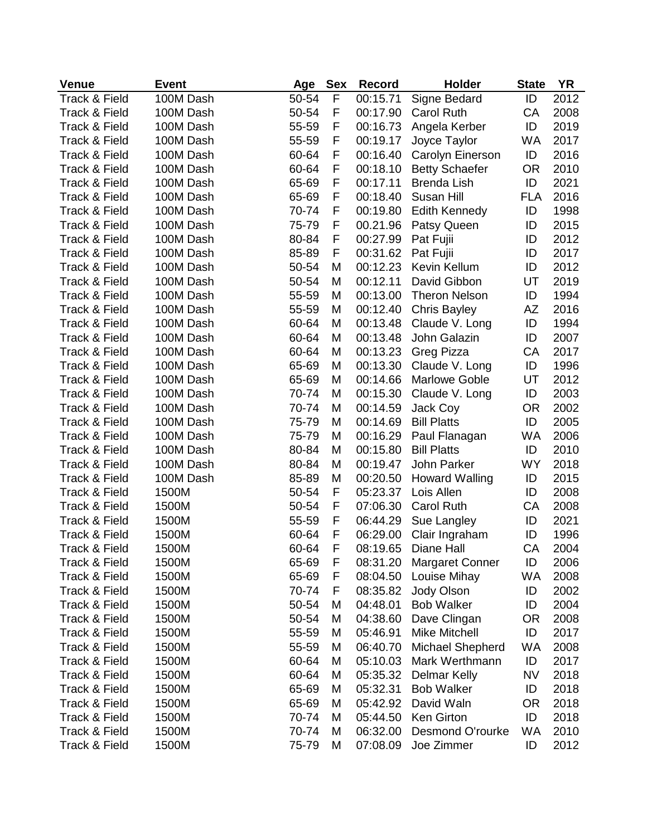| <b>Venue</b>             | <b>Event</b> | Age   | <b>Sex</b> | <b>Record</b>        | Holder                 | <b>State</b> | YR   |
|--------------------------|--------------|-------|------------|----------------------|------------------------|--------------|------|
| <b>Track &amp; Field</b> | 100M Dash    | 50-54 | F          | 00:15.71             | Signe Bedard           | ID           | 2012 |
| Track & Field            | 100M Dash    | 50-54 | F          | 00:17.90             | <b>Carol Ruth</b>      | CA           | 2008 |
| Track & Field            | 100M Dash    | 55-59 | F          | 00:16.73             | Angela Kerber          | ID           | 2019 |
| Track & Field            | 100M Dash    | 55-59 | F          | 00:19.17             | Joyce Taylor           | <b>WA</b>    | 2017 |
| Track & Field            | 100M Dash    | 60-64 | F          | 00:16.40             | Carolyn Einerson       | ID           | 2016 |
| Track & Field            | 100M Dash    | 60-64 | F          | 00:18.10             | <b>Betty Schaefer</b>  | <b>OR</b>    | 2010 |
| Track & Field            | 100M Dash    | 65-69 | F          | 00:17.11             | <b>Brenda Lish</b>     | ID           | 2021 |
| Track & Field            | 100M Dash    | 65-69 | F          | 00:18.40             | Susan Hill             | <b>FLA</b>   | 2016 |
| Track & Field            | 100M Dash    | 70-74 | F          | 00:19.80             | <b>Edith Kennedy</b>   | ID           | 1998 |
| Track & Field            | 100M Dash    | 75-79 | F          | 00.21.96             | Patsy Queen            | ID           | 2015 |
| Track & Field            | 100M Dash    | 80-84 | F          | 00:27.99             | Pat Fujii              | ID           | 2012 |
| Track & Field            | 100M Dash    | 85-89 | F          | 00:31.62             | Pat Fujii              | ID           | 2017 |
| Track & Field            | 100M Dash    | 50-54 | M          | 00:12.23             | Kevin Kellum           | ID           | 2012 |
| Track & Field            | 100M Dash    | 50-54 | M          | 00:12.11             | David Gibbon           | UT           | 2019 |
| Track & Field            | 100M Dash    | 55-59 | M          | 00:13.00             | <b>Theron Nelson</b>   | ID           | 1994 |
| Track & Field            | 100M Dash    | 55-59 | M          | 00:12.40             | <b>Chris Bayley</b>    | AZ           | 2016 |
| Track & Field            | 100M Dash    | 60-64 | M          | 00:13.48             | Claude V. Long         | ID           | 1994 |
| Track & Field            | 100M Dash    | 60-64 | M          | 00:13.48             | John Galazin           | ID           | 2007 |
| Track & Field            | 100M Dash    | 60-64 | M          | 00:13.23             | Greg Pizza             | CA           | 2017 |
| Track & Field            | 100M Dash    | 65-69 | M          | 00:13.30             | Claude V. Long         | ID           | 1996 |
| Track & Field            | 100M Dash    | 65-69 | M          | 00:14.66             | <b>Marlowe Goble</b>   | UT           | 2012 |
| Track & Field            | 100M Dash    | 70-74 | M          | 00:15.30             | Claude V. Long         | ID           | 2003 |
| Track & Field            | 100M Dash    | 70-74 | M          | 00:14.59             | Jack Coy               | <b>OR</b>    | 2002 |
| Track & Field            | 100M Dash    | 75-79 | M          | 00:14.69             | <b>Bill Platts</b>     | ID           | 2005 |
| Track & Field            | 100M Dash    | 75-79 | M          | 00:16.29             | Paul Flanagan          | <b>WA</b>    | 2006 |
| Track & Field            | 100M Dash    | 80-84 | M          | 00:15.80             | <b>Bill Platts</b>     | ID           | 2010 |
| Track & Field            | 100M Dash    | 80-84 | M          | 00:19.47             | John Parker            | <b>WY</b>    | 2018 |
| Track & Field            | 100M Dash    | 85-89 | M          | 00:20.50             | Howard Walling         | ID           | 2015 |
| Track & Field            | 1500M        | 50-54 | F          | 05:23.37             | Lois Allen             | ID           | 2008 |
| Track & Field            | 1500M        | 50-54 | F          | 07:06.30             | Carol Ruth             | СA           | 2008 |
| Track & Field            | 1500M        | 55-59 | F          | 06:44.29             | Sue Langley            | ID           | 2021 |
| Track & Field            | 1500M        | 60-64 | F          |                      |                        | ID           | 1996 |
| Track & Field            | 1500M        |       | F          | 06:29.00<br>08:19.65 | Clair Ingraham         | CA           | 2004 |
|                          |              | 60-64 |            |                      | Diane Hall             |              |      |
| Track & Field            | 1500M        | 65-69 | F          | 08:31.20             | <b>Margaret Conner</b> | ID           | 2006 |
| Track & Field            | 1500M        | 65-69 | F          | 08:04.50             | Louise Mihay           | <b>WA</b>    | 2008 |
| Track & Field            | 1500M        | 70-74 | F          | 08:35.82             | Jody Olson             | ID           | 2002 |
| Track & Field            | 1500M        | 50-54 | M          | 04:48.01             | <b>Bob Walker</b>      | ID           | 2004 |
| Track & Field            | 1500M        | 50-54 | M          | 04:38.60             | Dave Clingan           | <b>OR</b>    | 2008 |
| Track & Field            | 1500M        | 55-59 | M          | 05:46.91             | <b>Mike Mitchell</b>   | ID           | 2017 |
| Track & Field            | 1500M        | 55-59 | M          | 06:40.70             | Michael Shepherd       | <b>WA</b>    | 2008 |
| Track & Field            | 1500M        | 60-64 | M          | 05:10.03             | Mark Werthmann         | ID           | 2017 |
| Track & Field            | 1500M        | 60-64 | M          | 05:35.32             | <b>Delmar Kelly</b>    | <b>NV</b>    | 2018 |
| Track & Field            | 1500M        | 65-69 | M          | 05:32.31             | <b>Bob Walker</b>      | ID           | 2018 |
| Track & Field            | 1500M        | 65-69 | M          | 05:42.92             | David Waln             | 0R           | 2018 |
| Track & Field            | 1500M        | 70-74 | M          | 05:44.50             | Ken Girton             | ID           | 2018 |
| Track & Field            | 1500M        | 70-74 | M          | 06:32.00             | Desmond O'rourke       | WA           | 2010 |
| Track & Field            | 1500M        | 75-79 | M          | 07:08.09             | Joe Zimmer             | ID           | 2012 |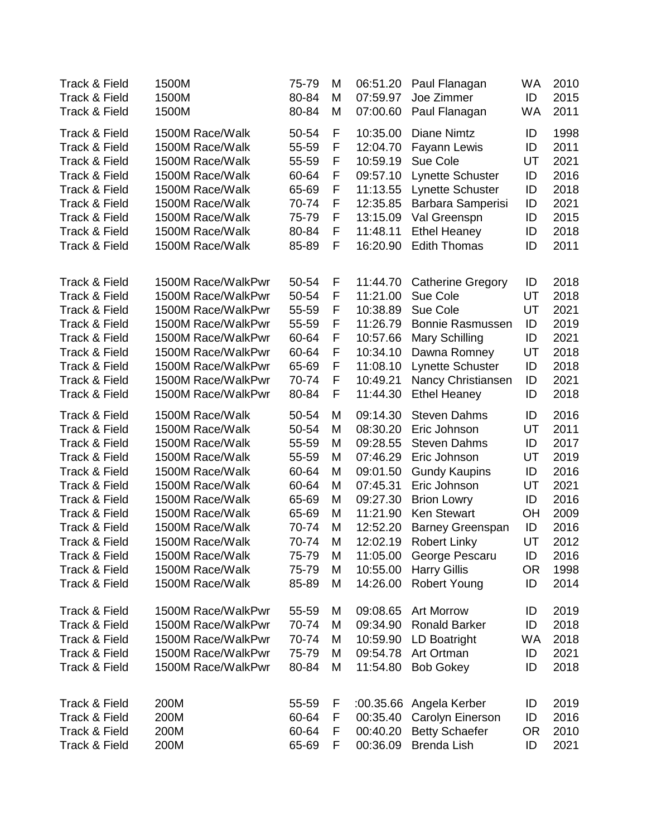| Track & Field<br>1500M<br>80-84<br>M<br>07:00.60<br>Paul Flanagan<br><b>WA</b><br>1500M Race/Walk<br>50-54<br>F<br>10:35.00<br>Diane Nimtz<br><b>Track &amp; Field</b><br>ID<br><b>Track &amp; Field</b><br>1500M Race/Walk<br>55-59<br>F<br>12:04.70<br><b>Fayann Lewis</b><br>ID<br><b>Track &amp; Field</b><br>1500M Race/Walk<br>55-59<br>F<br>10:59.19<br>Sue Cole<br>UT<br>Track & Field<br>1500M Race/Walk<br>60-64<br>09:57.10<br><b>Lynette Schuster</b><br>ID<br>F<br>F<br>Track & Field<br>1500M Race/Walk<br>65-69<br>11:13.55<br><b>Lynette Schuster</b><br>ID<br>F<br>Track & Field<br>1500M Race/Walk<br>70-74<br>12:35.85<br>Barbara Samperisi<br>ID<br>F<br>Track & Field<br>1500M Race/Walk<br>75-79<br>13:15.09<br>Val Greenspn<br>ID<br>F<br>Track & Field<br>1500M Race/Walk<br>80-84<br>11:48.11<br><b>Ethel Heaney</b><br>ID<br>F<br>1500M Race/Walk<br>85-89<br>16:20.90<br><b>Edith Thomas</b><br>ID<br>Track & Field<br><b>Track &amp; Field</b><br>1500M Race/WalkPwr<br>50-54<br>11:44.70<br>F<br><b>Catherine Gregory</b><br>ID<br>50-54<br><b>Track &amp; Field</b><br>1500M Race/WalkPwr<br>F<br>11:21.00<br>Sue Cole<br>UT<br>F<br>10:38.89<br>UT<br><b>Track &amp; Field</b><br>1500M Race/WalkPwr<br>55-59<br>Sue Cole<br>55-59<br>F<br>11:26.79<br><b>Track &amp; Field</b><br>1500M Race/WalkPwr<br><b>Bonnie Rasmussen</b><br>ID<br>F<br>Track & Field<br>1500M Race/WalkPwr<br>60-64<br>10:57.66<br>Mary Schilling<br>ID<br>60-64<br>F<br>Track & Field<br>1500M Race/WalkPwr<br>10:34.10<br>Dawna Romney<br>UT<br>F<br>Track & Field<br>1500M Race/WalkPwr<br>65-69<br>11:08.10<br><b>Lynette Schuster</b><br>ID<br>70-74<br>F<br>Track & Field<br>1500M Race/WalkPwr<br>10:49.21<br>Nancy Christiansen<br>ID<br>F<br><b>Track &amp; Field</b><br>1500M Race/WalkPwr<br>80-84<br>11:44.30<br><b>Ethel Heaney</b><br>ID<br>1500M Race/Walk<br>50-54<br><b>Steven Dahms</b><br>Track & Field<br>M<br>09:14.30<br>ID<br>Track & Field<br>1500M Race/Walk<br>50-54<br>08:30.20<br>Eric Johnson<br>UT<br>M<br>Track & Field<br>1500M Race/Walk<br>55-59<br>09:28.55<br><b>Steven Dahms</b><br>ID<br>M<br>Track & Field<br>1500M Race/Walk<br>55-59<br>M<br>07:46.29<br>Eric Johnson<br>UT<br>Track & Field<br>1500M Race/Walk<br>60-64<br>M<br>09:01.50<br>ID<br><b>Gundy Kaupins</b><br>Track & Field<br>1500M Race/Walk<br>60-64<br>07:45.31<br>Eric Johnson<br>UT<br>M<br>Track & Field<br>1500M Race/Walk<br>65-69<br>M<br>09:27.30<br><b>Brion Lowry</b><br>ID<br>11:21.90<br>Track & Field<br>1500M Race/Walk<br>65-69<br><b>Ken Stewart</b><br>M<br>ОH<br>Track & Field<br>1500M Race/Walk<br>70-74<br>M<br>12:52.20<br>ID<br><b>Barney Greenspan</b><br>1500M Race/Walk<br>70-74<br>M<br>12:02.19<br>UT<br><b>Track &amp; Field</b><br><b>Robert Linky</b><br>Track & Field<br>1500M Race/Walk<br>75-79<br>11:05.00<br>George Pescaru<br>ID<br>M | 2011<br>1998<br>2011<br>2021<br>2016<br>2018<br>2021<br>2015<br>2018<br>2011<br>2018<br>2018<br>2021<br>2019<br>2021<br>2018<br>2018 |
|--------------------------------------------------------------------------------------------------------------------------------------------------------------------------------------------------------------------------------------------------------------------------------------------------------------------------------------------------------------------------------------------------------------------------------------------------------------------------------------------------------------------------------------------------------------------------------------------------------------------------------------------------------------------------------------------------------------------------------------------------------------------------------------------------------------------------------------------------------------------------------------------------------------------------------------------------------------------------------------------------------------------------------------------------------------------------------------------------------------------------------------------------------------------------------------------------------------------------------------------------------------------------------------------------------------------------------------------------------------------------------------------------------------------------------------------------------------------------------------------------------------------------------------------------------------------------------------------------------------------------------------------------------------------------------------------------------------------------------------------------------------------------------------------------------------------------------------------------------------------------------------------------------------------------------------------------------------------------------------------------------------------------------------------------------------------------------------------------------------------------------------------------------------------------------------------------------------------------------------------------------------------------------------------------------------------------------------------------------------------------------------------------------------------------------------------------------------------------------------------------------------------------------------------------------------------------------------------------------------------------------------------------------------------------------------------------------------------------------------------------------------------------------------------------------------------------------------------------------------------------------------------|--------------------------------------------------------------------------------------------------------------------------------------|
|                                                                                                                                                                                                                                                                                                                                                                                                                                                                                                                                                                                                                                                                                                                                                                                                                                                                                                                                                                                                                                                                                                                                                                                                                                                                                                                                                                                                                                                                                                                                                                                                                                                                                                                                                                                                                                                                                                                                                                                                                                                                                                                                                                                                                                                                                                                                                                                                                                                                                                                                                                                                                                                                                                                                                                                                                                                                                            |                                                                                                                                      |
|                                                                                                                                                                                                                                                                                                                                                                                                                                                                                                                                                                                                                                                                                                                                                                                                                                                                                                                                                                                                                                                                                                                                                                                                                                                                                                                                                                                                                                                                                                                                                                                                                                                                                                                                                                                                                                                                                                                                                                                                                                                                                                                                                                                                                                                                                                                                                                                                                                                                                                                                                                                                                                                                                                                                                                                                                                                                                            |                                                                                                                                      |
|                                                                                                                                                                                                                                                                                                                                                                                                                                                                                                                                                                                                                                                                                                                                                                                                                                                                                                                                                                                                                                                                                                                                                                                                                                                                                                                                                                                                                                                                                                                                                                                                                                                                                                                                                                                                                                                                                                                                                                                                                                                                                                                                                                                                                                                                                                                                                                                                                                                                                                                                                                                                                                                                                                                                                                                                                                                                                            |                                                                                                                                      |
|                                                                                                                                                                                                                                                                                                                                                                                                                                                                                                                                                                                                                                                                                                                                                                                                                                                                                                                                                                                                                                                                                                                                                                                                                                                                                                                                                                                                                                                                                                                                                                                                                                                                                                                                                                                                                                                                                                                                                                                                                                                                                                                                                                                                                                                                                                                                                                                                                                                                                                                                                                                                                                                                                                                                                                                                                                                                                            |                                                                                                                                      |
|                                                                                                                                                                                                                                                                                                                                                                                                                                                                                                                                                                                                                                                                                                                                                                                                                                                                                                                                                                                                                                                                                                                                                                                                                                                                                                                                                                                                                                                                                                                                                                                                                                                                                                                                                                                                                                                                                                                                                                                                                                                                                                                                                                                                                                                                                                                                                                                                                                                                                                                                                                                                                                                                                                                                                                                                                                                                                            |                                                                                                                                      |
|                                                                                                                                                                                                                                                                                                                                                                                                                                                                                                                                                                                                                                                                                                                                                                                                                                                                                                                                                                                                                                                                                                                                                                                                                                                                                                                                                                                                                                                                                                                                                                                                                                                                                                                                                                                                                                                                                                                                                                                                                                                                                                                                                                                                                                                                                                                                                                                                                                                                                                                                                                                                                                                                                                                                                                                                                                                                                            |                                                                                                                                      |
|                                                                                                                                                                                                                                                                                                                                                                                                                                                                                                                                                                                                                                                                                                                                                                                                                                                                                                                                                                                                                                                                                                                                                                                                                                                                                                                                                                                                                                                                                                                                                                                                                                                                                                                                                                                                                                                                                                                                                                                                                                                                                                                                                                                                                                                                                                                                                                                                                                                                                                                                                                                                                                                                                                                                                                                                                                                                                            |                                                                                                                                      |
|                                                                                                                                                                                                                                                                                                                                                                                                                                                                                                                                                                                                                                                                                                                                                                                                                                                                                                                                                                                                                                                                                                                                                                                                                                                                                                                                                                                                                                                                                                                                                                                                                                                                                                                                                                                                                                                                                                                                                                                                                                                                                                                                                                                                                                                                                                                                                                                                                                                                                                                                                                                                                                                                                                                                                                                                                                                                                            |                                                                                                                                      |
|                                                                                                                                                                                                                                                                                                                                                                                                                                                                                                                                                                                                                                                                                                                                                                                                                                                                                                                                                                                                                                                                                                                                                                                                                                                                                                                                                                                                                                                                                                                                                                                                                                                                                                                                                                                                                                                                                                                                                                                                                                                                                                                                                                                                                                                                                                                                                                                                                                                                                                                                                                                                                                                                                                                                                                                                                                                                                            |                                                                                                                                      |
|                                                                                                                                                                                                                                                                                                                                                                                                                                                                                                                                                                                                                                                                                                                                                                                                                                                                                                                                                                                                                                                                                                                                                                                                                                                                                                                                                                                                                                                                                                                                                                                                                                                                                                                                                                                                                                                                                                                                                                                                                                                                                                                                                                                                                                                                                                                                                                                                                                                                                                                                                                                                                                                                                                                                                                                                                                                                                            |                                                                                                                                      |
|                                                                                                                                                                                                                                                                                                                                                                                                                                                                                                                                                                                                                                                                                                                                                                                                                                                                                                                                                                                                                                                                                                                                                                                                                                                                                                                                                                                                                                                                                                                                                                                                                                                                                                                                                                                                                                                                                                                                                                                                                                                                                                                                                                                                                                                                                                                                                                                                                                                                                                                                                                                                                                                                                                                                                                                                                                                                                            |                                                                                                                                      |
|                                                                                                                                                                                                                                                                                                                                                                                                                                                                                                                                                                                                                                                                                                                                                                                                                                                                                                                                                                                                                                                                                                                                                                                                                                                                                                                                                                                                                                                                                                                                                                                                                                                                                                                                                                                                                                                                                                                                                                                                                                                                                                                                                                                                                                                                                                                                                                                                                                                                                                                                                                                                                                                                                                                                                                                                                                                                                            |                                                                                                                                      |
|                                                                                                                                                                                                                                                                                                                                                                                                                                                                                                                                                                                                                                                                                                                                                                                                                                                                                                                                                                                                                                                                                                                                                                                                                                                                                                                                                                                                                                                                                                                                                                                                                                                                                                                                                                                                                                                                                                                                                                                                                                                                                                                                                                                                                                                                                                                                                                                                                                                                                                                                                                                                                                                                                                                                                                                                                                                                                            |                                                                                                                                      |
|                                                                                                                                                                                                                                                                                                                                                                                                                                                                                                                                                                                                                                                                                                                                                                                                                                                                                                                                                                                                                                                                                                                                                                                                                                                                                                                                                                                                                                                                                                                                                                                                                                                                                                                                                                                                                                                                                                                                                                                                                                                                                                                                                                                                                                                                                                                                                                                                                                                                                                                                                                                                                                                                                                                                                                                                                                                                                            |                                                                                                                                      |
|                                                                                                                                                                                                                                                                                                                                                                                                                                                                                                                                                                                                                                                                                                                                                                                                                                                                                                                                                                                                                                                                                                                                                                                                                                                                                                                                                                                                                                                                                                                                                                                                                                                                                                                                                                                                                                                                                                                                                                                                                                                                                                                                                                                                                                                                                                                                                                                                                                                                                                                                                                                                                                                                                                                                                                                                                                                                                            |                                                                                                                                      |
|                                                                                                                                                                                                                                                                                                                                                                                                                                                                                                                                                                                                                                                                                                                                                                                                                                                                                                                                                                                                                                                                                                                                                                                                                                                                                                                                                                                                                                                                                                                                                                                                                                                                                                                                                                                                                                                                                                                                                                                                                                                                                                                                                                                                                                                                                                                                                                                                                                                                                                                                                                                                                                                                                                                                                                                                                                                                                            |                                                                                                                                      |
|                                                                                                                                                                                                                                                                                                                                                                                                                                                                                                                                                                                                                                                                                                                                                                                                                                                                                                                                                                                                                                                                                                                                                                                                                                                                                                                                                                                                                                                                                                                                                                                                                                                                                                                                                                                                                                                                                                                                                                                                                                                                                                                                                                                                                                                                                                                                                                                                                                                                                                                                                                                                                                                                                                                                                                                                                                                                                            |                                                                                                                                      |
|                                                                                                                                                                                                                                                                                                                                                                                                                                                                                                                                                                                                                                                                                                                                                                                                                                                                                                                                                                                                                                                                                                                                                                                                                                                                                                                                                                                                                                                                                                                                                                                                                                                                                                                                                                                                                                                                                                                                                                                                                                                                                                                                                                                                                                                                                                                                                                                                                                                                                                                                                                                                                                                                                                                                                                                                                                                                                            | 2021                                                                                                                                 |
|                                                                                                                                                                                                                                                                                                                                                                                                                                                                                                                                                                                                                                                                                                                                                                                                                                                                                                                                                                                                                                                                                                                                                                                                                                                                                                                                                                                                                                                                                                                                                                                                                                                                                                                                                                                                                                                                                                                                                                                                                                                                                                                                                                                                                                                                                                                                                                                                                                                                                                                                                                                                                                                                                                                                                                                                                                                                                            | 2018                                                                                                                                 |
|                                                                                                                                                                                                                                                                                                                                                                                                                                                                                                                                                                                                                                                                                                                                                                                                                                                                                                                                                                                                                                                                                                                                                                                                                                                                                                                                                                                                                                                                                                                                                                                                                                                                                                                                                                                                                                                                                                                                                                                                                                                                                                                                                                                                                                                                                                                                                                                                                                                                                                                                                                                                                                                                                                                                                                                                                                                                                            | 2016                                                                                                                                 |
|                                                                                                                                                                                                                                                                                                                                                                                                                                                                                                                                                                                                                                                                                                                                                                                                                                                                                                                                                                                                                                                                                                                                                                                                                                                                                                                                                                                                                                                                                                                                                                                                                                                                                                                                                                                                                                                                                                                                                                                                                                                                                                                                                                                                                                                                                                                                                                                                                                                                                                                                                                                                                                                                                                                                                                                                                                                                                            | 2011                                                                                                                                 |
|                                                                                                                                                                                                                                                                                                                                                                                                                                                                                                                                                                                                                                                                                                                                                                                                                                                                                                                                                                                                                                                                                                                                                                                                                                                                                                                                                                                                                                                                                                                                                                                                                                                                                                                                                                                                                                                                                                                                                                                                                                                                                                                                                                                                                                                                                                                                                                                                                                                                                                                                                                                                                                                                                                                                                                                                                                                                                            | 2017                                                                                                                                 |
|                                                                                                                                                                                                                                                                                                                                                                                                                                                                                                                                                                                                                                                                                                                                                                                                                                                                                                                                                                                                                                                                                                                                                                                                                                                                                                                                                                                                                                                                                                                                                                                                                                                                                                                                                                                                                                                                                                                                                                                                                                                                                                                                                                                                                                                                                                                                                                                                                                                                                                                                                                                                                                                                                                                                                                                                                                                                                            | 2019                                                                                                                                 |
|                                                                                                                                                                                                                                                                                                                                                                                                                                                                                                                                                                                                                                                                                                                                                                                                                                                                                                                                                                                                                                                                                                                                                                                                                                                                                                                                                                                                                                                                                                                                                                                                                                                                                                                                                                                                                                                                                                                                                                                                                                                                                                                                                                                                                                                                                                                                                                                                                                                                                                                                                                                                                                                                                                                                                                                                                                                                                            | 2016                                                                                                                                 |
|                                                                                                                                                                                                                                                                                                                                                                                                                                                                                                                                                                                                                                                                                                                                                                                                                                                                                                                                                                                                                                                                                                                                                                                                                                                                                                                                                                                                                                                                                                                                                                                                                                                                                                                                                                                                                                                                                                                                                                                                                                                                                                                                                                                                                                                                                                                                                                                                                                                                                                                                                                                                                                                                                                                                                                                                                                                                                            | 2021                                                                                                                                 |
|                                                                                                                                                                                                                                                                                                                                                                                                                                                                                                                                                                                                                                                                                                                                                                                                                                                                                                                                                                                                                                                                                                                                                                                                                                                                                                                                                                                                                                                                                                                                                                                                                                                                                                                                                                                                                                                                                                                                                                                                                                                                                                                                                                                                                                                                                                                                                                                                                                                                                                                                                                                                                                                                                                                                                                                                                                                                                            | 2016                                                                                                                                 |
|                                                                                                                                                                                                                                                                                                                                                                                                                                                                                                                                                                                                                                                                                                                                                                                                                                                                                                                                                                                                                                                                                                                                                                                                                                                                                                                                                                                                                                                                                                                                                                                                                                                                                                                                                                                                                                                                                                                                                                                                                                                                                                                                                                                                                                                                                                                                                                                                                                                                                                                                                                                                                                                                                                                                                                                                                                                                                            | 2009                                                                                                                                 |
|                                                                                                                                                                                                                                                                                                                                                                                                                                                                                                                                                                                                                                                                                                                                                                                                                                                                                                                                                                                                                                                                                                                                                                                                                                                                                                                                                                                                                                                                                                                                                                                                                                                                                                                                                                                                                                                                                                                                                                                                                                                                                                                                                                                                                                                                                                                                                                                                                                                                                                                                                                                                                                                                                                                                                                                                                                                                                            | 2016                                                                                                                                 |
|                                                                                                                                                                                                                                                                                                                                                                                                                                                                                                                                                                                                                                                                                                                                                                                                                                                                                                                                                                                                                                                                                                                                                                                                                                                                                                                                                                                                                                                                                                                                                                                                                                                                                                                                                                                                                                                                                                                                                                                                                                                                                                                                                                                                                                                                                                                                                                                                                                                                                                                                                                                                                                                                                                                                                                                                                                                                                            | 2012                                                                                                                                 |
|                                                                                                                                                                                                                                                                                                                                                                                                                                                                                                                                                                                                                                                                                                                                                                                                                                                                                                                                                                                                                                                                                                                                                                                                                                                                                                                                                                                                                                                                                                                                                                                                                                                                                                                                                                                                                                                                                                                                                                                                                                                                                                                                                                                                                                                                                                                                                                                                                                                                                                                                                                                                                                                                                                                                                                                                                                                                                            | 2016                                                                                                                                 |
| Track & Field<br>1500M Race/Walk<br>75-79<br>10:55.00<br><b>Harry Gillis</b><br><b>OR</b><br>M                                                                                                                                                                                                                                                                                                                                                                                                                                                                                                                                                                                                                                                                                                                                                                                                                                                                                                                                                                                                                                                                                                                                                                                                                                                                                                                                                                                                                                                                                                                                                                                                                                                                                                                                                                                                                                                                                                                                                                                                                                                                                                                                                                                                                                                                                                                                                                                                                                                                                                                                                                                                                                                                                                                                                                                             | 1998                                                                                                                                 |
| Track & Field<br>1500M Race/Walk<br>85-89<br>14:26.00<br><b>Robert Young</b><br>ID<br>M                                                                                                                                                                                                                                                                                                                                                                                                                                                                                                                                                                                                                                                                                                                                                                                                                                                                                                                                                                                                                                                                                                                                                                                                                                                                                                                                                                                                                                                                                                                                                                                                                                                                                                                                                                                                                                                                                                                                                                                                                                                                                                                                                                                                                                                                                                                                                                                                                                                                                                                                                                                                                                                                                                                                                                                                    | 2014                                                                                                                                 |
| 1500M Race/WalkPwr<br><b>Art Morrow</b><br><b>Track &amp; Field</b><br>55-59<br>M<br>09:08.65<br>ID                                                                                                                                                                                                                                                                                                                                                                                                                                                                                                                                                                                                                                                                                                                                                                                                                                                                                                                                                                                                                                                                                                                                                                                                                                                                                                                                                                                                                                                                                                                                                                                                                                                                                                                                                                                                                                                                                                                                                                                                                                                                                                                                                                                                                                                                                                                                                                                                                                                                                                                                                                                                                                                                                                                                                                                        | 2019                                                                                                                                 |
| Track & Field<br>1500M Race/WalkPwr<br>70-74<br><b>Ronald Barker</b><br>ID<br>M<br>09:34.90                                                                                                                                                                                                                                                                                                                                                                                                                                                                                                                                                                                                                                                                                                                                                                                                                                                                                                                                                                                                                                                                                                                                                                                                                                                                                                                                                                                                                                                                                                                                                                                                                                                                                                                                                                                                                                                                                                                                                                                                                                                                                                                                                                                                                                                                                                                                                                                                                                                                                                                                                                                                                                                                                                                                                                                                | 2018                                                                                                                                 |
| Track & Field<br>1500M Race/WalkPwr<br>70-74<br>10:59.90<br>LD Boatright<br>M<br>WA                                                                                                                                                                                                                                                                                                                                                                                                                                                                                                                                                                                                                                                                                                                                                                                                                                                                                                                                                                                                                                                                                                                                                                                                                                                                                                                                                                                                                                                                                                                                                                                                                                                                                                                                                                                                                                                                                                                                                                                                                                                                                                                                                                                                                                                                                                                                                                                                                                                                                                                                                                                                                                                                                                                                                                                                        | 2018                                                                                                                                 |
| Track & Field<br>1500M Race/WalkPwr<br>75-79<br>09:54.78<br>Art Ortman<br>M<br>ID                                                                                                                                                                                                                                                                                                                                                                                                                                                                                                                                                                                                                                                                                                                                                                                                                                                                                                                                                                                                                                                                                                                                                                                                                                                                                                                                                                                                                                                                                                                                                                                                                                                                                                                                                                                                                                                                                                                                                                                                                                                                                                                                                                                                                                                                                                                                                                                                                                                                                                                                                                                                                                                                                                                                                                                                          | 2021                                                                                                                                 |
| Track & Field<br>1500M Race/WalkPwr<br>80-84<br>M<br>11:54.80<br><b>Bob Gokey</b><br>ID                                                                                                                                                                                                                                                                                                                                                                                                                                                                                                                                                                                                                                                                                                                                                                                                                                                                                                                                                                                                                                                                                                                                                                                                                                                                                                                                                                                                                                                                                                                                                                                                                                                                                                                                                                                                                                                                                                                                                                                                                                                                                                                                                                                                                                                                                                                                                                                                                                                                                                                                                                                                                                                                                                                                                                                                    | 2018                                                                                                                                 |
| Track & Field<br>200M<br>55-59<br>:00.35.66<br>Angela Kerber<br>ID<br>F                                                                                                                                                                                                                                                                                                                                                                                                                                                                                                                                                                                                                                                                                                                                                                                                                                                                                                                                                                                                                                                                                                                                                                                                                                                                                                                                                                                                                                                                                                                                                                                                                                                                                                                                                                                                                                                                                                                                                                                                                                                                                                                                                                                                                                                                                                                                                                                                                                                                                                                                                                                                                                                                                                                                                                                                                    | 2019                                                                                                                                 |
| Track & Field<br>200M<br>F<br>00:35.40<br>ID<br>60-64<br>Carolyn Einerson                                                                                                                                                                                                                                                                                                                                                                                                                                                                                                                                                                                                                                                                                                                                                                                                                                                                                                                                                                                                                                                                                                                                                                                                                                                                                                                                                                                                                                                                                                                                                                                                                                                                                                                                                                                                                                                                                                                                                                                                                                                                                                                                                                                                                                                                                                                                                                                                                                                                                                                                                                                                                                                                                                                                                                                                                  | 2016                                                                                                                                 |
| Track & Field<br>00:40.20<br><b>Betty Schaefer</b><br>200M<br>60-64<br>F<br>0R                                                                                                                                                                                                                                                                                                                                                                                                                                                                                                                                                                                                                                                                                                                                                                                                                                                                                                                                                                                                                                                                                                                                                                                                                                                                                                                                                                                                                                                                                                                                                                                                                                                                                                                                                                                                                                                                                                                                                                                                                                                                                                                                                                                                                                                                                                                                                                                                                                                                                                                                                                                                                                                                                                                                                                                                             | 2010                                                                                                                                 |
| Track & Field<br>200M<br>00:36.09<br><b>Brenda Lish</b><br>ID<br>65-69<br>F                                                                                                                                                                                                                                                                                                                                                                                                                                                                                                                                                                                                                                                                                                                                                                                                                                                                                                                                                                                                                                                                                                                                                                                                                                                                                                                                                                                                                                                                                                                                                                                                                                                                                                                                                                                                                                                                                                                                                                                                                                                                                                                                                                                                                                                                                                                                                                                                                                                                                                                                                                                                                                                                                                                                                                                                                | 2021                                                                                                                                 |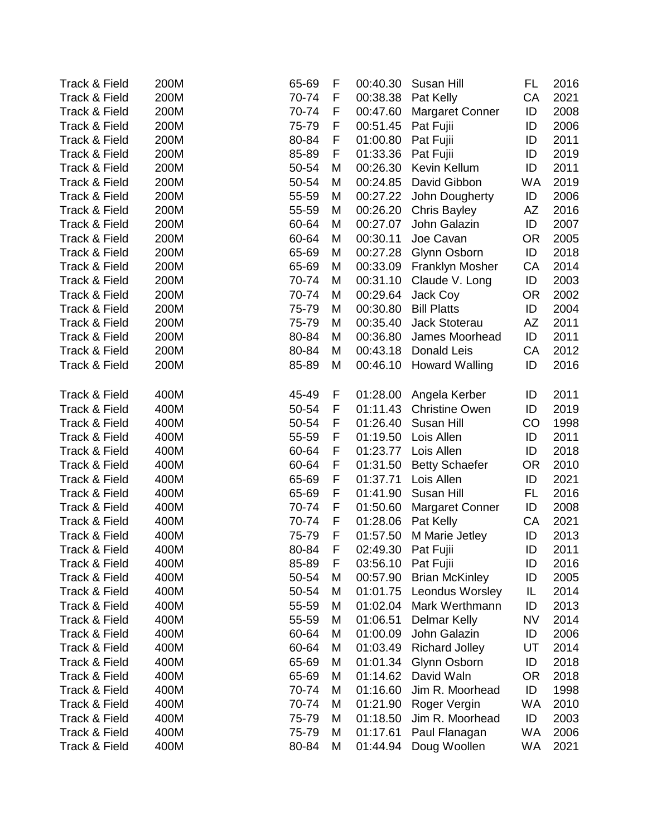| Track & Field            | 200M | 65-69<br>F | 00:40.30 | Susan Hill             | FL        | 2016 |
|--------------------------|------|------------|----------|------------------------|-----------|------|
| Track & Field            | 200M | 70-74<br>F | 00:38.38 | Pat Kelly              | CA        | 2021 |
| Track & Field            | 200M | 70-74<br>F | 00:47.60 | <b>Margaret Conner</b> | ID        | 2008 |
| Track & Field            | 200M | F<br>75-79 | 00:51.45 | Pat Fujii              | ID        | 2006 |
| Track & Field            | 200M | F<br>80-84 | 01:00.80 | Pat Fujii              | ID        | 2011 |
| Track & Field            | 200M | 85-89<br>F | 01:33.36 | Pat Fujii              | ID        | 2019 |
| Track & Field            | 200M | 50-54<br>M | 00:26.30 | Kevin Kellum           | ID        | 2011 |
| <b>Track &amp; Field</b> | 200M | 50-54<br>M | 00:24.85 | David Gibbon           | <b>WA</b> | 2019 |
| Track & Field            | 200M | 55-59<br>M | 00:27.22 | John Dougherty         | ID        | 2006 |
| Track & Field            | 200M | 55-59<br>M | 00:26.20 | <b>Chris Bayley</b>    | AZ        | 2016 |
| Track & Field            | 200M | 60-64<br>M | 00:27.07 | John Galazin           | ID        | 2007 |
| Track & Field            | 200M | 60-64<br>M | 00:30.11 | Joe Cavan              | <b>OR</b> | 2005 |
| Track & Field            | 200M | 65-69<br>M | 00:27.28 | Glynn Osborn           | ID        | 2018 |
| Track & Field            | 200M | 65-69<br>M | 00:33.09 | Franklyn Mosher        | CA        | 2014 |
| Track & Field            | 200M | 70-74<br>M | 00:31.10 | Claude V. Long         | ID        | 2003 |
| Track & Field            | 200M | 70-74<br>M | 00:29.64 | Jack Coy               | <b>OR</b> | 2002 |
| <b>Track &amp; Field</b> | 200M | 75-79<br>M | 00:30.80 | <b>Bill Platts</b>     | ID        | 2004 |
| Track & Field            | 200M | 75-79<br>M | 00:35.40 | Jack Stoterau          | AZ        | 2011 |
| Track & Field            | 200M | 80-84<br>M | 00:36.80 | James Moorhead         | ID        | 2011 |
| Track & Field            | 200M | 80-84<br>M | 00:43.18 | Donald Leis            | CA        | 2012 |
| Track & Field            | 200M | 85-89<br>M | 00:46.10 | <b>Howard Walling</b>  | ID        | 2016 |
|                          |      |            |          |                        |           |      |
| Track & Field            | 400M | 45-49<br>F | 01:28.00 | Angela Kerber          | ID        | 2011 |
| <b>Track &amp; Field</b> | 400M | 50-54<br>F | 01:11.43 | <b>Christine Owen</b>  | ID        | 2019 |
| Track & Field            | 400M | 50-54<br>F | 01:26.40 | Susan Hill             | CO        | 1998 |
| Track & Field            | 400M | 55-59<br>F | 01:19.50 | Lois Allen             | ID        | 2011 |
| Track & Field            | 400M | 60-64<br>F | 01:23.77 | Lois Allen             | ID        | 2018 |
| Track & Field            | 400M | 60-64<br>F | 01:31.50 | <b>Betty Schaefer</b>  | <b>OR</b> | 2010 |
| Track & Field            | 400M | 65-69<br>F | 01:37.71 | Lois Allen             | ID        | 2021 |
| Track & Field            | 400M | 65-69<br>F | 01:41.90 | Susan Hill             | <b>FL</b> | 2016 |
| Track & Field            | 400M | 70-74<br>F | 01:50.60 | <b>Margaret Conner</b> | ID        | 2008 |
| Track & Field            | 400M | F<br>70-74 | 01:28.06 | Pat Kelly              | CA        | 2021 |
| Track & Field            | 400M | 75-79<br>F | 01:57.50 | M Marie Jetley         | ID        | 2013 |
| Track & Field            | 400M | 80-84<br>F |          | 02:49.30 Pat Fujii     | ID        | 2011 |
| Track & Field            | 400M | 85-89<br>F |          | 03:56.10 Pat Fujii     | ID        | 2016 |
| Track & Field            | 400M | 50-54<br>M | 00:57.90 | <b>Brian McKinley</b>  | ID        | 2005 |
| <b>Track &amp; Field</b> | 400M | 50-54<br>M | 01:01.75 | Leondus Worsley        | IL        | 2014 |
| <b>Track &amp; Field</b> | 400M | 55-59<br>M | 01:02.04 | Mark Werthmann         | ID        | 2013 |
| Track & Field            | 400M | 55-59<br>M | 01:06.51 | <b>Delmar Kelly</b>    | <b>NV</b> | 2014 |
| Track & Field            | 400M | 60-64<br>M | 01:00.09 | John Galazin           | ID        | 2006 |
| Track & Field            | 400M | 60-64<br>M | 01:03.49 | <b>Richard Jolley</b>  | UT        | 2014 |
| <b>Track &amp; Field</b> | 400M | 65-69<br>M | 01:01.34 | Glynn Osborn           | ID        | 2018 |
| Track & Field            | 400M | 65-69<br>M | 01:14.62 | David Waln             | <b>OR</b> | 2018 |
| <b>Track &amp; Field</b> | 400M | 70-74<br>M | 01:16.60 | Jim R. Moorhead        | ID        | 1998 |
| Track & Field            | 400M | 70-74<br>M | 01:21.90 | Roger Vergin           | <b>WA</b> | 2010 |
| Track & Field            | 400M | 75-79<br>M | 01:18.50 | Jim R. Moorhead        | ID        | 2003 |
| Track & Field            | 400M | 75-79<br>M | 01:17.61 | Paul Flanagan          | <b>WA</b> | 2006 |
| Track & Field            | 400M | 80-84<br>M | 01:44.94 | Doug Woollen           | WA        | 2021 |
|                          |      |            |          |                        |           |      |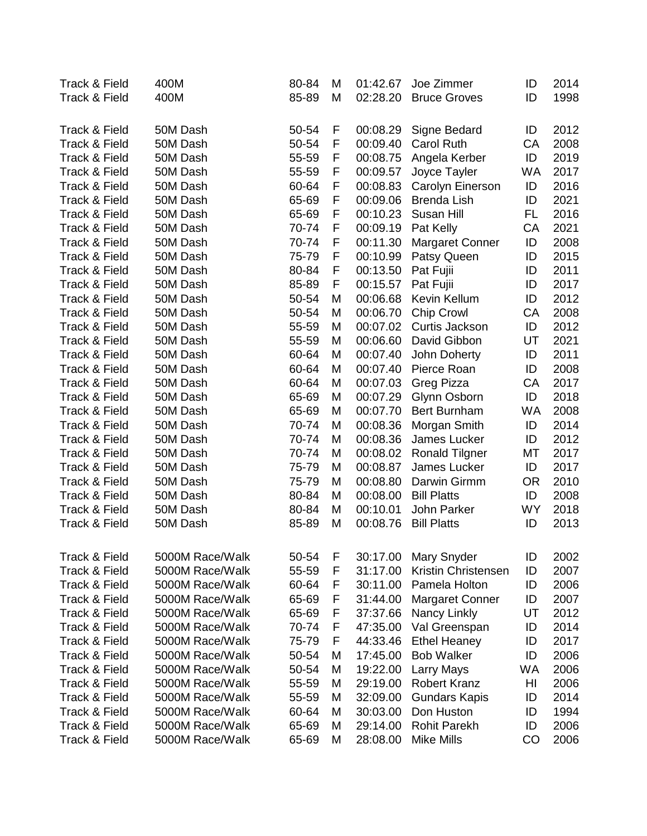| Track & Field            | 400M            | 80-84 | M | 01:42.67 | Joe Zimmer             | ID        | 2014 |
|--------------------------|-----------------|-------|---|----------|------------------------|-----------|------|
| Track & Field            | 400M            | 85-89 | M | 02:28.20 | <b>Bruce Groves</b>    | ID        | 1998 |
|                          |                 |       |   |          |                        |           |      |
| <b>Track &amp; Field</b> | 50M Dash        | 50-54 | F | 00:08.29 | Signe Bedard           | ID        | 2012 |
| Track & Field            | 50M Dash        | 50-54 | F | 00:09.40 | <b>Carol Ruth</b>      | CA        | 2008 |
| Track & Field            | 50M Dash        | 55-59 | F | 00:08.75 | Angela Kerber          | ID        | 2019 |
| Track & Field            | 50M Dash        | 55-59 | F | 00:09.57 | Joyce Tayler           | WA        | 2017 |
| Track & Field            | 50M Dash        | 60-64 | F | 00:08.83 | Carolyn Einerson       | ID        | 2016 |
| Track & Field            | 50M Dash        | 65-69 | F | 00:09.06 | <b>Brenda Lish</b>     | ID        | 2021 |
| Track & Field            | 50M Dash        | 65-69 | F | 00:10.23 | Susan Hill             | FL        | 2016 |
| Track & Field            | 50M Dash        | 70-74 | F | 00:09.19 | Pat Kelly              | CA        | 2021 |
| Track & Field            | 50M Dash        | 70-74 | F | 00:11.30 | <b>Margaret Conner</b> | ID        | 2008 |
| Track & Field            | 50M Dash        | 75-79 | F | 00:10.99 | Patsy Queen            | ID        | 2015 |
| Track & Field            | 50M Dash        | 80-84 | F | 00:13.50 | Pat Fujii              | ID        | 2011 |
| Track & Field            | 50M Dash        | 85-89 | F | 00:15.57 | Pat Fujii              | ID        | 2017 |
| Track & Field            | 50M Dash        | 50-54 | M | 00:06.68 | Kevin Kellum           | ID        | 2012 |
| Track & Field            | 50M Dash        | 50-54 | M | 00:06.70 | <b>Chip Crowl</b>      | CA        | 2008 |
| Track & Field            | 50M Dash        | 55-59 | M | 00:07.02 | Curtis Jackson         | ID        | 2012 |
| Track & Field            | 50M Dash        | 55-59 | M | 00:06.60 | David Gibbon           | UT        | 2021 |
| Track & Field            | 50M Dash        | 60-64 | M | 00:07.40 | John Doherty           | ID        | 2011 |
| Track & Field            | 50M Dash        | 60-64 | M | 00:07.40 | Pierce Roan            | ID        | 2008 |
| Track & Field            | 50M Dash        | 60-64 | M | 00:07.03 | Greg Pizza             | CA        | 2017 |
| Track & Field            | 50M Dash        | 65-69 | M | 00:07.29 | Glynn Osborn           | ID        | 2018 |
| Track & Field            | 50M Dash        | 65-69 | M | 00:07.70 | <b>Bert Burnham</b>    | <b>WA</b> | 2008 |
| Track & Field            | 50M Dash        | 70-74 | M | 00:08.36 | Morgan Smith           | ID        | 2014 |
| Track & Field            | 50M Dash        | 70-74 | M | 00:08.36 | James Lucker           | ID        | 2012 |
| <b>Track &amp; Field</b> | 50M Dash        | 70-74 | M | 00:08.02 | <b>Ronald Tilgner</b>  | MT        | 2017 |
| Track & Field            | 50M Dash        | 75-79 | M | 00:08.87 | James Lucker           | ID        | 2017 |
| Track & Field            | 50M Dash        | 75-79 | M | 00:08.80 | Darwin Girmm           | <b>OR</b> | 2010 |
| Track & Field            | 50M Dash        | 80-84 | M | 00:08.00 | <b>Bill Platts</b>     | ID        | 2008 |
| Track & Field            | 50M Dash        | 80-84 | M | 00:10.01 | John Parker            | <b>WY</b> | 2018 |
| <b>Track &amp; Field</b> | 50M Dash        | 85-89 | M | 00:08.76 | <b>Bill Platts</b>     | ID        | 2013 |
|                          |                 |       |   |          |                        |           |      |
| Track & Field            | 5000M Race/Walk | 50-54 | F | 30:17.00 | Mary Snyder            | ID        | 2002 |
| Track & Field            | 5000M Race/Walk | 55-59 | F | 31:17.00 | Kristin Christensen    | ID        | 2007 |
| Track & Field            | 5000M Race/Walk | 60-64 | F | 30:11.00 | Pamela Holton          | ID        | 2006 |
| <b>Track &amp; Field</b> | 5000M Race/Walk | 65-69 | F | 31:44.00 | <b>Margaret Conner</b> | ID        | 2007 |
| Track & Field            | 5000M Race/Walk | 65-69 | F | 37:37.66 | Nancy Linkly           | UT        | 2012 |
| <b>Track &amp; Field</b> | 5000M Race/Walk | 70-74 | F | 47:35.00 | Val Greenspan          | ID        | 2014 |
| <b>Track &amp; Field</b> | 5000M Race/Walk | 75-79 | F | 44:33.46 | <b>Ethel Heaney</b>    | ID        | 2017 |
| <b>Track &amp; Field</b> | 5000M Race/Walk | 50-54 | M | 17:45.00 | <b>Bob Walker</b>      | ID        | 2006 |
| <b>Track &amp; Field</b> | 5000M Race/Walk | 50-54 | M | 19:22.00 | Larry Mays             | WA        | 2006 |
| Track & Field            | 5000M Race/Walk | 55-59 | M | 29:19.00 | <b>Robert Kranz</b>    | HI        | 2006 |
| Track & Field            | 5000M Race/Walk | 55-59 | M | 32:09.00 | <b>Gundars Kapis</b>   | ID        | 2014 |
| Track & Field            | 5000M Race/Walk | 60-64 | M | 30:03.00 | Don Huston             | ID        | 1994 |
| <b>Track &amp; Field</b> | 5000M Race/Walk | 65-69 | M | 29:14.00 | <b>Rohit Parekh</b>    | ID        | 2006 |
| Track & Field            | 5000M Race/Walk | 65-69 | M | 28:08.00 | <b>Mike Mills</b>      | CO        | 2006 |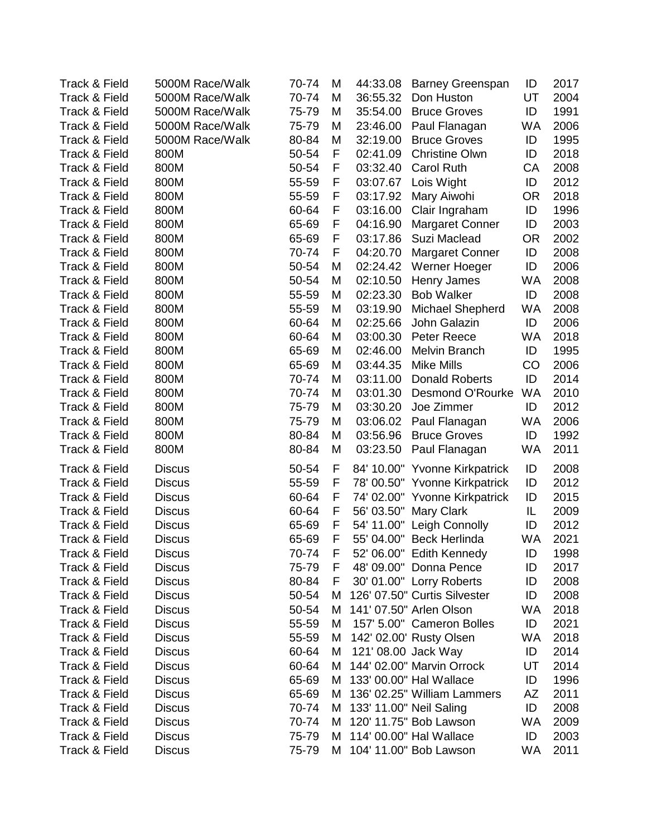| <b>Track &amp; Field</b> | 5000M Race/Walk | 70-74 | M | 44:33.08            | <b>Barney Greenspan</b>       | ID        | 2017 |
|--------------------------|-----------------|-------|---|---------------------|-------------------------------|-----------|------|
| Track & Field            | 5000M Race/Walk | 70-74 | M | 36:55.32            | Don Huston                    | UT        | 2004 |
| Track & Field            | 5000M Race/Walk | 75-79 | M | 35:54.00            | <b>Bruce Groves</b>           | ID        | 1991 |
| Track & Field            | 5000M Race/Walk | 75-79 | M | 23:46.00            | Paul Flanagan                 | WA        | 2006 |
| Track & Field            | 5000M Race/Walk | 80-84 | M | 32:19.00            | <b>Bruce Groves</b>           | ID        | 1995 |
| <b>Track &amp; Field</b> | 800M            | 50-54 | F | 02:41.09            | <b>Christine Olwn</b>         | ID        | 2018 |
| <b>Track &amp; Field</b> | 800M            | 50-54 | F | 03:32.40            | <b>Carol Ruth</b>             | CA        | 2008 |
| <b>Track &amp; Field</b> | 800M            | 55-59 | F | 03:07.67            | Lois Wight                    | ID        | 2012 |
| Track & Field            | 800M            | 55-59 | F | 03:17.92            | Mary Aiwohi                   | <b>OR</b> | 2018 |
| Track & Field            | 800M            | 60-64 | F | 03:16.00            | Clair Ingraham                | ID        | 1996 |
| <b>Track &amp; Field</b> | 800M            | 65-69 | F | 04:16.90            | <b>Margaret Conner</b>        | ID        | 2003 |
| Track & Field            | 800M            | 65-69 | F | 03:17.86            | Suzi Maclead                  | <b>OR</b> | 2002 |
| Track & Field            | 800M            | 70-74 | F | 04:20.70            | <b>Margaret Conner</b>        | ID        | 2008 |
| Track & Field            | 800M            | 50-54 | M | 02:24.42            | Werner Hoeger                 | ID        | 2006 |
| Track & Field            | 800M            | 50-54 | M | 02:10.50            | Henry James                   | WA        | 2008 |
| <b>Track &amp; Field</b> | 800M            | 55-59 | M | 02:23.30            | <b>Bob Walker</b>             | ID        | 2008 |
| <b>Track &amp; Field</b> | 800M            | 55-59 | M | 03:19.90            | Michael Shepherd              | <b>WA</b> | 2008 |
| Track & Field            | 800M            | 60-64 | M | 02:25.66            | John Galazin                  | ID        | 2006 |
| Track & Field            | 800M            | 60-64 | M | 03:00.30            | Peter Reece                   | <b>WA</b> | 2018 |
| <b>Track &amp; Field</b> | 800M            | 65-69 | M | 02:46.00            | Melvin Branch                 | ID        | 1995 |
| Track & Field            | 800M            | 65-69 | M | 03:44.35            | Mike Mills                    | CO        | 2006 |
| Track & Field            | 800M            | 70-74 | M | 03:11.00            | <b>Donald Roberts</b>         | ID        | 2014 |
| Track & Field            | 800M            | 70-74 | M | 03:01.30            | Desmond O'Rourke              | <b>WA</b> | 2010 |
| Track & Field            | 800M            | 75-79 | M | 03:30.20            | Joe Zimmer                    | ID        | 2012 |
| <b>Track &amp; Field</b> | 800M            | 75-79 | M | 03:06.02            | Paul Flanagan                 | <b>WA</b> | 2006 |
| Track & Field            | 800M            | 80-84 | M | 03:56.96            | <b>Bruce Groves</b>           | ID        | 1992 |
| Track & Field            | 800M            | 80-84 | M | 03:23.50            | Paul Flanagan                 | WA        | 2011 |
| <b>Track &amp; Field</b> | <b>Discus</b>   | 50-54 | F |                     | 84' 10.00" Yvonne Kirkpatrick | ID        | 2008 |
| Track & Field            | <b>Discus</b>   | 55-59 | F |                     | 78' 00.50" Yvonne Kirkpatrick | ID        | 2012 |
| <b>Track &amp; Field</b> | <b>Discus</b>   | 60-64 | F |                     | 74' 02.00" Yvonne Kirkpatrick | ID        | 2015 |
| Track & Field            | <b>Discus</b>   | 60-64 | F | 56' 03.50"          | <b>Mary Clark</b>             | IL        | 2009 |
| Track & Field            | <b>Discus</b>   | 65-69 | F |                     | 54' 11.00" Leigh Connolly     | ID        | 2012 |
| Track & Field            | <b>Discus</b>   | 65-69 | F |                     | 55' 04.00" Beck Herlinda      | WA        | 2021 |
| Track & Field            | Discus          | 70-74 | F |                     | 52' 06.00" Edith Kennedy      | ID        | 1998 |
| <b>Track &amp; Field</b> | <b>Discus</b>   | 75-79 | F |                     | 48' 09.00" Donna Pence        | ID        | 2017 |
| Track & Field            | <b>Discus</b>   | 80-84 | F |                     | 30' 01.00" Lorry Roberts      | ID        | 2008 |
| Track & Field            | <b>Discus</b>   | 50-54 | M |                     | 126' 07.50" Curtis Silvester  | ID        | 2008 |
| Track & Field            | <b>Discus</b>   | 50-54 | M |                     | 141' 07.50" Arlen Olson       | WA        | 2018 |
| <b>Track &amp; Field</b> | <b>Discus</b>   | 55-59 | M |                     | 157' 5.00" Cameron Bolles     | ID        | 2021 |
| Track & Field            | <b>Discus</b>   | 55-59 | M |                     | 142' 02.00' Rusty Olsen       | WA        | 2018 |
| Track & Field            | <b>Discus</b>   | 60-64 | M | 121' 08.00 Jack Way |                               | ID        | 2014 |
| Track & Field            | <b>Discus</b>   | 60-64 | M |                     | 144' 02.00" Marvin Orrock     | UT        | 2014 |
| Track & Field            | <b>Discus</b>   | 65-69 | M |                     | 133' 00.00" Hal Wallace       | ID        | 1996 |
| <b>Track &amp; Field</b> | <b>Discus</b>   | 65-69 | M |                     | 136' 02.25" William Lammers   | AZ        | 2011 |
| Track & Field            | <b>Discus</b>   | 70-74 | М |                     | 133' 11.00" Neil Saling       | ID        | 2008 |
| Track & Field            | <b>Discus</b>   | 70-74 | М |                     | 120' 11.75" Bob Lawson        | <b>WA</b> | 2009 |
| Track & Field            | <b>Discus</b>   | 75-79 | м |                     | 114' 00.00" Hal Wallace       | ID        | 2003 |
| Track & Field            | <b>Discus</b>   | 75-79 | M |                     | 104' 11.00" Bob Lawson        | WA        | 2011 |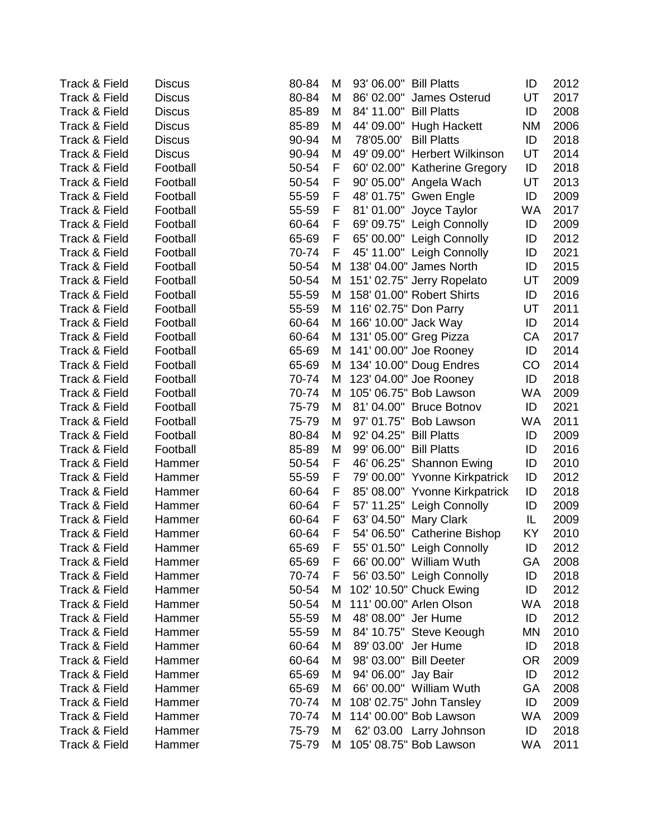| <b>Discus</b> | 80-84  | M |            |                          | ID                                                                                                                                                                                                                                                                                                                                                                                                                                                                                                                                                                                                                                                                                                                                                                                                                                                                                                                                                                                                                                                                                                                                                                                                                                 | 2012 |
|---------------|--------|---|------------|--------------------------|------------------------------------------------------------------------------------------------------------------------------------------------------------------------------------------------------------------------------------------------------------------------------------------------------------------------------------------------------------------------------------------------------------------------------------------------------------------------------------------------------------------------------------------------------------------------------------------------------------------------------------------------------------------------------------------------------------------------------------------------------------------------------------------------------------------------------------------------------------------------------------------------------------------------------------------------------------------------------------------------------------------------------------------------------------------------------------------------------------------------------------------------------------------------------------------------------------------------------------|------|
| <b>Discus</b> | 80-84  | M | 86' 02.00" |                          | UT                                                                                                                                                                                                                                                                                                                                                                                                                                                                                                                                                                                                                                                                                                                                                                                                                                                                                                                                                                                                                                                                                                                                                                                                                                 | 2017 |
| <b>Discus</b> | 85-89  | M |            |                          | ID                                                                                                                                                                                                                                                                                                                                                                                                                                                                                                                                                                                                                                                                                                                                                                                                                                                                                                                                                                                                                                                                                                                                                                                                                                 | 2008 |
| <b>Discus</b> | 85-89  | M |            |                          | <b>NM</b>                                                                                                                                                                                                                                                                                                                                                                                                                                                                                                                                                                                                                                                                                                                                                                                                                                                                                                                                                                                                                                                                                                                                                                                                                          | 2006 |
| <b>Discus</b> | 90-94  | M | 78'05.00'  | <b>Bill Platts</b>       | ID                                                                                                                                                                                                                                                                                                                                                                                                                                                                                                                                                                                                                                                                                                                                                                                                                                                                                                                                                                                                                                                                                                                                                                                                                                 | 2018 |
| <b>Discus</b> | 90-94  | M |            | <b>Herbert Wilkinson</b> | UT                                                                                                                                                                                                                                                                                                                                                                                                                                                                                                                                                                                                                                                                                                                                                                                                                                                                                                                                                                                                                                                                                                                                                                                                                                 | 2014 |
| Football      | 50-54  | F |            |                          | ID                                                                                                                                                                                                                                                                                                                                                                                                                                                                                                                                                                                                                                                                                                                                                                                                                                                                                                                                                                                                                                                                                                                                                                                                                                 | 2018 |
| Football      | 50-54  | F |            |                          | UT                                                                                                                                                                                                                                                                                                                                                                                                                                                                                                                                                                                                                                                                                                                                                                                                                                                                                                                                                                                                                                                                                                                                                                                                                                 | 2013 |
| Football      | 55-59  | F |            |                          | ID                                                                                                                                                                                                                                                                                                                                                                                                                                                                                                                                                                                                                                                                                                                                                                                                                                                                                                                                                                                                                                                                                                                                                                                                                                 | 2009 |
| Football      | 55-59  | F |            |                          | <b>WA</b>                                                                                                                                                                                                                                                                                                                                                                                                                                                                                                                                                                                                                                                                                                                                                                                                                                                                                                                                                                                                                                                                                                                                                                                                                          | 2017 |
| Football      | 60-64  | F |            |                          | ID                                                                                                                                                                                                                                                                                                                                                                                                                                                                                                                                                                                                                                                                                                                                                                                                                                                                                                                                                                                                                                                                                                                                                                                                                                 | 2009 |
| Football      | 65-69  | F |            |                          | ID                                                                                                                                                                                                                                                                                                                                                                                                                                                                                                                                                                                                                                                                                                                                                                                                                                                                                                                                                                                                                                                                                                                                                                                                                                 | 2012 |
| Football      | 70-74  | F |            |                          | ID                                                                                                                                                                                                                                                                                                                                                                                                                                                                                                                                                                                                                                                                                                                                                                                                                                                                                                                                                                                                                                                                                                                                                                                                                                 | 2021 |
| Football      | 50-54  | M |            |                          | ID                                                                                                                                                                                                                                                                                                                                                                                                                                                                                                                                                                                                                                                                                                                                                                                                                                                                                                                                                                                                                                                                                                                                                                                                                                 | 2015 |
| Football      | 50-54  | M |            |                          | UT                                                                                                                                                                                                                                                                                                                                                                                                                                                                                                                                                                                                                                                                                                                                                                                                                                                                                                                                                                                                                                                                                                                                                                                                                                 | 2009 |
| Football      | 55-59  | M |            |                          | ID                                                                                                                                                                                                                                                                                                                                                                                                                                                                                                                                                                                                                                                                                                                                                                                                                                                                                                                                                                                                                                                                                                                                                                                                                                 | 2016 |
| Football      | 55-59  | Μ |            |                          | UT                                                                                                                                                                                                                                                                                                                                                                                                                                                                                                                                                                                                                                                                                                                                                                                                                                                                                                                                                                                                                                                                                                                                                                                                                                 | 2011 |
| Football      | 60-64  | Μ |            |                          | ID                                                                                                                                                                                                                                                                                                                                                                                                                                                                                                                                                                                                                                                                                                                                                                                                                                                                                                                                                                                                                                                                                                                                                                                                                                 | 2014 |
| Football      | 60-64  | M |            |                          | CA                                                                                                                                                                                                                                                                                                                                                                                                                                                                                                                                                                                                                                                                                                                                                                                                                                                                                                                                                                                                                                                                                                                                                                                                                                 | 2017 |
| Football      | 65-69  | M |            |                          | ID                                                                                                                                                                                                                                                                                                                                                                                                                                                                                                                                                                                                                                                                                                                                                                                                                                                                                                                                                                                                                                                                                                                                                                                                                                 | 2014 |
| Football      | 65-69  | Μ |            |                          | CO                                                                                                                                                                                                                                                                                                                                                                                                                                                                                                                                                                                                                                                                                                                                                                                                                                                                                                                                                                                                                                                                                                                                                                                                                                 | 2014 |
| Football      | 70-74  | Μ |            |                          | ID                                                                                                                                                                                                                                                                                                                                                                                                                                                                                                                                                                                                                                                                                                                                                                                                                                                                                                                                                                                                                                                                                                                                                                                                                                 | 2018 |
| Football      | 70-74  | M |            |                          | <b>WA</b>                                                                                                                                                                                                                                                                                                                                                                                                                                                                                                                                                                                                                                                                                                                                                                                                                                                                                                                                                                                                                                                                                                                                                                                                                          | 2009 |
| Football      | 75-79  | M |            |                          | ID                                                                                                                                                                                                                                                                                                                                                                                                                                                                                                                                                                                                                                                                                                                                                                                                                                                                                                                                                                                                                                                                                                                                                                                                                                 | 2021 |
| Football      | 75-79  | M | 97' 01.75" | <b>Bob Lawson</b>        | <b>WA</b>                                                                                                                                                                                                                                                                                                                                                                                                                                                                                                                                                                                                                                                                                                                                                                                                                                                                                                                                                                                                                                                                                                                                                                                                                          | 2011 |
| Football      | 80-84  | M | 92' 04.25" |                          | ID                                                                                                                                                                                                                                                                                                                                                                                                                                                                                                                                                                                                                                                                                                                                                                                                                                                                                                                                                                                                                                                                                                                                                                                                                                 | 2009 |
| Football      | 85-89  | M | 99' 06.00" |                          | ID                                                                                                                                                                                                                                                                                                                                                                                                                                                                                                                                                                                                                                                                                                                                                                                                                                                                                                                                                                                                                                                                                                                                                                                                                                 | 2016 |
| Hammer        | 50-54  | F | 46' 06.25" | <b>Shannon Ewing</b>     | ID                                                                                                                                                                                                                                                                                                                                                                                                                                                                                                                                                                                                                                                                                                                                                                                                                                                                                                                                                                                                                                                                                                                                                                                                                                 | 2010 |
| Hammer        | 55-59  | F |            |                          | ID                                                                                                                                                                                                                                                                                                                                                                                                                                                                                                                                                                                                                                                                                                                                                                                                                                                                                                                                                                                                                                                                                                                                                                                                                                 | 2012 |
| Hammer        | 60-64  | F |            |                          | ID                                                                                                                                                                                                                                                                                                                                                                                                                                                                                                                                                                                                                                                                                                                                                                                                                                                                                                                                                                                                                                                                                                                                                                                                                                 | 2018 |
| Hammer        | 60-64  | F |            |                          | ID                                                                                                                                                                                                                                                                                                                                                                                                                                                                                                                                                                                                                                                                                                                                                                                                                                                                                                                                                                                                                                                                                                                                                                                                                                 | 2009 |
| Hammer        | 60-64  | F |            |                          | IL                                                                                                                                                                                                                                                                                                                                                                                                                                                                                                                                                                                                                                                                                                                                                                                                                                                                                                                                                                                                                                                                                                                                                                                                                                 | 2009 |
| Hammer        | 60-64  | F |            |                          | KY                                                                                                                                                                                                                                                                                                                                                                                                                                                                                                                                                                                                                                                                                                                                                                                                                                                                                                                                                                                                                                                                                                                                                                                                                                 | 2010 |
| Hammer        | 65-69  | F |            |                          | ID                                                                                                                                                                                                                                                                                                                                                                                                                                                                                                                                                                                                                                                                                                                                                                                                                                                                                                                                                                                                                                                                                                                                                                                                                                 | 2012 |
| Hammer        | 65-69  | F |            |                          | GA.                                                                                                                                                                                                                                                                                                                                                                                                                                                                                                                                                                                                                                                                                                                                                                                                                                                                                                                                                                                                                                                                                                                                                                                                                                | 2008 |
| Hammer        | 70-74  | F |            |                          | ID                                                                                                                                                                                                                                                                                                                                                                                                                                                                                                                                                                                                                                                                                                                                                                                                                                                                                                                                                                                                                                                                                                                                                                                                                                 | 2018 |
| Hammer        | 50-54  | M |            |                          | ID                                                                                                                                                                                                                                                                                                                                                                                                                                                                                                                                                                                                                                                                                                                                                                                                                                                                                                                                                                                                                                                                                                                                                                                                                                 | 2012 |
| Hammer        | 50-54  | M |            |                          | WA                                                                                                                                                                                                                                                                                                                                                                                                                                                                                                                                                                                                                                                                                                                                                                                                                                                                                                                                                                                                                                                                                                                                                                                                                                 | 2018 |
| Hammer        | 55-59  | Μ |            |                          | ID                                                                                                                                                                                                                                                                                                                                                                                                                                                                                                                                                                                                                                                                                                                                                                                                                                                                                                                                                                                                                                                                                                                                                                                                                                 | 2012 |
| Hammer        | 55-59  | M |            |                          | <b>MN</b>                                                                                                                                                                                                                                                                                                                                                                                                                                                                                                                                                                                                                                                                                                                                                                                                                                                                                                                                                                                                                                                                                                                                                                                                                          | 2010 |
| Hammer        | 60-64  | M |            |                          | ID                                                                                                                                                                                                                                                                                                                                                                                                                                                                                                                                                                                                                                                                                                                                                                                                                                                                                                                                                                                                                                                                                                                                                                                                                                 | 2018 |
| Hammer        | 60-64  | M |            |                          | <b>OR</b>                                                                                                                                                                                                                                                                                                                                                                                                                                                                                                                                                                                                                                                                                                                                                                                                                                                                                                                                                                                                                                                                                                                                                                                                                          | 2009 |
|               | 65-69  | M |            |                          | ID                                                                                                                                                                                                                                                                                                                                                                                                                                                                                                                                                                                                                                                                                                                                                                                                                                                                                                                                                                                                                                                                                                                                                                                                                                 | 2012 |
| Hammer        | 65-69  | M |            |                          | GA                                                                                                                                                                                                                                                                                                                                                                                                                                                                                                                                                                                                                                                                                                                                                                                                                                                                                                                                                                                                                                                                                                                                                                                                                                 | 2008 |
| Hammer        | 70-74  | M |            |                          | ID                                                                                                                                                                                                                                                                                                                                                                                                                                                                                                                                                                                                                                                                                                                                                                                                                                                                                                                                                                                                                                                                                                                                                                                                                                 | 2009 |
| Hammer        | 70-74  | M |            |                          | WA                                                                                                                                                                                                                                                                                                                                                                                                                                                                                                                                                                                                                                                                                                                                                                                                                                                                                                                                                                                                                                                                                                                                                                                                                                 | 2009 |
| Hammer        | 75-79  | M |            |                          | ID                                                                                                                                                                                                                                                                                                                                                                                                                                                                                                                                                                                                                                                                                                                                                                                                                                                                                                                                                                                                                                                                                                                                                                                                                                 | 2018 |
| Hammer        | 75-79  | M |            |                          | WA                                                                                                                                                                                                                                                                                                                                                                                                                                                                                                                                                                                                                                                                                                                                                                                                                                                                                                                                                                                                                                                                                                                                                                                                                                 | 2011 |
|               | Hammer |   |            |                          | 93' 06.00" Bill Platts<br>James Osterud<br>84' 11.00" Bill Platts<br>44' 09.00" Hugh Hackett<br>49' 09.00"<br>60' 02.00" Katherine Gregory<br>90' 05.00" Angela Wach<br>48' 01.75" Gwen Engle<br>81' 01.00" Joyce Taylor<br>69' 09.75" Leigh Connolly<br>65' 00.00" Leigh Connolly<br>45' 11.00" Leigh Connolly<br>138' 04.00" James North<br>151' 02.75" Jerry Ropelato<br>158' 01.00" Robert Shirts<br>116' 02.75" Don Parry<br>166' 10.00" Jack Way<br>131' 05.00" Greg Pizza<br>141' 00.00" Joe Rooney<br>134' 10.00" Doug Endres<br>123' 04.00" Joe Rooney<br>105' 06.75" Bob Lawson<br>81' 04.00" Bruce Botnov<br><b>Bill Platts</b><br><b>Bill Platts</b><br>79' 00.00" Yvonne Kirkpatrick<br>85' 08.00" Yvonne Kirkpatrick<br>57' 11.25" Leigh Connolly<br>63' 04.50" Mary Clark<br>54' 06.50" Catherine Bishop<br>55' 01.50" Leigh Connolly<br>66' 00.00" William Wuth<br>56' 03.50" Leigh Connolly<br>102' 10.50" Chuck Ewing<br>111' 00.00" Arlen Olson<br>48' 08.00" Jer Hume<br>84' 10.75" Steve Keough<br>89' 03.00' Jer Hume<br>98' 03.00" Bill Deeter<br>94' 06.00" Jay Bair<br>66' 00.00" William Wuth<br>108' 02.75" John Tansley<br>114' 00.00" Bob Lawson<br>62' 03.00 Larry Johnson<br>105' 08.75" Bob Lawson |      |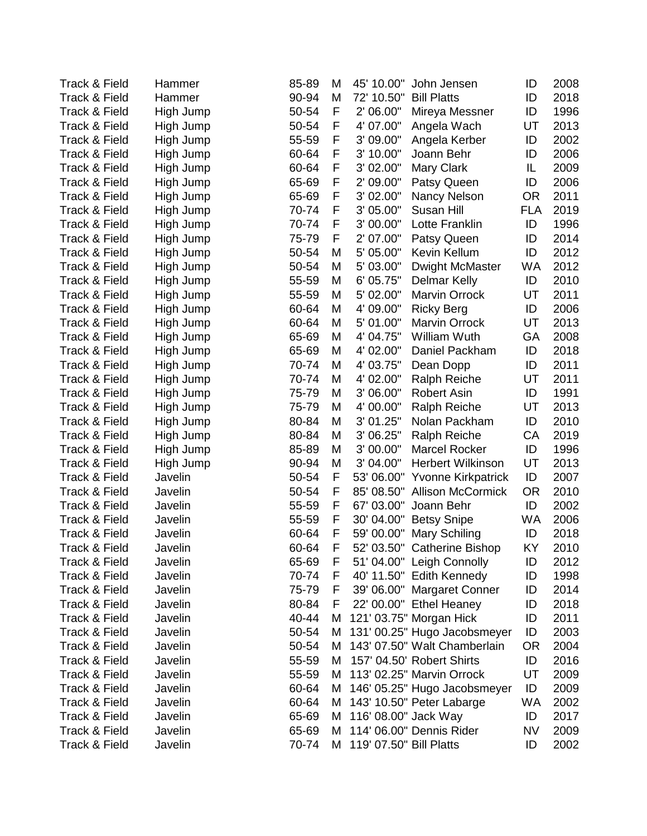| <b>Track &amp; Field</b> | Hammer    | 85-89 | M | 45' 10.00"              | John Jensen                  | ID         | 2008 |
|--------------------------|-----------|-------|---|-------------------------|------------------------------|------------|------|
| Track & Field            | Hammer    | 90-94 | M | 72' 10.50"              | <b>Bill Platts</b>           | ID         | 2018 |
| <b>Track &amp; Field</b> | High Jump | 50-54 | F | 2' 06.00"               | Mireya Messner               | ID         | 1996 |
| Track & Field            | High Jump | 50-54 | F | 4' 07.00"               | Angela Wach                  | UT         | 2013 |
| Track & Field            | High Jump | 55-59 | F | 3' 09.00"               | Angela Kerber                | ID         | 2002 |
| Track & Field            | High Jump | 60-64 | F | 3' 10.00"               | Joann Behr                   | ID         | 2006 |
| Track & Field            | High Jump | 60-64 | F | 3' 02.00"               | <b>Mary Clark</b>            | IL         | 2009 |
| <b>Track &amp; Field</b> | High Jump | 65-69 | F | 2' 09.00"               | Patsy Queen                  | ID         | 2006 |
| <b>Track &amp; Field</b> | High Jump | 65-69 | F | 3' 02.00"               | Nancy Nelson                 | <b>OR</b>  | 2011 |
| Track & Field            | High Jump | 70-74 | F | 3' 05.00"               | Susan Hill                   | <b>FLA</b> | 2019 |
| <b>Track &amp; Field</b> | High Jump | 70-74 | F | 3' 00.00"               | Lotte Franklin               | ID         | 1996 |
| <b>Track &amp; Field</b> | High Jump | 75-79 | F | 2' 07.00"               | Patsy Queen                  | ID         | 2014 |
| Track & Field            | High Jump | 50-54 | M | 5' 05.00"               | Kevin Kellum                 | ID         | 2012 |
| Track & Field            | High Jump | 50-54 | M | 5' 03.00"               | <b>Dwight McMaster</b>       | <b>WA</b>  | 2012 |
| Track & Field            | High Jump | 55-59 | M | 6' 05.75"               | <b>Delmar Kelly</b>          | ID         | 2010 |
| Track & Field            | High Jump | 55-59 | M | 5' 02.00"               | <b>Marvin Orrock</b>         | UT         | 2011 |
| <b>Track &amp; Field</b> | High Jump | 60-64 | M | 4' 09.00"               | <b>Ricky Berg</b>            | ID         | 2006 |
| <b>Track &amp; Field</b> | High Jump | 60-64 | M | 5' 01.00"               | <b>Marvin Orrock</b>         | UT         | 2013 |
| Track & Field            | High Jump | 65-69 | M | 4' 04.75"               | William Wuth                 | GA         | 2008 |
| Track & Field            | High Jump | 65-69 | M | 4' 02.00"               | Daniel Packham               | ID         | 2018 |
| Track & Field            | High Jump | 70-74 | M | 4' 03.75"               | Dean Dopp                    | ID         | 2011 |
| <b>Track &amp; Field</b> | High Jump | 70-74 | M | 4' 02.00"               | <b>Ralph Reiche</b>          | UT         | 2011 |
| Track & Field            | High Jump | 75-79 | M | 3' 06.00"               | <b>Robert Asin</b>           | ID         | 1991 |
| Track & Field            | High Jump | 75-79 | M | 4' 00.00"               | <b>Ralph Reiche</b>          | UT         | 2013 |
| Track & Field            | High Jump | 80-84 | M | 3' 01.25"               | Nolan Packham                | ID         | 2010 |
| <b>Track &amp; Field</b> | High Jump | 80-84 | M | 3' 06.25"               | <b>Ralph Reiche</b>          | CA         | 2019 |
| Track & Field            | High Jump | 85-89 | M | 3' 00.00"               | <b>Marcel Rocker</b>         | ID         | 1996 |
| Track & Field            | High Jump | 90-94 | M | 3' 04.00"               | <b>Herbert Wilkinson</b>     | UT         | 2013 |
| <b>Track &amp; Field</b> | Javelin   | 50-54 | F | 53' 06.00"              | <b>Yvonne Kirkpatrick</b>    | ID         | 2007 |
| Track & Field            | Javelin   | 50-54 | F | 85' 08.50"              | <b>Allison McCormick</b>     | <b>OR</b>  | 2010 |
| <b>Track &amp; Field</b> | Javelin   | 55-59 | F | 67' 03.00"              | Joann Behr                   | ID         | 2002 |
| Track & Field            | Javelin   | 55-59 | F | 30' 04.00"              | <b>Betsy Snipe</b>           | WA         | 2006 |
| Track & Field            | Javelin   | 60-64 | F | 59' 00.00"              | Mary Schiling                | ID         | 2018 |
| Track & Field            | Javelin   | 60-64 | F |                         | 52' 03.50" Catherine Bishop  | ΚY         | 2010 |
| <b>Track &amp; Field</b> | Javelin   | 65-69 | F |                         | 51' 04.00" Leigh Connolly    | ID         | 2012 |
| <b>Track &amp; Field</b> | Javelin   | 70-74 | F |                         | 40' 11.50" Edith Kennedy     | ID         | 1998 |
| <b>Track &amp; Field</b> | Javelin   | 75-79 | F |                         | 39' 06.00" Margaret Conner   | ID         | 2014 |
| <b>Track &amp; Field</b> | Javelin   | 80-84 | F |                         | 22' 00.00" Ethel Heaney      | ID         | 2018 |
| <b>Track &amp; Field</b> | Javelin   | 40-44 | M |                         | 121' 03.75" Morgan Hick      | ID         | 2011 |
| Track & Field            | Javelin   | 50-54 | M |                         | 131' 00.25" Hugo Jacobsmeyer | ID         | 2003 |
| Track & Field            | Javelin   | 50-54 | М |                         | 143' 07.50" Walt Chamberlain | <b>OR</b>  | 2004 |
| <b>Track &amp; Field</b> | Javelin   | 55-59 | M |                         | 157' 04.50' Robert Shirts    | ID         | 2016 |
| <b>Track &amp; Field</b> | Javelin   | 55-59 | М |                         | 113' 02.25" Marvin Orrock    | UT         | 2009 |
| Track & Field            | Javelin   | 60-64 | М |                         | 146' 05.25" Hugo Jacobsmeyer | ID         | 2009 |
| <b>Track &amp; Field</b> | Javelin   | 60-64 |   |                         | M 143' 10.50" Peter Labarge  | WA         | 2002 |
| Track & Field            | Javelin   | 65-69 | М | 116' 08.00" Jack Way    |                              | ID         | 2017 |
| Track & Field            | Javelin   | 65-69 | М |                         | 114' 06.00" Dennis Rider     | <b>NV</b>  | 2009 |
| Track & Field            | Javelin   | 70-74 | M | 119' 07.50" Bill Platts |                              | ID         | 2002 |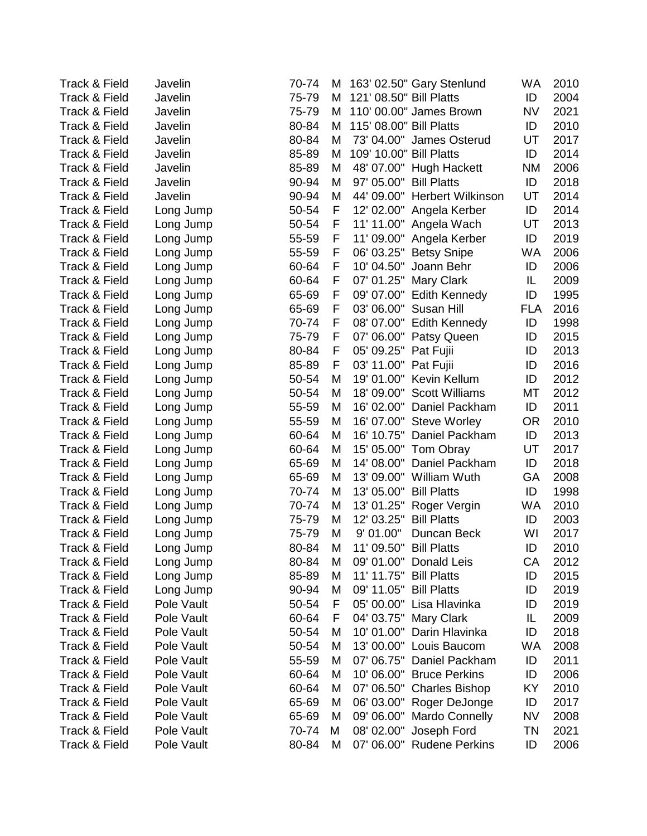| <b>Track &amp; Field</b> | Javelin    | 70-74 | M |                         | 163' 02.50" Gary Stenlund    | WA         | 2010 |
|--------------------------|------------|-------|---|-------------------------|------------------------------|------------|------|
| Track & Field            | Javelin    | 75-79 | M | 121' 08.50" Bill Platts |                              | ID         | 2004 |
| Track & Field            | Javelin    | 75-79 | M |                         | 110' 00.00" James Brown      | <b>NV</b>  | 2021 |
| <b>Track &amp; Field</b> | Javelin    | 80-84 | M | 115' 08.00" Bill Platts |                              | ID         | 2010 |
| Track & Field            | Javelin    | 80-84 | M |                         | 73' 04.00" James Osterud     | UT         | 2017 |
| Track & Field            | Javelin    | 85-89 | M | 109' 10.00" Bill Platts |                              | ID         | 2014 |
| <b>Track &amp; Field</b> | Javelin    | 85-89 | M |                         | 48' 07.00" Hugh Hackett      | <b>NM</b>  | 2006 |
| Track & Field            | Javelin    | 90-94 | M | 97' 05.00"              | <b>Bill Platts</b>           | ID         | 2018 |
| Track & Field            | Javelin    | 90-94 | M |                         | 44' 09.00" Herbert Wilkinson | UT         | 2014 |
| Track & Field            | Long Jump  | 50-54 | F |                         | 12' 02.00" Angela Kerber     | ID         | 2014 |
| <b>Track &amp; Field</b> | Long Jump  | 50-54 | F | 11' 11.00"              | Angela Wach                  | UT         | 2013 |
| <b>Track &amp; Field</b> | Long Jump  | 55-59 | F |                         | 11' 09.00" Angela Kerber     | ID         | 2019 |
| Track & Field            | Long Jump  | 55-59 | F | 06' 03.25"              | <b>Betsy Snipe</b>           | WA         | 2006 |
| <b>Track &amp; Field</b> | Long Jump  | 60-64 | F | 10' 04.50"              | Joann Behr                   | ID         | 2006 |
| Track & Field            | Long Jump  | 60-64 | F | 07' 01.25"              | Mary Clark                   | IL         | 2009 |
| Track & Field            | Long Jump  | 65-69 | F | 09' 07.00"              | Edith Kennedy                | ID         | 1995 |
| Track & Field            | Long Jump  | 65-69 | F | 03' 06.00"              | Susan Hill                   | <b>FLA</b> | 2016 |
| Track & Field            | Long Jump  | 70-74 | F | 08' 07.00"              | <b>Edith Kennedy</b>         | ID         | 1998 |
| Track & Field            | Long Jump  | 75-79 | F | 07' 06.00"              | Patsy Queen                  | ID         | 2015 |
| <b>Track &amp; Field</b> | Long Jump  | 80-84 | F | 05' 09.25"              | Pat Fujii                    | ID         | 2013 |
| Track & Field            | Long Jump  | 85-89 | F | 03' 11.00"              | Pat Fujii                    | ID         | 2016 |
| Track & Field            | Long Jump  | 50-54 | M | 19' 01.00"              | Kevin Kellum                 | ID         | 2012 |
| Track & Field            | Long Jump  | 50-54 | M | 18' 09.00"              | <b>Scott Williams</b>        | МT         | 2012 |
| Track & Field            | Long Jump  | 55-59 | M | 16' 02.00"              | Daniel Packham               | ID         | 2011 |
| Track & Field            | Long Jump  | 55-59 | M | 16' 07.00"              | <b>Steve Worley</b>          | <b>OR</b>  | 2010 |
| Track & Field            | Long Jump  | 60-64 | M |                         | 16' 10.75" Daniel Packham    | ID         | 2013 |
| Track & Field            | Long Jump  | 60-64 | M |                         | 15' 05.00" Tom Obray         | UT         | 2017 |
| Track & Field            | Long Jump  | 65-69 | M | 14' 08.00"              | Daniel Packham               | ID         | 2018 |
| <b>Track &amp; Field</b> | Long Jump  | 65-69 | M | 13' 09.00"              | William Wuth                 | GA         | 2008 |
| Track & Field            | Long Jump  | 70-74 | M | 13' 05.00"              | <b>Bill Platts</b>           | ID         | 1998 |
| Track & Field            | Long Jump  | 70-74 | M |                         | 13' 01.25" Roger Vergin      | WA         | 2010 |
| Track & Field            | Long Jump  | 75-79 | M | 12' 03.25"              | <b>Bill Platts</b>           | ID         | 2003 |
| Track & Field            | Long Jump  | 75-79 | M | 9' 01.00"               | Duncan Beck                  | WI         | 2017 |
| Track & Field            | Long Jump  | 80-84 | M | 11' 09.50" Bill Platts  |                              | ID         | 2010 |
| Track & Field            | Long Jump  | 80-84 | M |                         | 09' 01.00" Donald Leis       | СA         | 2012 |
| Track & Field            | Long Jump  | 85-89 | M | 11' 11.75"              | <b>Bill Platts</b>           | ID         | 2015 |
| Track & Field            | Long Jump  | 90-94 | M | 09' 11.05"              | <b>Bill Platts</b>           | ID         | 2019 |
| <b>Track &amp; Field</b> | Pole Vault | 50-54 | F | 05' 00.00"              | Lisa Hlavinka                | ID         | 2019 |
| <b>Track &amp; Field</b> | Pole Vault | 60-64 | F | 04' 03.75"              | <b>Mary Clark</b>            | IL         | 2009 |
| <b>Track &amp; Field</b> | Pole Vault | 50-54 | M | 10' 01.00"              | Darin Hlavinka               | ID         | 2018 |
| Track & Field            | Pole Vault | 50-54 | M | 13' 00.00"              | Louis Baucom                 | WA         | 2008 |
| Track & Field            | Pole Vault | 55-59 | M | 07' 06.75"              | Daniel Packham               | ID         | 2011 |
| <b>Track &amp; Field</b> | Pole Vault | 60-64 | M | 10' 06.00"              | <b>Bruce Perkins</b>         | ID         | 2006 |
| <b>Track &amp; Field</b> | Pole Vault | 60-64 | M | 07' 06.50"              | <b>Charles Bishop</b>        | KY         | 2010 |
| <b>Track &amp; Field</b> | Pole Vault | 65-69 | M | 06' 03.00"              | Roger DeJonge                | ID         | 2017 |
| Track & Field            | Pole Vault | 65-69 | M | 09' 06.00"              | <b>Mardo Connelly</b>        | <b>NV</b>  | 2008 |
| Track & Field            | Pole Vault | 70-74 | M | 08' 02.00"              | Joseph Ford                  | ΤN         | 2021 |
| Track & Field            | Pole Vault | 80-84 | M | 07' 06.00"              | <b>Rudene Perkins</b>        | ID         | 2006 |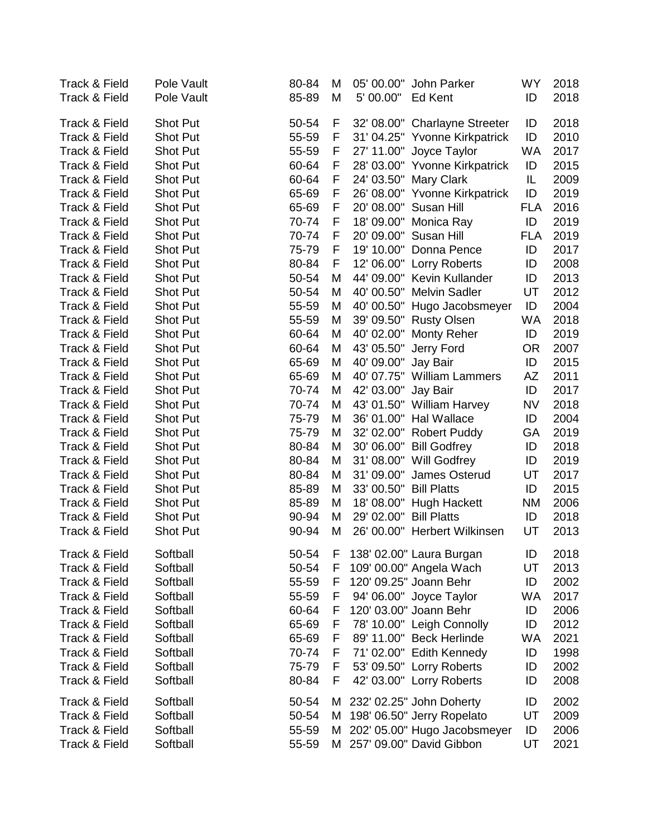| Track & Field<br>Track & Field | Pole Vault<br>Pole Vault | 80-84<br>85-89 | M<br>M | 05' 00.00"<br>5' 00.00" | John Parker<br>Ed Kent        | <b>WY</b><br>ID | 2018<br>2018 |
|--------------------------------|--------------------------|----------------|--------|-------------------------|-------------------------------|-----------------|--------------|
|                                |                          |                |        |                         |                               |                 |              |
| Track & Field                  | <b>Shot Put</b>          | 50-54          | F      |                         | 32' 08.00" Charlayne Streeter | ID              | 2018         |
| Track & Field                  | <b>Shot Put</b>          | 55-59          | F      | 31' 04.25"              | <b>Yvonne Kirkpatrick</b>     | ID              | 2010         |
| Track & Field                  | <b>Shot Put</b>          | 55-59          | F      | 27' 11.00"              | Joyce Taylor                  | <b>WA</b>       | 2017         |
| Track & Field                  | <b>Shot Put</b>          | 60-64          | F      | 28' 03.00"              | <b>Yvonne Kirkpatrick</b>     | ID              | 2015         |
| Track & Field                  | <b>Shot Put</b>          | 60-64          | F      | 24' 03.50"              | Mary Clark                    | IL              | 2009         |
| Track & Field                  | <b>Shot Put</b>          | 65-69          | F      | 26' 08.00"              | <b>Yvonne Kirkpatrick</b>     | ID              | 2019         |
| Track & Field                  | <b>Shot Put</b>          | 65-69          | F      | 20' 08.00"              | Susan Hill                    | <b>FLA</b>      | 2016         |
| Track & Field                  | <b>Shot Put</b>          | 70-74          | F      | 18' 09.00"              | Monica Ray                    | ID              | 2019         |
| Track & Field                  | <b>Shot Put</b>          | 70-74          | F      | 20' 09.00"              | Susan Hill                    | <b>FLA</b>      | 2019         |
| Track & Field                  | <b>Shot Put</b>          | 75-79          | F      | 19' 10.00"              | Donna Pence                   | ID              | 2017         |
| Track & Field                  | <b>Shot Put</b>          | 80-84          | F      | 12' 06.00"              | <b>Lorry Roberts</b>          | ID              | 2008         |
| Track & Field                  | <b>Shot Put</b>          | 50-54          | M      | 44' 09.00"              | Kevin Kullander               | ID              | 2013         |
| Track & Field                  | <b>Shot Put</b>          | 50-54          | M      | 40' 00.50"              | <b>Melvin Sadler</b>          | UT              | 2012         |
| Track & Field                  | <b>Shot Put</b>          | 55-59          | M      | 40' 00.50"              | Hugo Jacobsmeyer              | ID              | 2004         |
| Track & Field                  | <b>Shot Put</b>          | 55-59          | M      | 39' 09.50"              | <b>Rusty Olsen</b>            | <b>WA</b>       | 2018         |
| Track & Field                  | <b>Shot Put</b>          | 60-64          | M      | 40' 02.00"              | <b>Monty Reher</b>            | ID              | 2019         |
| Track & Field                  | <b>Shot Put</b>          | 60-64          | M      | 43' 05.50"              | Jerry Ford                    | <b>OR</b>       | 2007         |
| Track & Field                  | <b>Shot Put</b>          | 65-69          | M      | 40' 09.00"              | Jay Bair                      | ID              | 2015         |
| Track & Field                  | <b>Shot Put</b>          | 65-69          | Μ      | 40' 07.75"              | <b>William Lammers</b>        | AZ              | 2011         |
| Track & Field                  | <b>Shot Put</b>          | 70-74          | M      | 42' 03.00"              | Jay Bair                      | ID              | 2017         |
| Track & Field                  | <b>Shot Put</b>          | 70-74          | M      | 43' 01.50"              | <b>William Harvey</b>         | <b>NV</b>       | 2018         |
| Track & Field                  | <b>Shot Put</b>          | 75-79          | M      | 36' 01.00"              | <b>Hal Wallace</b>            | ID              | 2004         |
| Track & Field                  | <b>Shot Put</b>          | 75-79          | M      | 32' 02.00"              | <b>Robert Puddy</b>           | GA              | 2019         |
| Track & Field                  | <b>Shot Put</b>          | 80-84          | M      | 30' 06.00"              | <b>Bill Godfrey</b>           | ID              | 2018         |
| Track & Field                  | <b>Shot Put</b>          | 80-84          | M      | 31' 08.00"              | Will Godfrey                  | ID              | 2019         |
| Track & Field                  | <b>Shot Put</b>          | 80-84          | M      | 31' 09.00"              | James Osterud                 | UT              | 2017         |
| Track & Field                  | <b>Shot Put</b>          | 85-89          | M      | 33' 00.50"              | <b>Bill Platts</b>            | ID              | 2015         |
| Track & Field                  | <b>Shot Put</b>          | 85-89          | M      | 18' 08.00"              | Hugh Hackett                  | <b>NM</b>       | 2006         |
| Track & Field                  | Shot Put                 | 90-94          | M      | 29' 02.00"              | <b>Bill Platts</b>            | ID              | 2018         |
| Track & Field                  | <b>Shot Put</b>          | 90-94          | M      | 26' 00.00"              | <b>Herbert Wilkinsen</b>      | UT              | 2013         |
| Track & Field                  | Softball                 | 50-54          | ۲      |                         | 138' 02.00" Laura Burgan      | ID              | 2018         |
| Track & Field                  | Softball                 | 50-54          | F      |                         | 109' 00.00" Angela Wach       | UT              | 2013         |
| Track & Field                  | Softball                 | 55-59          | F      |                         | 120' 09.25" Joann Behr        | ID              | 2002         |
| Track & Field                  | Softball                 | 55-59          | F      |                         | 94' 06.00" Joyce Taylor       | <b>WA</b>       | 2017         |
| Track & Field                  | Softball                 | 60-64          | F      |                         | 120' 03.00" Joann Behr        | ID              | 2006         |
| Track & Field                  | Softball                 | 65-69          | F      |                         | 78' 10.00" Leigh Connolly     | ID              | 2012         |
| Track & Field                  | Softball                 | 65-69          | F      |                         | 89' 11.00" Beck Herlinde      | WA              | 2021         |
| Track & Field                  | Softball                 | 70-74          | F      |                         | 71' 02.00" Edith Kennedy      | ID              | 1998         |
| Track & Field                  | Softball                 | 75-79          | F      |                         | 53' 09.50" Lorry Roberts      | ID              | 2002         |
| Track & Field                  | Softball                 | 80-84          | F      |                         | 42' 03.00" Lorry Roberts      | ID              | 2008         |
| Track & Field                  | Softball                 | 50-54          | M      |                         | 232' 02.25" John Doherty      | ID              | 2002         |
| Track & Field                  | Softball                 | 50-54          | M      |                         | 198' 06.50" Jerry Ropelato    | UT              | 2009         |
| Track & Field                  | Softball                 | 55-59          | M      |                         | 202' 05.00" Hugo Jacobsmeyer  | ID              | 2006         |
| Track & Field                  | Softball                 | 55-59          | м      |                         | 257' 09.00" David Gibbon      | UT              | 2021         |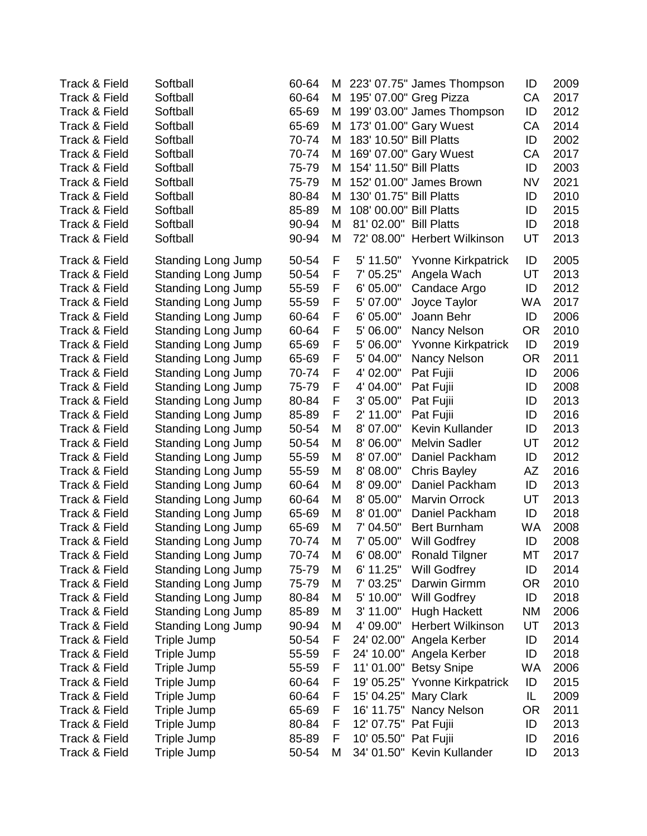| <b>Track &amp; Field</b> | Softball                  | 60-64 | M |                         | 223' 07.75" James Thompson   | ID        | 2009 |
|--------------------------|---------------------------|-------|---|-------------------------|------------------------------|-----------|------|
| <b>Track &amp; Field</b> | Softball                  | 60-64 | M |                         | 195' 07.00" Greg Pizza       | CA        | 2017 |
| <b>Track &amp; Field</b> | Softball                  | 65-69 | M |                         | 199' 03.00" James Thompson   | ID        | 2012 |
| <b>Track &amp; Field</b> | Softball                  | 65-69 | M |                         | 173' 01.00" Gary Wuest       | CA        | 2014 |
| <b>Track &amp; Field</b> | Softball                  | 70-74 | M | 183' 10.50" Bill Platts |                              | ID        | 2002 |
| <b>Track &amp; Field</b> | Softball                  | 70-74 | M |                         | 169' 07.00" Gary Wuest       | CA        | 2017 |
| <b>Track &amp; Field</b> | Softball                  | 75-79 | M | 154' 11.50" Bill Platts |                              | ID        | 2003 |
| Track & Field            | Softball                  | 75-79 | M |                         | 152' 01.00" James Brown      | <b>NV</b> | 2021 |
| Track & Field            | Softball                  | 80-84 | M | 130' 01.75" Bill Platts |                              | ID        | 2010 |
| Track & Field            | Softball                  | 85-89 | M | 108' 00.00" Bill Platts |                              | ID        | 2015 |
| <b>Track &amp; Field</b> | Softball                  | 90-94 | M | 81' 02.00"              | <b>Bill Platts</b>           | ID        | 2018 |
| <b>Track &amp; Field</b> | Softball                  | 90-94 | M |                         | 72' 08.00" Herbert Wilkinson | UT        | 2013 |
| <b>Track &amp; Field</b> | Standing Long Jump        | 50-54 | F | 5' 11.50"               | <b>Yvonne Kirkpatrick</b>    | ID        | 2005 |
| Track & Field            | Standing Long Jump        | 50-54 | F | 7' 05.25"               | Angela Wach                  | UT        | 2013 |
| Track & Field            | <b>Standing Long Jump</b> | 55-59 | F | 6' 05.00"               | Candace Argo                 | ID        | 2012 |
| Track & Field            | <b>Standing Long Jump</b> | 55-59 | F | 5' 07.00"               | Joyce Taylor                 | WA        | 2017 |
| Track & Field            | Standing Long Jump        | 60-64 | F | 6' 05.00"               | Joann Behr                   | ID        | 2006 |
| <b>Track &amp; Field</b> | Standing Long Jump        | 60-64 | F | 5' 06.00"               | Nancy Nelson                 | <b>OR</b> | 2010 |
| <b>Track &amp; Field</b> | Standing Long Jump        | 65-69 | F | 5' 06.00"               | <b>Yvonne Kirkpatrick</b>    | ID        | 2019 |
| Track & Field            | Standing Long Jump        | 65-69 | F | 5' 04.00"               | Nancy Nelson                 | <b>OR</b> | 2011 |
| Track & Field            | Standing Long Jump        | 70-74 | F | 4' 02.00"               | Pat Fujii                    | ID        | 2006 |
| Track & Field            | Standing Long Jump        | 75-79 | F | 4' 04.00"               | Pat Fujii                    | ID        | 2008 |
| Track & Field            | Standing Long Jump        | 80-84 | F | 3' 05.00"               | Pat Fujii                    | ID        | 2013 |
| <b>Track &amp; Field</b> | Standing Long Jump        | 85-89 | F | 2' 11.00"               | Pat Fujii                    | ID        | 2016 |
| Track & Field            | <b>Standing Long Jump</b> | 50-54 | M | 8' 07.00"               | Kevin Kullander              | ID        | 2013 |
| <b>Track &amp; Field</b> | <b>Standing Long Jump</b> | 50-54 | M | 8' 06.00"               | <b>Melvin Sadler</b>         | UT        | 2012 |
| <b>Track &amp; Field</b> | Standing Long Jump        | 55-59 | M | 8' 07.00"               | Daniel Packham               | ID        | 2012 |
| <b>Track &amp; Field</b> | Standing Long Jump        | 55-59 | M | 8' 08.00"               | <b>Chris Bayley</b>          | AZ        | 2016 |
| Track & Field            | Standing Long Jump        | 60-64 | M | 8' 09.00"               | Daniel Packham               | ID        | 2013 |
| Track & Field            | <b>Standing Long Jump</b> | 60-64 | M | 8' 05.00"               | <b>Marvin Orrock</b>         | UT        | 2013 |
| Track & Field            | <b>Standing Long Jump</b> | 65-69 | M | 8' 01.00"               | Daniel Packham               | ID        | 2018 |
| Track & Field            | Standing Long Jump        | 65-69 | M | 7' 04.50"               | <b>Bert Burnham</b>          | <b>WA</b> | 2008 |
| Track & Field            | Standing Long Jump        | 70-74 | M | 7' 05.00"               | Will Godfrey                 | ID        | 2008 |
| Track & Field            | <b>Standing Long Jump</b> | 70-74 | M | 6' 08.00"               | Ronald Tilgner               | МT        | 2017 |
| Track & Field            | <b>Standing Long Jump</b> | 75-79 | M | 6' 11.25"               | <b>Will Godfrey</b>          | ID        | 2014 |
| Track & Field            | <b>Standing Long Jump</b> | 75-79 | M | 7' 03.25"               | Darwin Girmm                 | <b>OR</b> | 2010 |
| Track & Field            | Standing Long Jump        | 80-84 | M | 5' 10.00"               | Will Godfrey                 | ID        | 2018 |
| Track & Field            | <b>Standing Long Jump</b> | 85-89 | M | 3' 11.00"               | Hugh Hackett                 | <b>NM</b> | 2006 |
| Track & Field            | Standing Long Jump        | 90-94 | M | 4' 09.00"               | <b>Herbert Wilkinson</b>     | UT        | 2013 |
| Track & Field            | Triple Jump               | 50-54 | F | 24' 02.00"              | Angela Kerber                | ID        | 2014 |
| Track & Field            | Triple Jump               | 55-59 | F | 24' 10.00"              | Angela Kerber                | ID        | 2018 |
| Track & Field            | Triple Jump               | 55-59 | F | 11'01.00"               | <b>Betsy Snipe</b>           | WA        | 2006 |
| Track & Field            | Triple Jump               | 60-64 | F | 19' 05.25"              | <b>Yvonne Kirkpatrick</b>    | ID        | 2015 |
| <b>Track &amp; Field</b> | Triple Jump               | 60-64 | F | 15' 04.25"              | Mary Clark                   | IL        | 2009 |
| Track & Field            | Triple Jump               | 65-69 | F | 16' 11.75"              | Nancy Nelson                 | <b>OR</b> | 2011 |
| Track & Field            | Triple Jump               | 80-84 | F | 12' 07.75"              | Pat Fujii                    | ID        | 2013 |
| Track & Field            | Triple Jump               | 85-89 | F | 10' 05.50"              | Pat Fujii                    | ID        | 2016 |
| Track & Field            | Triple Jump               | 50-54 | M |                         | 34' 01.50" Kevin Kullander   | ID        | 2013 |